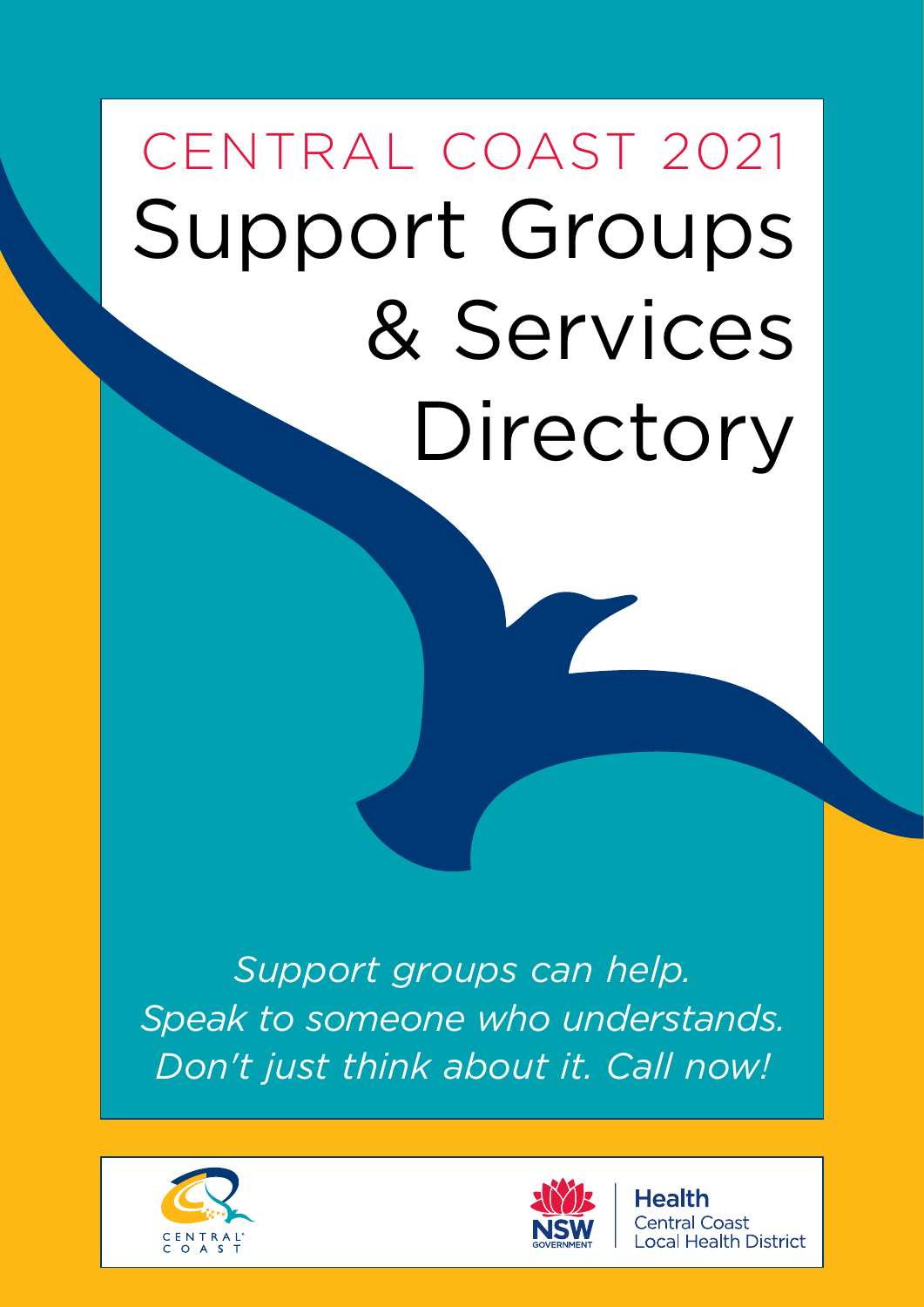# CENTRAL COAST 2021 Support Groups & Services Directory

*Support groups can help. Speak to someone who understands. Don't just think about it. Call now!*





**Health** ral Coast ocal Health District.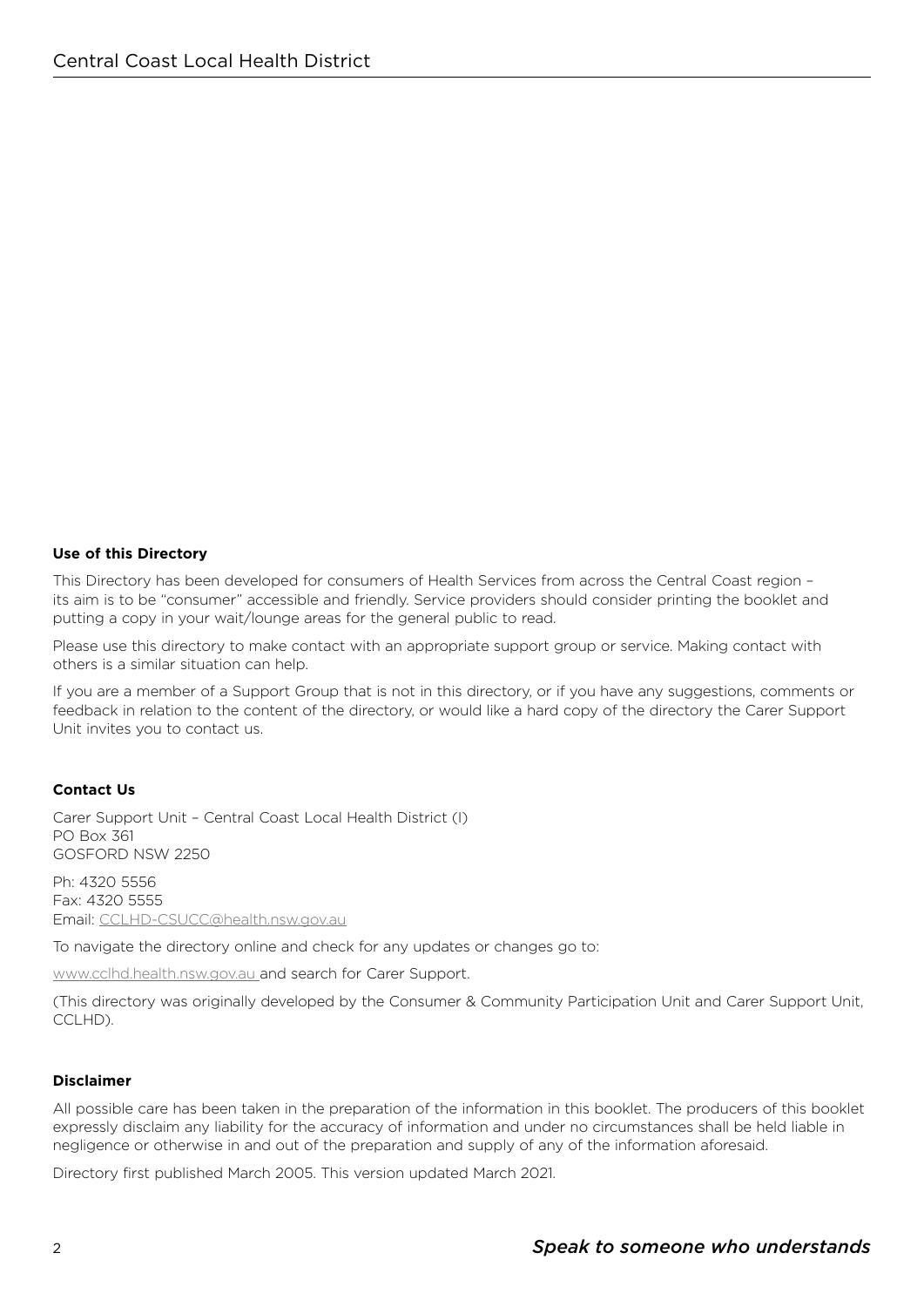#### **Use of this Directory**

This Directory has been developed for consumers of Health Services from across the Central Coast region – its aim is to be "consumer" accessible and friendly. Service providers should consider printing the booklet and putting a copy in your wait/lounge areas for the general public to read.

Please use this directory to make contact with an appropriate support group or service. Making contact with others is a similar situation can help.

If you are a member of a Support Group that is not in this directory, or if you have any suggestions, comments or feedback in relation to the content of the directory, or would like a hard copy of the directory the Carer Support Unit invites you to contact us.

#### **Contact Us**

Carer Support Unit – Central Coast Local Health District (I) PO Box 361 GOSFORD NSW 2250

Ph: 4320 5556 Fax: 4320 5555 Email: [CCLHD-CSUCC@health.nsw.gov.au](mailto:CCLHD-CSUCC%40health.nsw.gov.au?subject=)

To navigate the directory online and check for any updates or changes go to:

[www.cclhd.health.nsw.gov.au](http://www.cclhd.health.nsw.gov.au) and search for Carer Support.

(This directory was originally developed by the Consumer & Community Participation Unit and Carer Support Unit, CCLHD).

#### **Disclaimer**

All possible care has been taken in the preparation of the information in this booklet. The producers of this booklet expressly disclaim any liability for the accuracy of information and under no circumstances shall be held liable in negligence or otherwise in and out of the preparation and supply of any of the information aforesaid.

Directory first published March 2005. This version updated March 2021.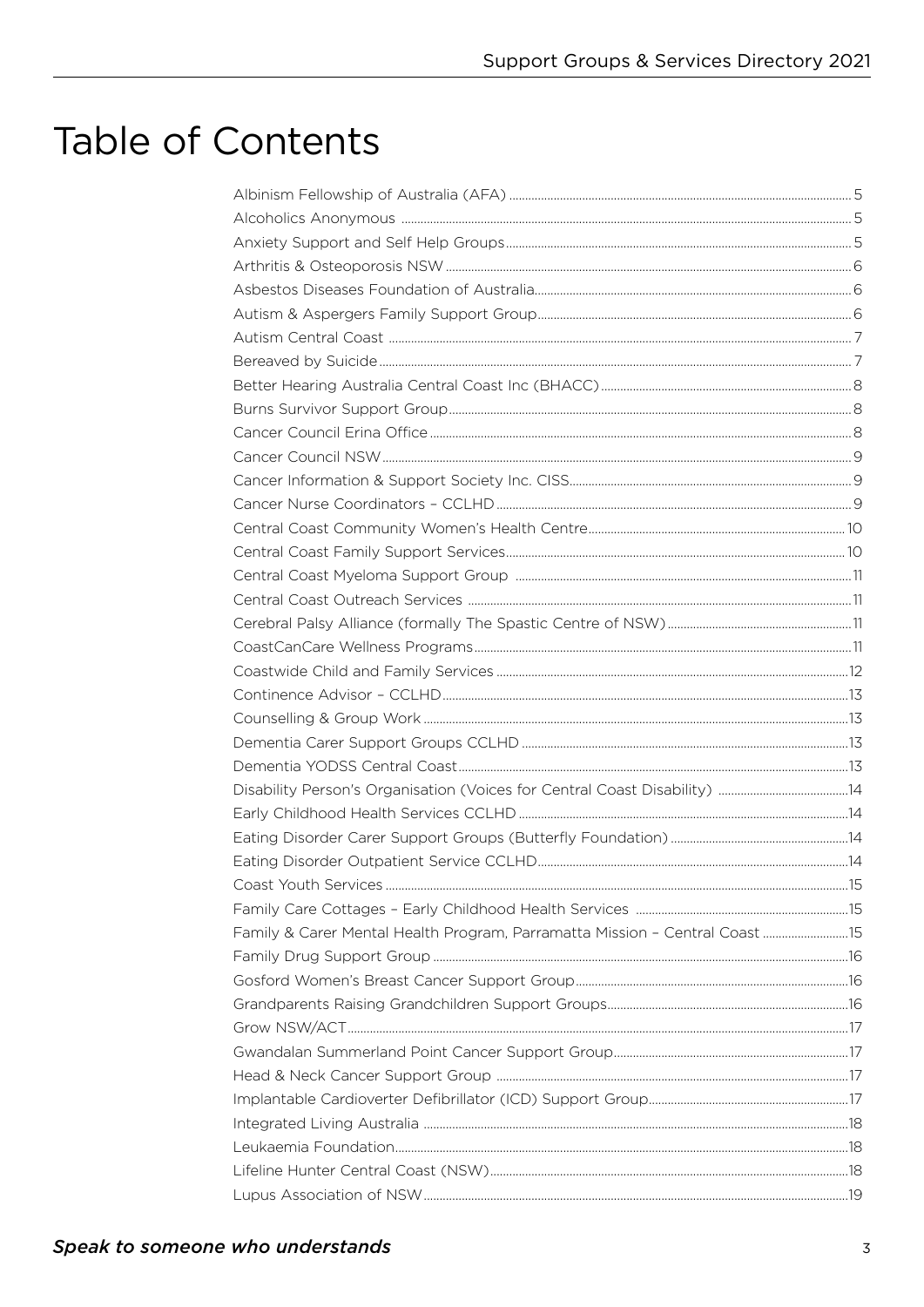# Table of Contents

| Family & Carer Mental Health Program, Parramatta Mission - Central Coast 15 |  |
|-----------------------------------------------------------------------------|--|
|                                                                             |  |
|                                                                             |  |
|                                                                             |  |
|                                                                             |  |
|                                                                             |  |
|                                                                             |  |
|                                                                             |  |
|                                                                             |  |
|                                                                             |  |
|                                                                             |  |
|                                                                             |  |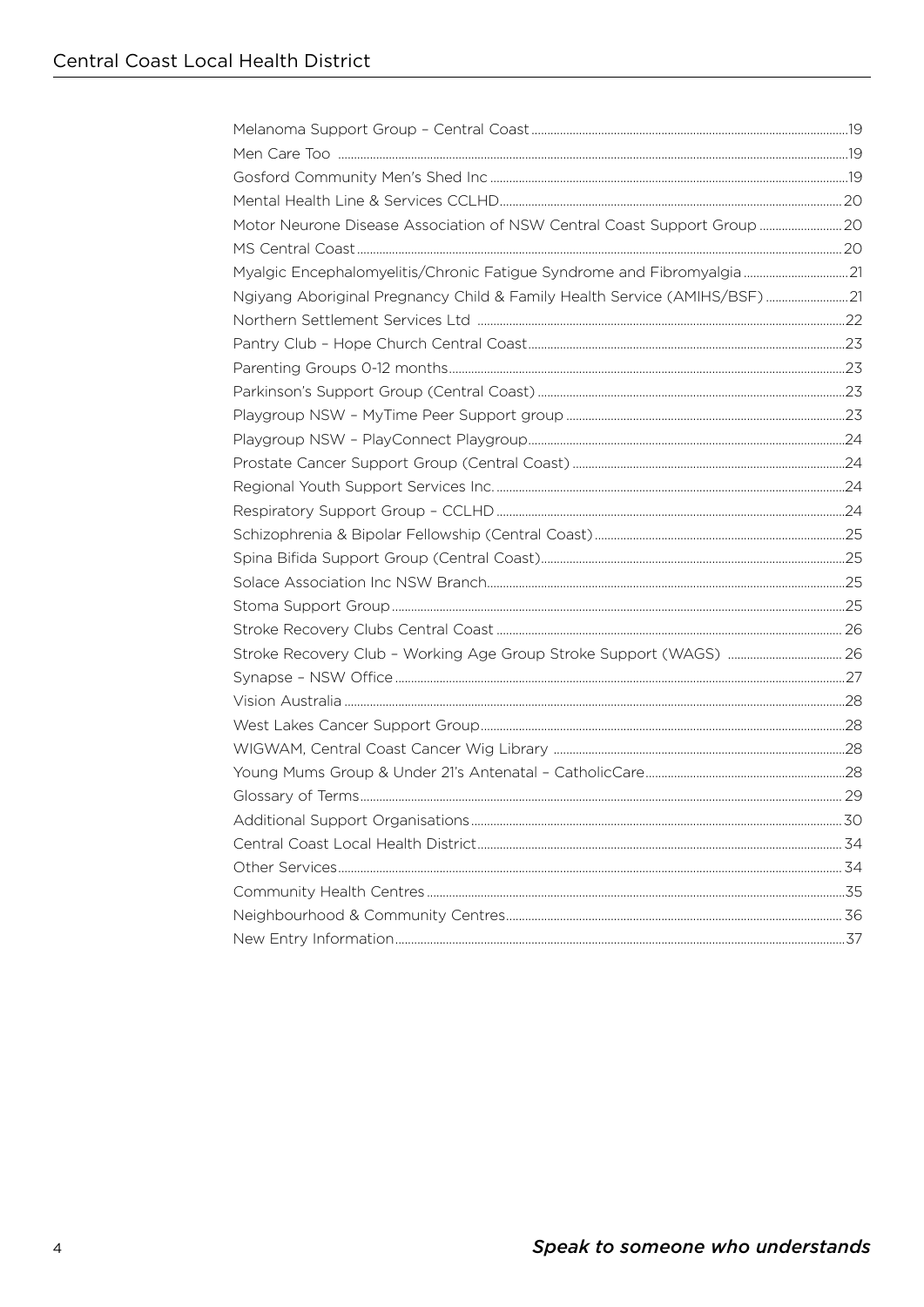| Motor Neurone Disease Association of NSW Central Coast Support Group  20   |  |
|----------------------------------------------------------------------------|--|
|                                                                            |  |
| Myalgic Encephalomyelitis/Chronic Fatigue Syndrome and Fibromyalgia 21     |  |
| Ngiyang Aboriginal Pregnancy Child & Family Health Service (AMIHS/BSF)  21 |  |
|                                                                            |  |
|                                                                            |  |
|                                                                            |  |
|                                                                            |  |
|                                                                            |  |
|                                                                            |  |
|                                                                            |  |
|                                                                            |  |
|                                                                            |  |
|                                                                            |  |
|                                                                            |  |
|                                                                            |  |
|                                                                            |  |
|                                                                            |  |
|                                                                            |  |
|                                                                            |  |
|                                                                            |  |
|                                                                            |  |
|                                                                            |  |
|                                                                            |  |
|                                                                            |  |
|                                                                            |  |
|                                                                            |  |
|                                                                            |  |
|                                                                            |  |
|                                                                            |  |
|                                                                            |  |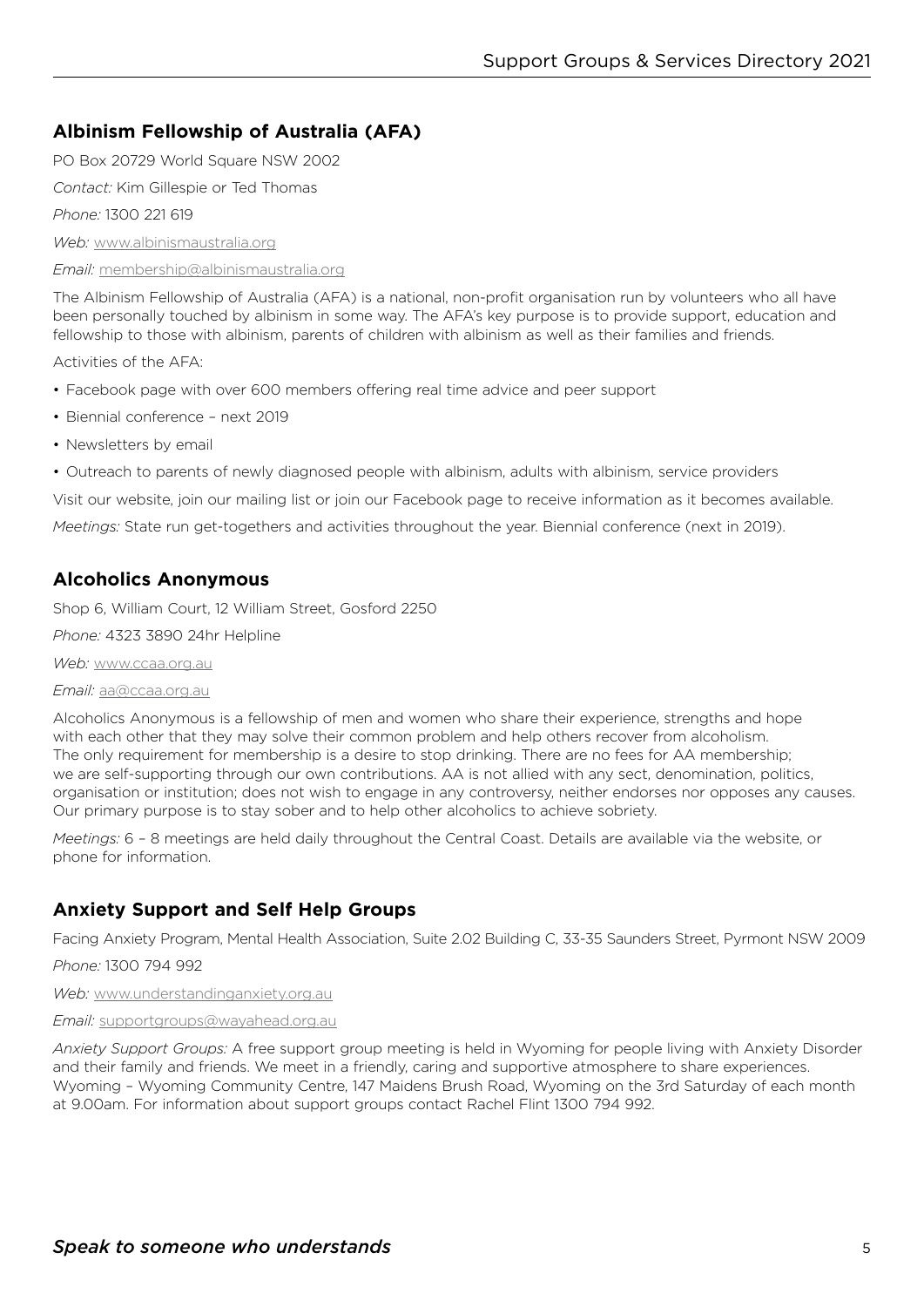# <span id="page-4-0"></span>**Albinism Fellowship of Australia (AFA)**

PO Box 20729 World Square NSW 2002

*Contact:* Kim Gillespie or Ted Thomas

*Phone:* 1300 221 619

*Web:* [www.albinismaustralia.org](http://www.albinismaustralia.org)

#### *Email:* [membership@albinismaustralia.org](mailto:membership%40albinismaustralia.org?subject=)

The Albinism Fellowship of Australia (AFA) is a national, non-profit organisation run by volunteers who all have been personally touched by albinism in some way. The AFA's key purpose is to provide support, education and fellowship to those with albinism, parents of children with albinism as well as their families and friends.

Activities of the AFA:

- Facebook page with over 600 members offering real time advice and peer support
- Biennial conference next 2019
- Newsletters by email
- Outreach to parents of newly diagnosed people with albinism, adults with albinism, service providers

Visit our website, join our mailing list or join our Facebook page to receive information as it becomes available.

*Meetings:* State run get-togethers and activities throughout the year. Biennial conference (next in 2019).

# **Alcoholics Anonymous**

Shop 6, William Court, 12 William Street, Gosford 2250

*Phone:* 4323 3890 24hr Helpline

*Web:* <www.ccaa.org.au>

#### *Email:* [aa@ccaa.org.au](mailto:aa%40ccaa.org.au?subject=)

Alcoholics Anonymous is a fellowship of men and women who share their experience, strengths and hope with each other that they may solve their common problem and help others recover from alcoholism. The only requirement for membership is a desire to stop drinking. There are no fees for AA membership; we are self-supporting through our own contributions. AA is not allied with any sect, denomination, politics, organisation or institution; does not wish to engage in any controversy, neither endorses nor opposes any causes. Our primary purpose is to stay sober and to help other alcoholics to achieve sobriety.

*Meetings:* 6 – 8 meetings are held daily throughout the Central Coast. Details are available via the website, or phone for information.

# **Anxiety Support and Self Help Groups**

Facing Anxiety Program, Mental Health Association, Suite 2.02 Building C, 33-35 Saunders Street, Pyrmont NSW 2009

*Phone:* 1300 794 992

*Web:* <www.understandinganxiety.org.au>

#### *Email:* [supportgroups@wayahead.org.au](mailto:supportgroups%40wayahead.org.au?subject=)

*Anxiety Support Groups:* A free support group meeting is held in Wyoming for people living with Anxiety Disorder and their family and friends. We meet in a friendly, caring and supportive atmosphere to share experiences. Wyoming – Wyoming Community Centre, 147 Maidens Brush Road, Wyoming on the 3rd Saturday of each month at 9.00am. For information about support groups contact Rachel Flint 1300 794 992.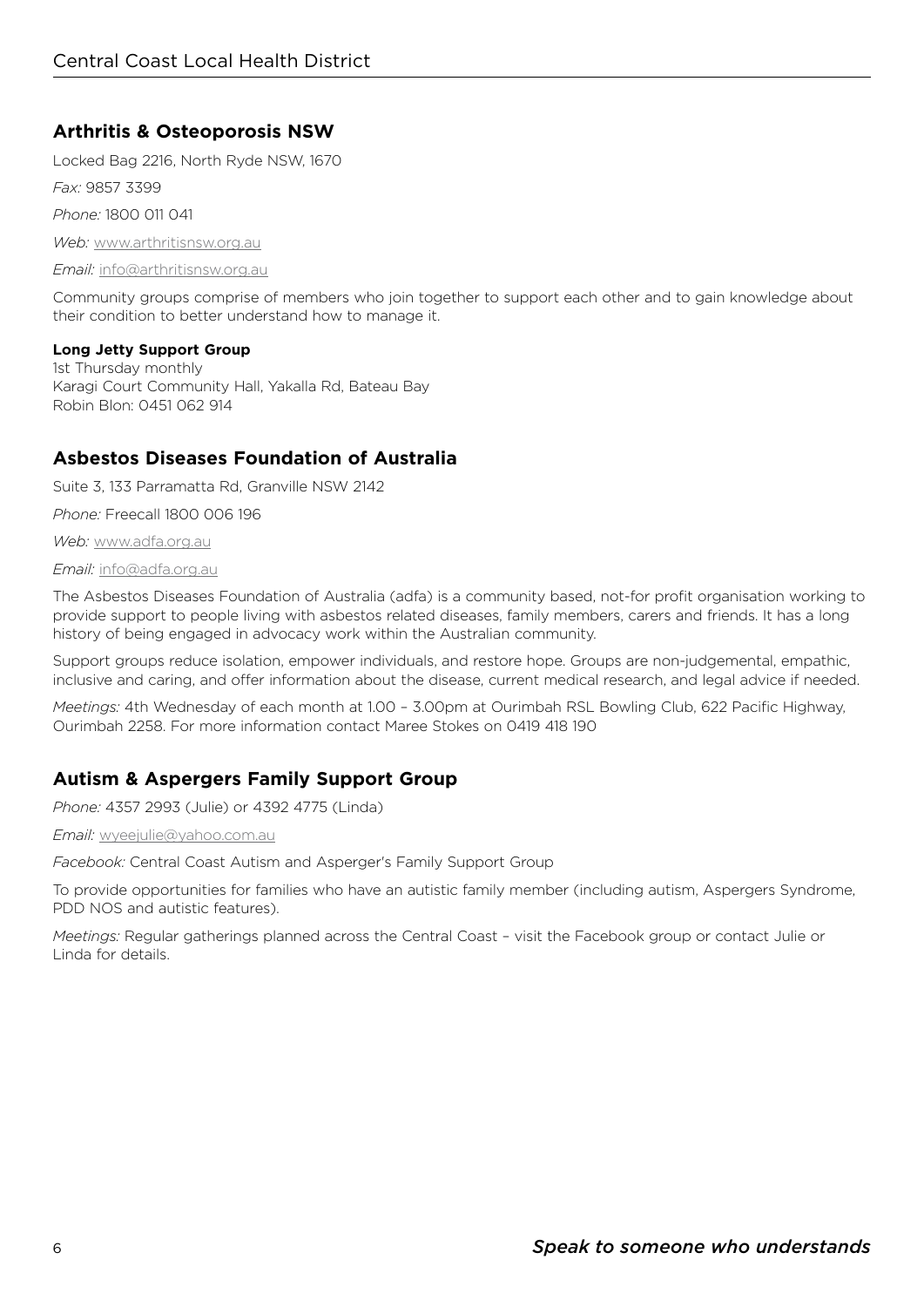# <span id="page-5-0"></span>**Arthritis & Osteoporosis NSW**

Locked Bag 2216, North Ryde NSW, 1670

*Fax:* 9857 3399

*Phone:* 1800 011 041

*Web:* <www.arthritisnsw.org.au>

*Email:* [info@arthritisnsw.org.au](mailto:info%40arthritisnsw.org.au?subject=)

Community groups comprise of members who join together to support each other and to gain knowledge about their condition to better understand how to manage it.

#### **Long Jetty Support Group**

1st Thursday monthly Karagi Court Community Hall, Yakalla Rd, Bateau Bay Robin Blon: 0451 062 914

# **Asbestos Diseases Foundation of Australia**

Suite 3, 133 Parramatta Rd, Granville NSW 2142

*Phone:* Freecall 1800 006 196

*Web:* <www.adfa.org.au>

*Email:* [info@adfa.org.au](mailto:info%40adfa.org.au?subject=)

The Asbestos Diseases Foundation of Australia (adfa) is a community based, not-for profit organisation working to provide support to people living with asbestos related diseases, family members, carers and friends. It has a long history of being engaged in advocacy work within the Australian community.

Support groups reduce isolation, empower individuals, and restore hope. Groups are non-judgemental, empathic, inclusive and caring, and offer information about the disease, current medical research, and legal advice if needed.

*Meetings:* 4th Wednesday of each month at 1.00 – 3.00pm at Ourimbah RSL Bowling Club, 622 Pacific Highway, Ourimbah 2258. For more information contact Maree Stokes on 0419 418 190

# **Autism & Aspergers Family Support Group**

*Phone:* 4357 2993 (Julie) or 4392 4775 (Linda)

*Email:* [wyeejulie@yahoo.com.au](mailto:wyeejulie%40yahoo.com.au?subject=)

*Facebook:* Central Coast Autism and Asperger's Family Support Group

To provide opportunities for families who have an autistic family member (including autism, Aspergers Syndrome, PDD NOS and autistic features).

*Meetings:* Regular gatherings planned across the Central Coast – visit the Facebook group or contact Julie or Linda for details.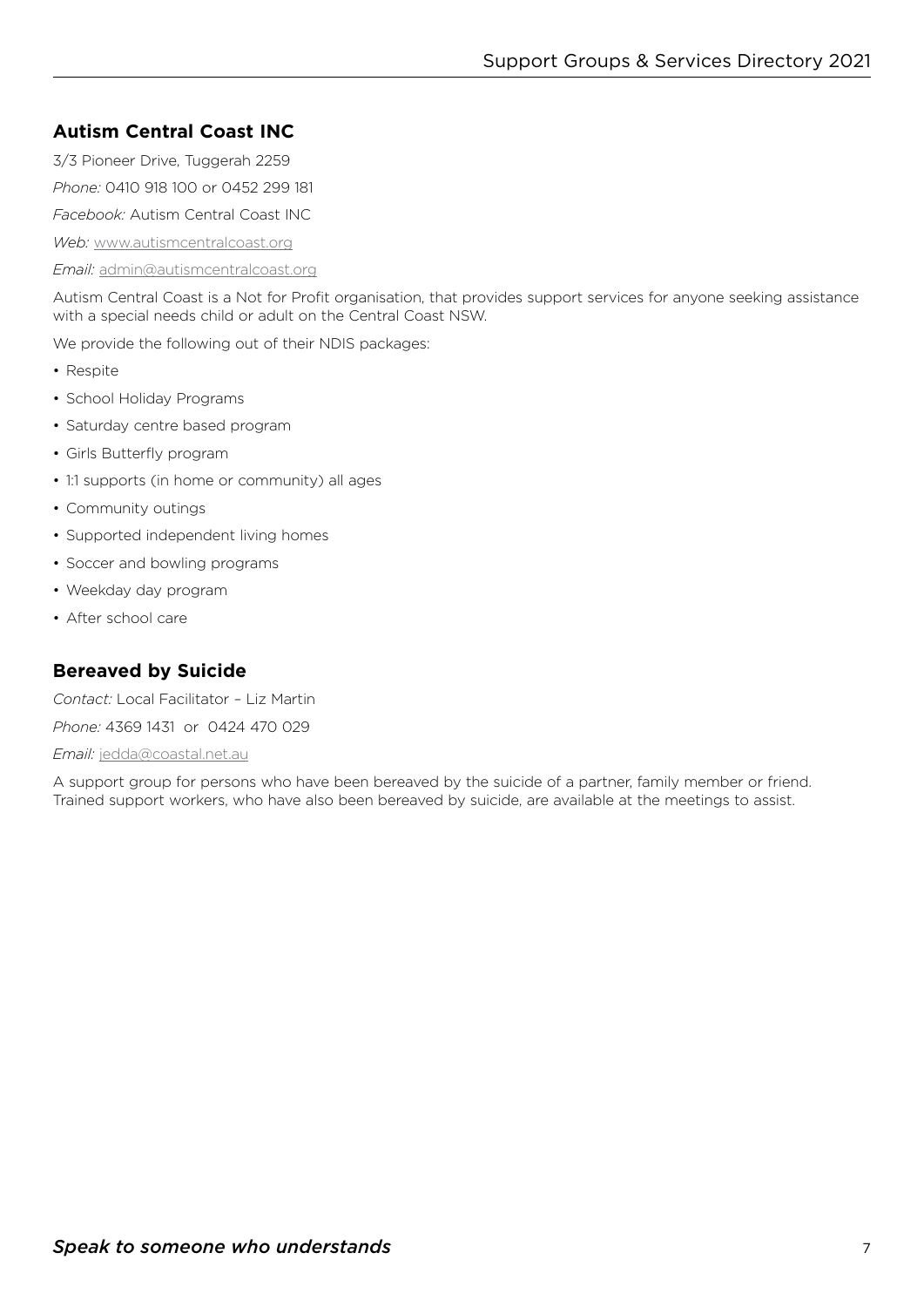# <span id="page-6-0"></span>**Autism Central Coast INC**

3/3 Pioneer Drive, Tuggerah 2259

*Phone:* 0410 918 100 or 0452 299 181

*Facebook:* Autism Central Coast INC

*Web:* <www.autismcentralcoast.org>

*Email:* [admin@autismcentralcoast.org](mailto:admin%40autismcentralcoast.org?subject=)

Autism Central Coast is a Not for Profit organisation, that provides support services for anyone seeking assistance with a special needs child or adult on the Central Coast NSW.

We provide the following out of their NDIS packages:

- Respite
- School Holiday Programs
- Saturday centre based program
- Girls Butterfly program
- 1:1 supports (in home or community) all ages
- Community outings
- Supported independent living homes
- Soccer and bowling programs
- Weekday day program
- After school care

# **Bereaved by Suicide**

*Contact:* Local Facilitator – Liz Martin

*Phone:* 4369 1431 or 0424 470 029

*Email:* [jedda@coastal.net.au](mailto:jedda%40coastal.net.au?subject=)

A support group for persons who have been bereaved by the suicide of a partner, family member or friend. Trained support workers, who have also been bereaved by suicide, are available at the meetings to assist.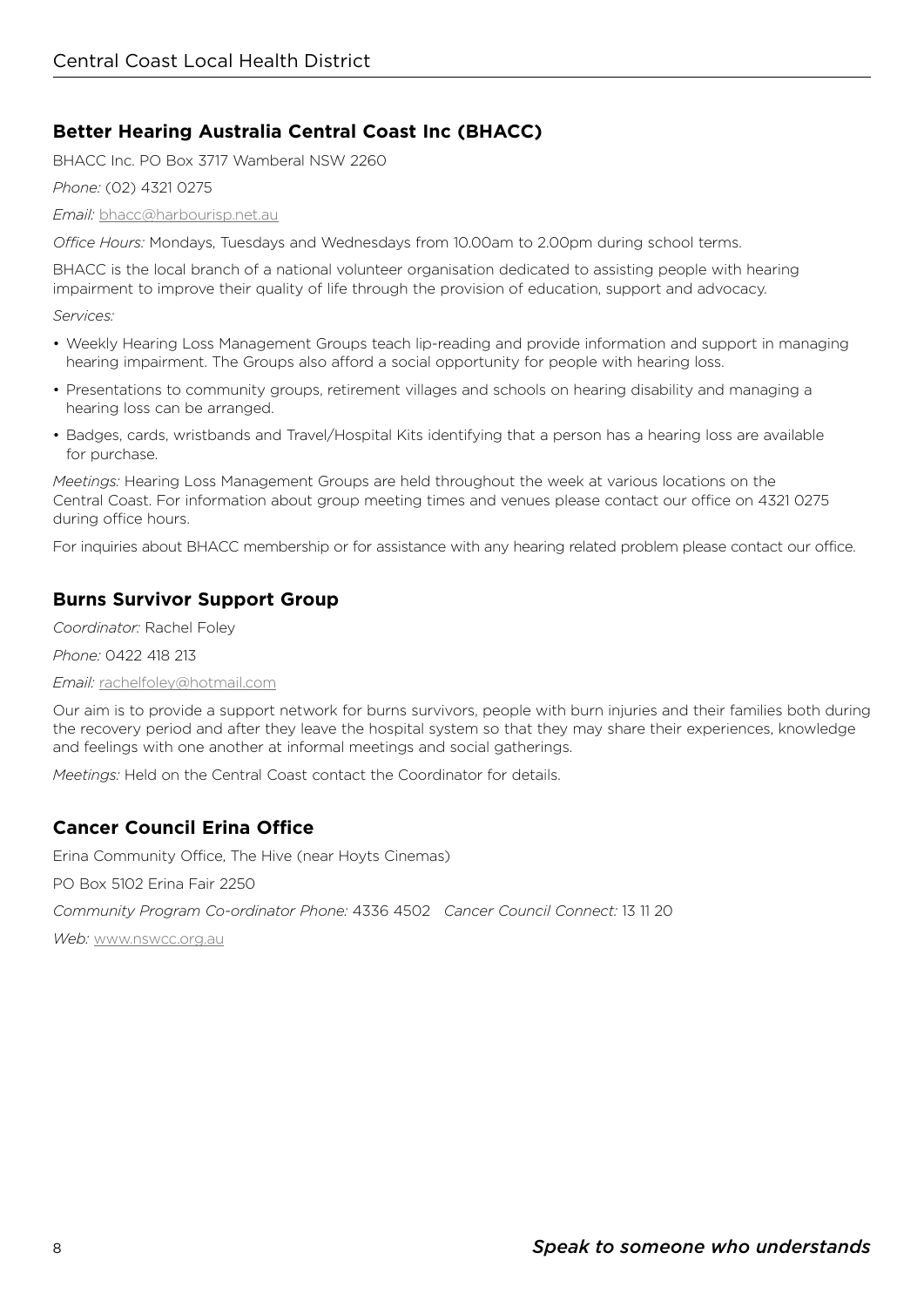# <span id="page-7-0"></span>**Better Hearing Australia Central Coast Inc (BHACC)**

BHACC Inc. PO Box 3717 Wamberal NSW 2260

*Phone:* (02) 4321 0275

*Email:* [bhacc@harbourisp.net.au](mailto:bhacc%40harbourisp.net.au?subject=)

*Office Hours:* Mondays, Tuesdays and Wednesdays from 10.00am to 2.00pm during school terms.

BHACC is the local branch of a national volunteer organisation dedicated to assisting people with hearing impairment to improve their quality of life through the provision of education, support and advocacy.

*Services:*

- Weekly Hearing Loss Management Groups teach lip-reading and provide information and support in managing hearing impairment. The Groups also afford a social opportunity for people with hearing loss.
- Presentations to community groups, retirement villages and schools on hearing disability and managing a hearing loss can be arranged.
- Badges, cards, wristbands and Travel/Hospital Kits identifying that a person has a hearing loss are available for purchase.

*Meetings:* Hearing Loss Management Groups are held throughout the week at various locations on the Central Coast. For information about group meeting times and venues please contact our office on 4321 0275 during office hours.

For inquiries about BHACC membership or for assistance with any hearing related problem please contact our office.

# **Burns Survivor Support Group**

*Coordinator:* Rachel Foley

*Phone:* 0422 418 213

#### *Email:* [rachelfoley@hotmail.com](mailto:achelfoley%40hotmail.com?subject=)

Our aim is to provide a support network for burns survivors, people with burn injuries and their families both during the recovery period and after they leave the hospital system so that they may share their experiences, knowledge and feelings with one another at informal meetings and social gatherings.

*Meetings:* Held on the Central Coast contact the Coordinator for details.

# **Cancer Council Erina Office**

Erina Community Office, The Hive (near Hoyts Cinemas)

PO Box 5102 Erina Fair 2250

*Community Program Co-ordinator Phone:* 4336 4502 *Cancer Council Connect:* 13 11 20

*Web:* <www.nswcc.org.au>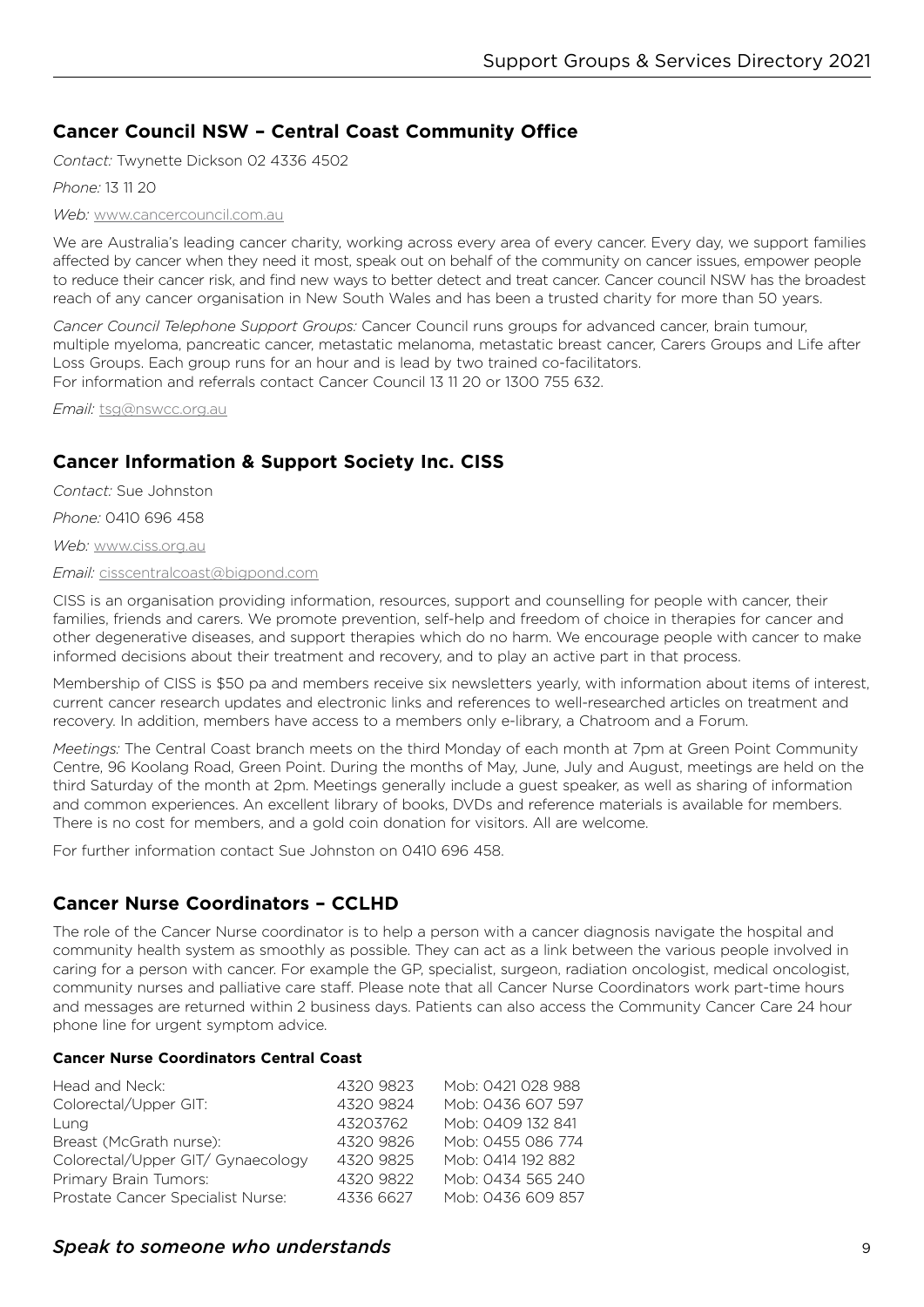# <span id="page-8-0"></span>**Cancer Council NSW – Central Coast Community Office**

*Contact:* Twynette Dickson 02 4336 4502

*Phone:* 13 11 20

*Web:* <www.cancercouncil.com.au>

We are Australia's leading cancer charity, working across every area of every cancer. Every day, we support families affected by cancer when they need it most, speak out on behalf of the community on cancer issues, empower people to reduce their cancer risk, and find new ways to better detect and treat cancer. Cancer council NSW has the broadest reach of any cancer organisation in New South Wales and has been a trusted charity for more than 50 years.

*Cancer Council Telephone Support Groups:* Cancer Council runs groups for advanced cancer, brain tumour, multiple myeloma, pancreatic cancer, metastatic melanoma, metastatic breast cancer, Carers Groups and Life after Loss Groups. Each group runs for an hour and is lead by two trained co-facilitators. For information and referrals contact Cancer Council 13 11 20 or 1300 755 632.

*Email:* [tsg@nswcc.org.au](mailto:tsg@nswcc.org.au)

# **Cancer Information & Support Society Inc. CISS**

*Contact:* Sue Johnston

*Phone:* 0410 696 458

*Web:* <www.ciss.org.au>

*Email:* [cisscentralcoast@bigpond.com](mailto:cisscentralcoast@bigpond.com)

CISS is an organisation providing information, resources, support and counselling for people with cancer, their families, friends and carers. We promote prevention, self-help and freedom of choice in therapies for cancer and other degenerative diseases, and support therapies which do no harm. We encourage people with cancer to make informed decisions about their treatment and recovery, and to play an active part in that process.

Membership of CISS is \$50 pa and members receive six newsletters yearly, with information about items of interest, current cancer research updates and electronic links and references to well-researched articles on treatment and recovery. In addition, members have access to a members only e-library, a Chatroom and a Forum.

*Meetings:* The Central Coast branch meets on the third Monday of each month at 7pm at Green Point Community Centre, 96 Koolang Road, Green Point. During the months of May, June, July and August, meetings are held on the third Saturday of the month at 2pm. Meetings generally include a guest speaker, as well as sharing of information and common experiences. An excellent library of books, DVDs and reference materials is available for members. There is no cost for members, and a gold coin donation for visitors. All are welcome.

For further information contact Sue Johnston on 0410 696 458.

# **Cancer Nurse Coordinators – CCLHD**

The role of the Cancer Nurse coordinator is to help a person with a cancer diagnosis navigate the hospital and community health system as smoothly as possible. They can act as a link between the various people involved in caring for a person with cancer. For example the GP, specialist, surgeon, radiation oncologist, medical oncologist, community nurses and palliative care staff. Please note that all Cancer Nurse Coordinators work part-time hours and messages are returned within 2 business days. Patients can also access the Community Cancer Care 24 hour phone line for urgent symptom advice.

#### **Cancer Nurse Coordinators Central Coast**

| Head and Neck:                    | 4320 9823 | Mob: 0421 028 988 |
|-----------------------------------|-----------|-------------------|
| Colorectal/Upper GIT:             | 4320 9824 | Mob: 0436 607 597 |
| Lung                              | 43203762  | Mob: 0409 132 841 |
| Breast (McGrath nurse):           | 4320 9826 | Mob: 0455 086 774 |
| Colorectal/Upper GIT/ Gynaecology | 4320 9825 | Mob: 0414 192 882 |
| Primary Brain Tumors:             | 4320 9822 | Mob: 0434 565 240 |
| Prostate Cancer Specialist Nurse: | 4336 6627 | Mob: 0436 609 857 |
|                                   |           |                   |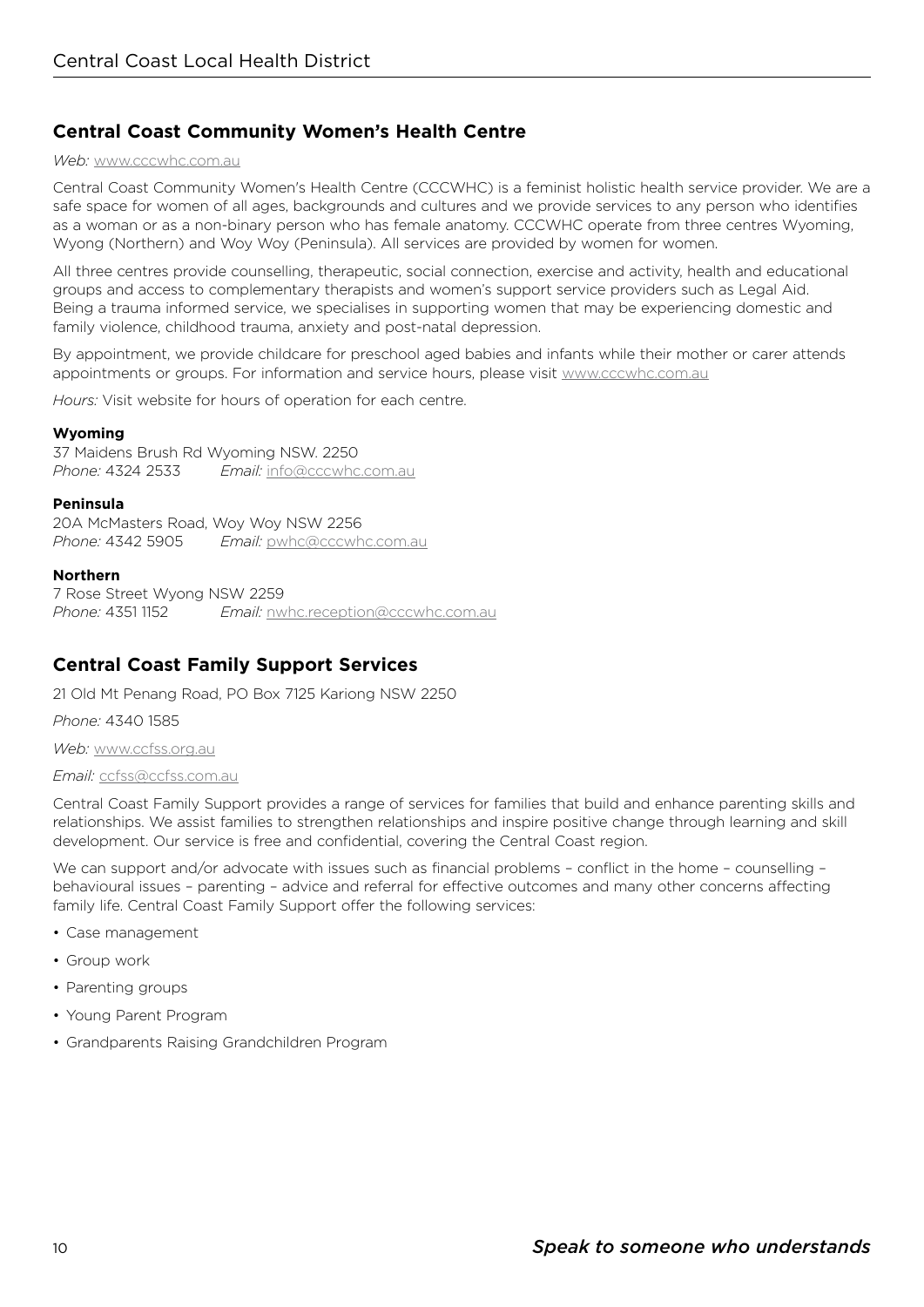# <span id="page-9-0"></span>**Central Coast Community Women's Health Centre**

#### *Web:* <www.cccwhc.com.au>

Central Coast Community Women's Health Centre (CCCWHC) is a feminist holistic health service provider. We are a safe space for women of all ages, backgrounds and cultures and we provide services to any person who identifies as a woman or as a non-binary person who has female anatomy. CCCWHC operate from three centres Wyoming, Wyong (Northern) and Woy Woy (Peninsula). All services are provided by women for women.

All three centres provide counselling, therapeutic, social connection, exercise and activity, health and educational groups and access to complementary therapists and women's support service providers such as Legal Aid. Being a trauma informed service, we specialises in supporting women that may be experiencing domestic and family violence, childhood trauma, anxiety and post-natal depression.

By appointment, we provide childcare for preschool aged babies and infants while their mother or carer attends appointments or groups. For information and service hours, please visit www.cccwhc.com.au

*Hours:* Visit website for hours of operation for each centre.

#### **Wyoming**

37 Maidens Brush Rd Wyoming NSW. 2250 *Phone:* 4324 2533 *Email:* info@cccwhc.com.au

#### **Peninsula**

20A McMasters Road, Woy Woy NSW 2256 *Phone:* 4342 5905 *Email:* [pwhc@cccwhc.com.au](mailto:pwhc%40cccwhc.com.au?subject=)

#### **Northern**

7 Rose Street Wyong NSW 2259 *Phone:* 4351 1152 *Email:* [nwhc.reception@cccwhc.com.au](mailto:nwhc.reception%40cccwhc.com.au?subject=)

# **Central Coast Family Support Services**

21 Old Mt Penang Road, PO Box 7125 Kariong NSW 2250

*Phone:* 4340 1585

*Web:* <www.ccfss.org.au>

#### *Email:* [ccfss@ccfss.com.au](mailto:ccfss%40ccfss.com.au?subject=)

Central Coast Family Support provides a range of services for families that build and enhance parenting skills and relationships. We assist families to strengthen relationships and inspire positive change through learning and skill development. Our service is free and confidential, covering the Central Coast region.

We can support and/or advocate with issues such as financial problems - conflict in the home - counselling behavioural issues – parenting – advice and referral for effective outcomes and many other concerns affecting family life. Central Coast Family Support offer the following services:

- Case management
- Group work
- Parenting groups
- Young Parent Program
- Grandparents Raising Grandchildren Program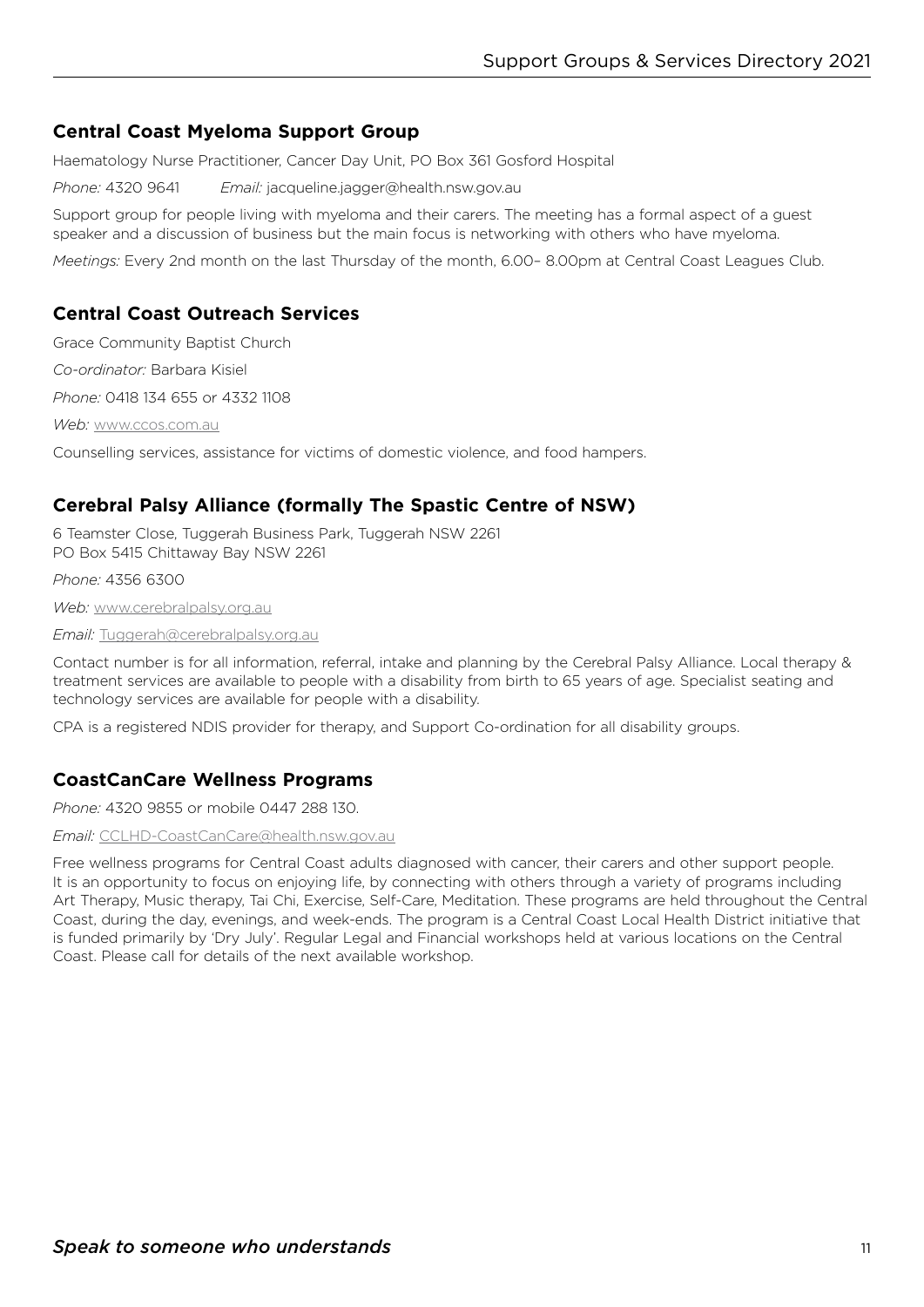# <span id="page-10-0"></span>**Central Coast Myeloma Support Group**

Haematology Nurse Practitioner, Cancer Day Unit, PO Box 361 Gosford Hospital

*Phone:* 4320 9641 *Email:* jacqueline.jagger@health.nsw.gov.au

Support group for people living with myeloma and their carers. The meeting has a formal aspect of a guest speaker and a discussion of business but the main focus is networking with others who have myeloma.

*Meetings:* Every 2nd month on the last Thursday of the month, 6.00– 8.00pm at Central Coast Leagues Club.

# **Central Coast Outreach Services**

Grace Community Baptist Church *Co-ordinator:* Barbara Kisiel *Phone:* 0418 134 655 or 4332 1108 *Web:* [www.ccos.com.au](http://www.ccos.com.au/) Counselling services, assistance for victims of domestic violence, and food hampers.

# **Cerebral Palsy Alliance (formally The Spastic Centre of NSW)**

6 Teamster Close, Tuggerah Business Park, Tuggerah NSW 2261 PO Box 5415 Chittaway Bay NSW 2261

*Phone:* 4356 6300

*Web:* <www.cerebralpalsy.org.au>

*Email:* Tuggerah@cerebralpalsy.org.au

Contact number is for all information, referral, intake and planning by the Cerebral Palsy Alliance. Local therapy & treatment services are available to people with a disability from birth to 65 years of age. Specialist seating and technology services are available for people with a disability.

CPA is a registered NDIS provider for therapy, and Support Co-ordination for all disability groups.

# **CoastCanCare Wellness Programs**

*Phone:* 4320 9855 or mobile 0447 288 130.

*Email:* [CCLHD-CoastCanCare@health.nsw.gov.au](mailto:CCLHD-CoastCanCare%40health.nsw.gov.au?subject=)

Free wellness programs for Central Coast adults diagnosed with cancer, their carers and other support people. It is an opportunity to focus on enjoying life, by connecting with others through a variety of programs including Art Therapy, Music therapy, Tai Chi, Exercise, Self-Care, Meditation. These programs are held throughout the Central Coast, during the day, evenings, and week-ends. The program is a Central Coast Local Health District initiative that is funded primarily by 'Dry July'. Regular Legal and Financial workshops held at various locations on the Central Coast. Please call for details of the next available workshop.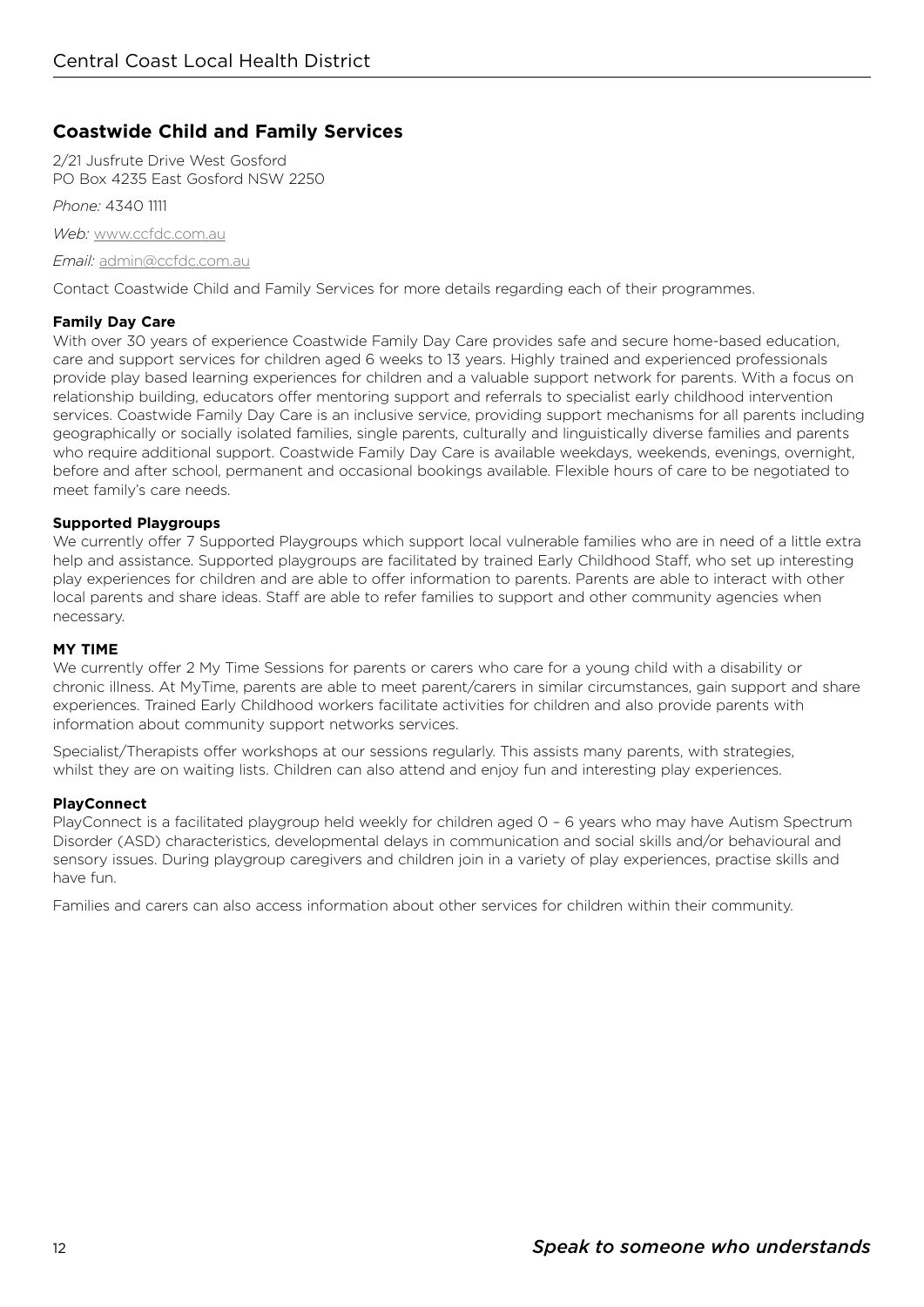# <span id="page-11-0"></span>**Coastwide Child and Family Services**

2/21 Jusfrute Drive West Gosford PO Box 4235 East Gosford NSW 2250

*Phone:* 4340 1111

*Web:* <www.ccfdc.com.au>

*Email:* [admin@ccfdc.com.au](mailto:admin%40ccfdc.com.au?subject=)

Contact Coastwide Child and Family Services for more details regarding each of their programmes.

#### **Family Day Care**

With over 30 years of experience Coastwide Family Day Care provides safe and secure home-based education, care and support services for children aged 6 weeks to 13 years. Highly trained and experienced professionals provide play based learning experiences for children and a valuable support network for parents. With a focus on relationship building, educators offer mentoring support and referrals to specialist early childhood intervention services. Coastwide Family Day Care is an inclusive service, providing support mechanisms for all parents including geographically or socially isolated families, single parents, culturally and linguistically diverse families and parents who require additional support. Coastwide Family Day Care is available weekdays, weekends, evenings, overnight, before and after school, permanent and occasional bookings available. Flexible hours of care to be negotiated to meet family's care needs.

#### **Supported Playgroups**

We currently offer 7 Supported Playgroups which support local vulnerable families who are in need of a little extra help and assistance. Supported playgroups are facilitated by trained Early Childhood Staff, who set up interesting play experiences for children and are able to offer information to parents. Parents are able to interact with other local parents and share ideas. Staff are able to refer families to support and other community agencies when necessary.

#### **MY TIME**

We currently offer 2 My Time Sessions for parents or carers who care for a young child with a disability or chronic illness. At MyTime, parents are able to meet parent/carers in similar circumstances, gain support and share experiences. Trained Early Childhood workers facilitate activities for children and also provide parents with information about community support networks services.

Specialist/Therapists offer workshops at our sessions regularly. This assists many parents, with strategies, whilst they are on waiting lists. Children can also attend and enjoy fun and interesting play experiences.

#### **PlayConnect**

PlayConnect is a facilitated playgroup held weekly for children aged 0 – 6 years who may have Autism Spectrum Disorder (ASD) characteristics, developmental delays in communication and social skills and/or behavioural and sensory issues. During playgroup caregivers and children join in a variety of play experiences, practise skills and have fun.

Families and carers can also access information about other services for children within their community.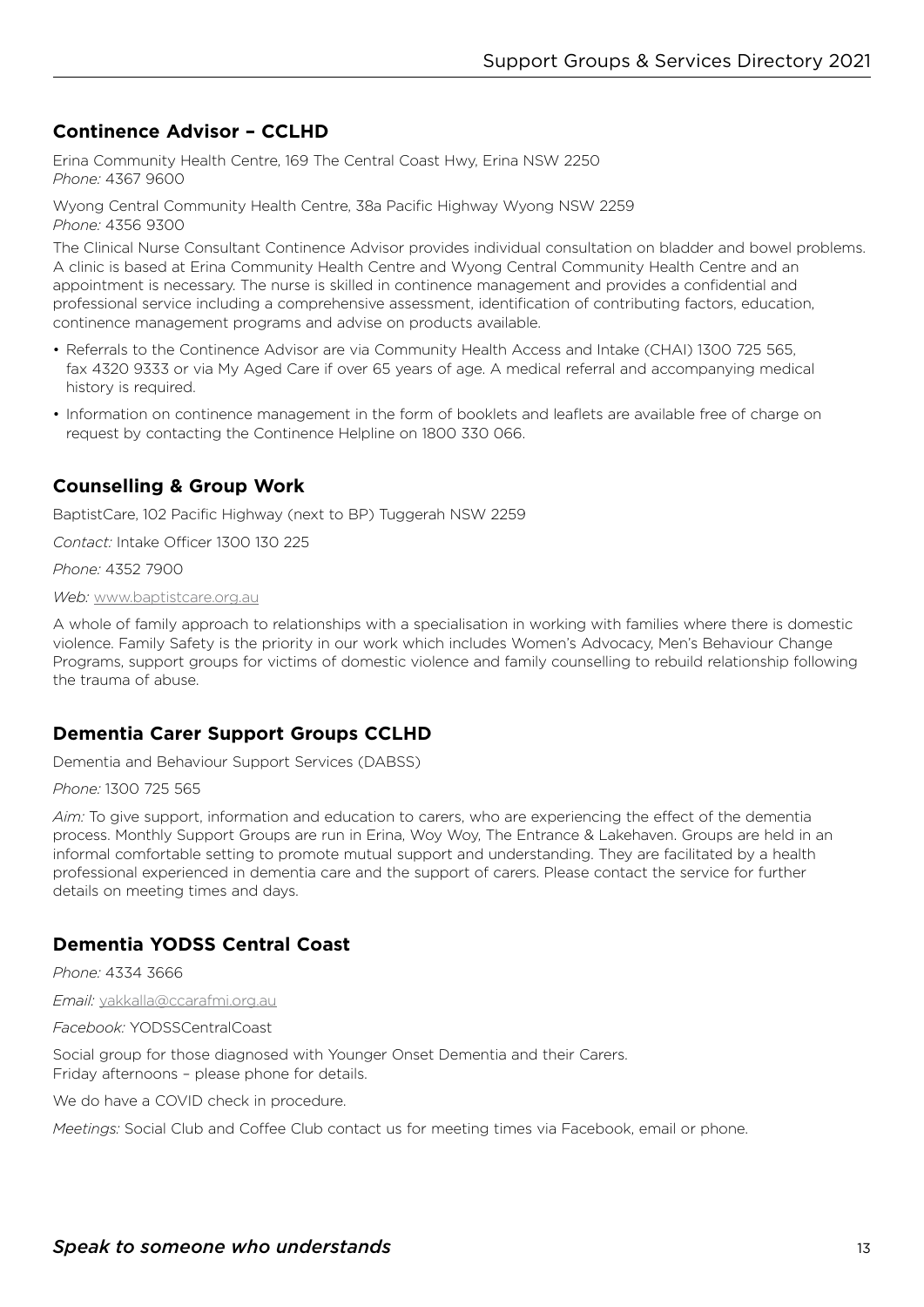# <span id="page-12-0"></span>**Continence Advisor – CCLHD**

Erina Community Health Centre, 169 The Central Coast Hwy, Erina NSW 2250 *Phone:* 4367 9600

Wyong Central Community Health Centre, 38a Pacific Highway Wyong NSW 2259 *Phone:* 4356 9300

The Clinical Nurse Consultant Continence Advisor provides individual consultation on bladder and bowel problems. A clinic is based at Erina Community Health Centre and Wyong Central Community Health Centre and an appointment is necessary. The nurse is skilled in continence management and provides a confidential and professional service including a comprehensive assessment, identification of contributing factors, education, continence management programs and advise on products available.

- Referrals to the Continence Advisor are via Community Health Access and Intake (CHAI) 1300 725 565, fax 4320 9333 or via My Aged Care if over 65 years of age. A medical referral and accompanying medical history is required.
- Information on continence management in the form of booklets and leaflets are available free of charge on request by contacting the Continence Helpline on 1800 330 066.

### **Counselling & Group Work**

BaptistCare, 102 Pacific Highway (next to BP) Tuggerah NSW 2259

*Contact:* Intake Officer 1300 130 225

#### *Phone:* 4352 7900

*Web:* <www.baptistcare.org.au>

A whole of family approach to relationships with a specialisation in working with families where there is domestic violence. Family Safety is the priority in our work which includes Women's Advocacy, Men's Behaviour Change Programs, support groups for victims of domestic violence and family counselling to rebuild relationship following the trauma of abuse.

# **Dementia Carer Support Groups CCLHD**

Dementia and Behaviour Support Services (DABSS)

*Phone:* 1300 725 565

*Aim:* To give support, information and education to carers, who are experiencing the effect of the dementia process. Monthly Support Groups are run in Erina, Woy Woy, The Entrance & Lakehaven. Groups are held in an informal comfortable setting to promote mutual support and understanding. They are facilitated by a health professional experienced in dementia care and the support of carers. Please contact the service for further details on meeting times and days.

# **Dementia YODSS Central Coast**

*Phone:* 4334 3666

*Email:* [yakkalla@ccarafmi.org.au](mailto:yakkalla@ccarafmi.org.au)

*Facebook:* YODSSCentralCoast

Social group for those diagnosed with Younger Onset Dementia and their Carers. Friday afternoons – please phone for details.

We do have a COVID check in procedure.

*Meetings:* Social Club and Coffee Club contact us for meeting times via Facebook, email or phone.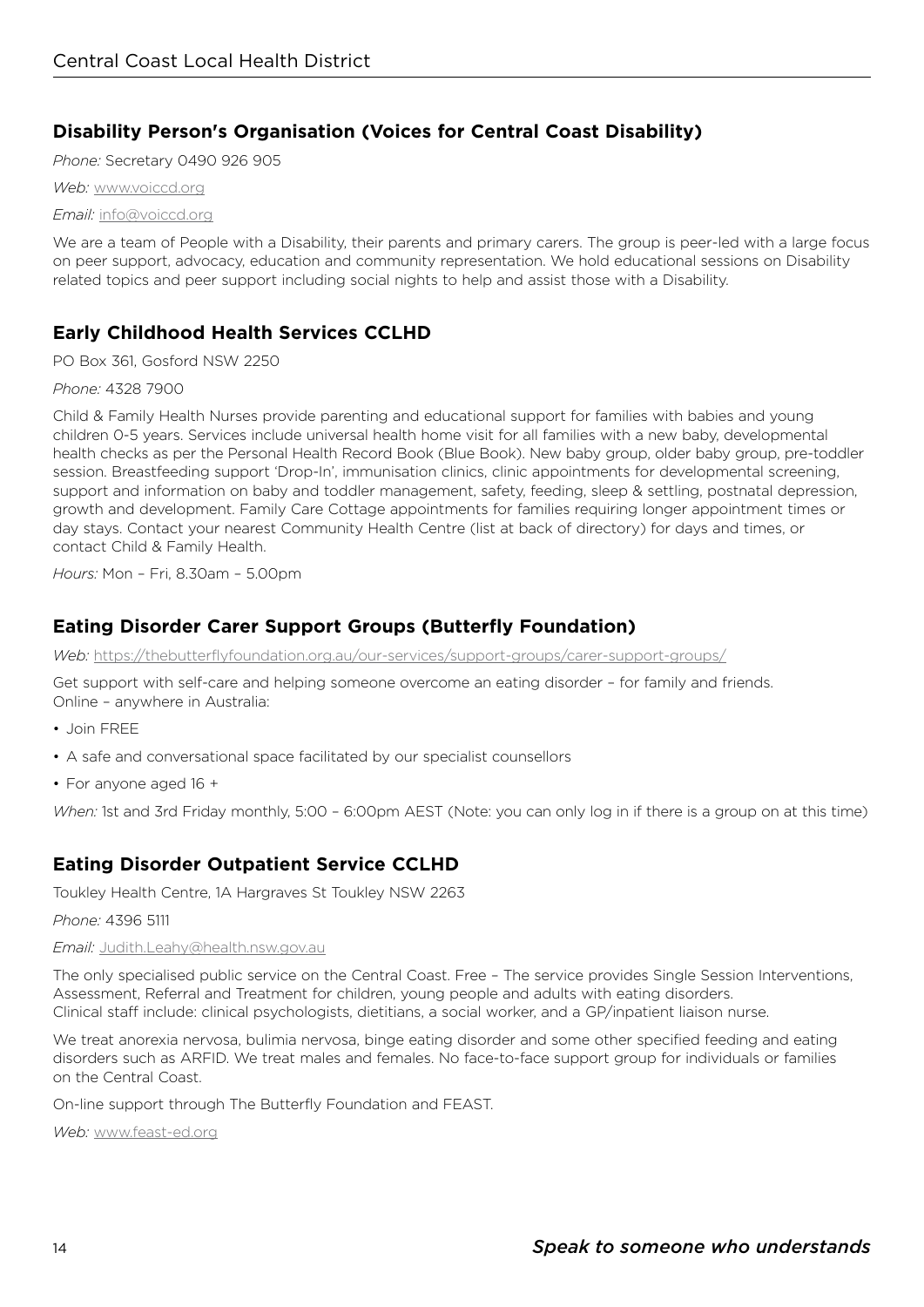# <span id="page-13-0"></span>**Disability Person's Organisation (Voices for Central Coast Disability)**

*Phone:* Secretary 0490 926 905

*Web:* [www.voiccd.org](https://www.voiccd.org/)

*Email:* info@voiccd.org

We are a team of People with a Disability, their parents and primary carers. The group is peer-led with a large focus on peer support, advocacy, education and community representation. We hold educational sessions on Disability related topics and peer support including social nights to help and assist those with a Disability.

# **Early Childhood Health Services CCLHD**

PO Box 361, Gosford NSW 2250

*Phone:* 4328 7900

Child & Family Health Nurses provide parenting and educational support for families with babies and young children 0-5 years. Services include universal health home visit for all families with a new baby, developmental health checks as per the Personal Health Record Book (Blue Book). New baby group, older baby group, pre-toddler session. Breastfeeding support 'Drop-In', immunisation clinics, clinic appointments for developmental screening, support and information on baby and toddler management, safety, feeding, sleep & settling, postnatal depression, growth and development. Family Care Cottage appointments for families requiring longer appointment times or day stays. Contact your nearest Community Health Centre (list at back of directory) for days and times, or contact Child & Family Health.

*Hours:* Mon – Fri, 8.30am – 5.00pm

# **Eating Disorder Carer Support Groups (Butterfly Foundation)**

*Web:* <https://thebutterflyfoundation.org.au/our-services/support-groups/carer-support-groups/>

Get support with self-care and helping someone overcome an eating disorder – for family and friends. Online – anywhere in Australia:

- Join FREE
- A safe and conversational space facilitated by our specialist counsellors
- For anyone aged 16 +

*When:* 1st and 3rd Friday monthly, 5:00 – 6:00pm AEST (Note: you can only log in if there is a group on at this time)

# **Eating Disorder Outpatient Service CCLHD**

Toukley Health Centre, 1A Hargraves St Toukley NSW 2263

*Phone:* 4396 5111

#### *Email:* [Judith.Leahy@health.nsw.gov.au](mailto:Judith.Leahy%40health.nsw.gov.au?subject=)

The only specialised public service on the Central Coast. Free – The service provides Single Session Interventions, Assessment, Referral and Treatment for children, young people and adults with eating disorders. Clinical staff include: clinical psychologists, dietitians, a social worker, and a GP/inpatient liaison nurse.

We treat anorexia nervosa, bulimia nervosa, binge eating disorder and some other specified feeding and eating disorders such as ARFID. We treat males and females. No face-to-face support group for individuals or families on the Central Coast.

On-line support through The Butterfly Foundation and FEAST.

*Web:* [www.feast-ed.org](http://www.feast-ed.org )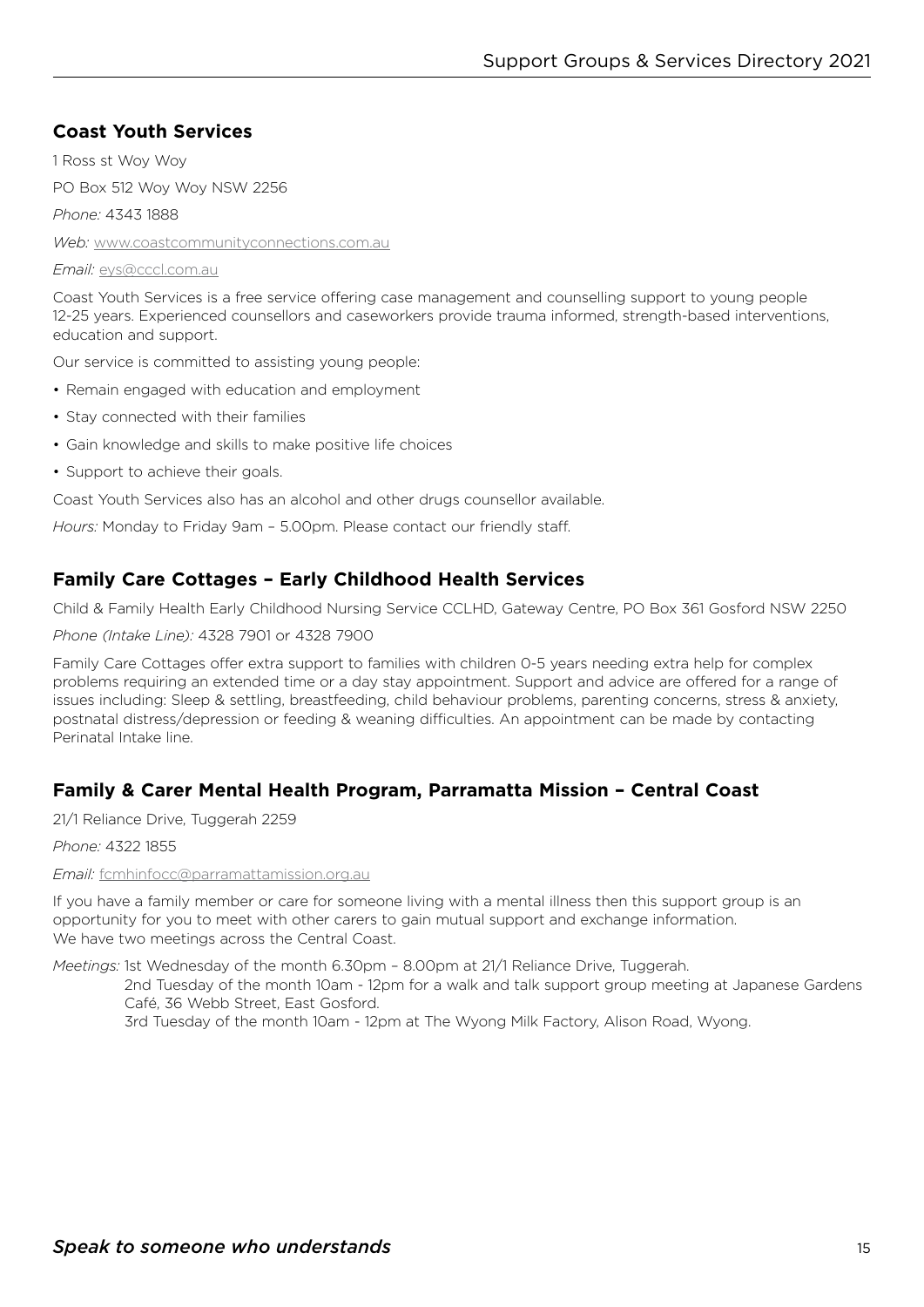# <span id="page-14-0"></span>**Coast Youth Services**

1 Ross st Woy Woy

PO Box 512 Woy Woy NSW 2256

*Phone:* 4343 1888

*Web:* [www.coastcommunityconnections.com.au](http://www.coastcommunityconnections.com.au)

*Email:* [eys@cccl.com.au](mailto:eys@cccl.com.au)

Coast Youth Services is a free service offering case management and counselling support to young people 12-25 years. Experienced counsellors and caseworkers provide trauma informed, strength-based interventions, education and support.

Our service is committed to assisting young people:

- Remain engaged with education and employment
- Stay connected with their families
- Gain knowledge and skills to make positive life choices
- Support to achieve their goals.

Coast Youth Services also has an alcohol and other drugs counsellor available.

*Hours:* Monday to Friday 9am – 5.00pm. Please contact our friendly staff.

# **Family Care Cottages – Early Childhood Health Services**

Child & Family Health Early Childhood Nursing Service CCLHD, Gateway Centre, PO Box 361 Gosford NSW 2250

*Phone (Intake Line):* 4328 7901 or 4328 7900

Family Care Cottages offer extra support to families with children 0-5 years needing extra help for complex problems requiring an extended time or a day stay appointment. Support and advice are offered for a range of issues including: Sleep & settling, breastfeeding, child behaviour problems, parenting concerns, stress & anxiety, postnatal distress/depression or feeding & weaning difficulties. An appointment can be made by contacting Perinatal Intake line.

# **Family & Carer Mental Health Program, Parramatta Mission – Central Coast**

21/1 Reliance Drive, Tuggerah 2259

*Phone:* 4322 1855

*Email:* [fcmhinfocc@parramattamission.org.au](mailto:fcmhinfocc%40parramattamission.org.au?subject=)

If you have a family member or care for someone living with a mental illness then this support group is an opportunity for you to meet with other carers to gain mutual support and exchange information. We have two meetings across the Central Coast.

*Meetings:* 1st Wednesday of the month 6.30pm – 8.00pm at 21/1 Reliance Drive, Tuggerah.

2nd Tuesday of the month 10am - 12pm for a walk and talk support group meeting at Japanese Gardens Café, 36 Webb Street, East Gosford.

3rd Tuesday of the month 10am - 12pm at The Wyong Milk Factory, Alison Road, Wyong.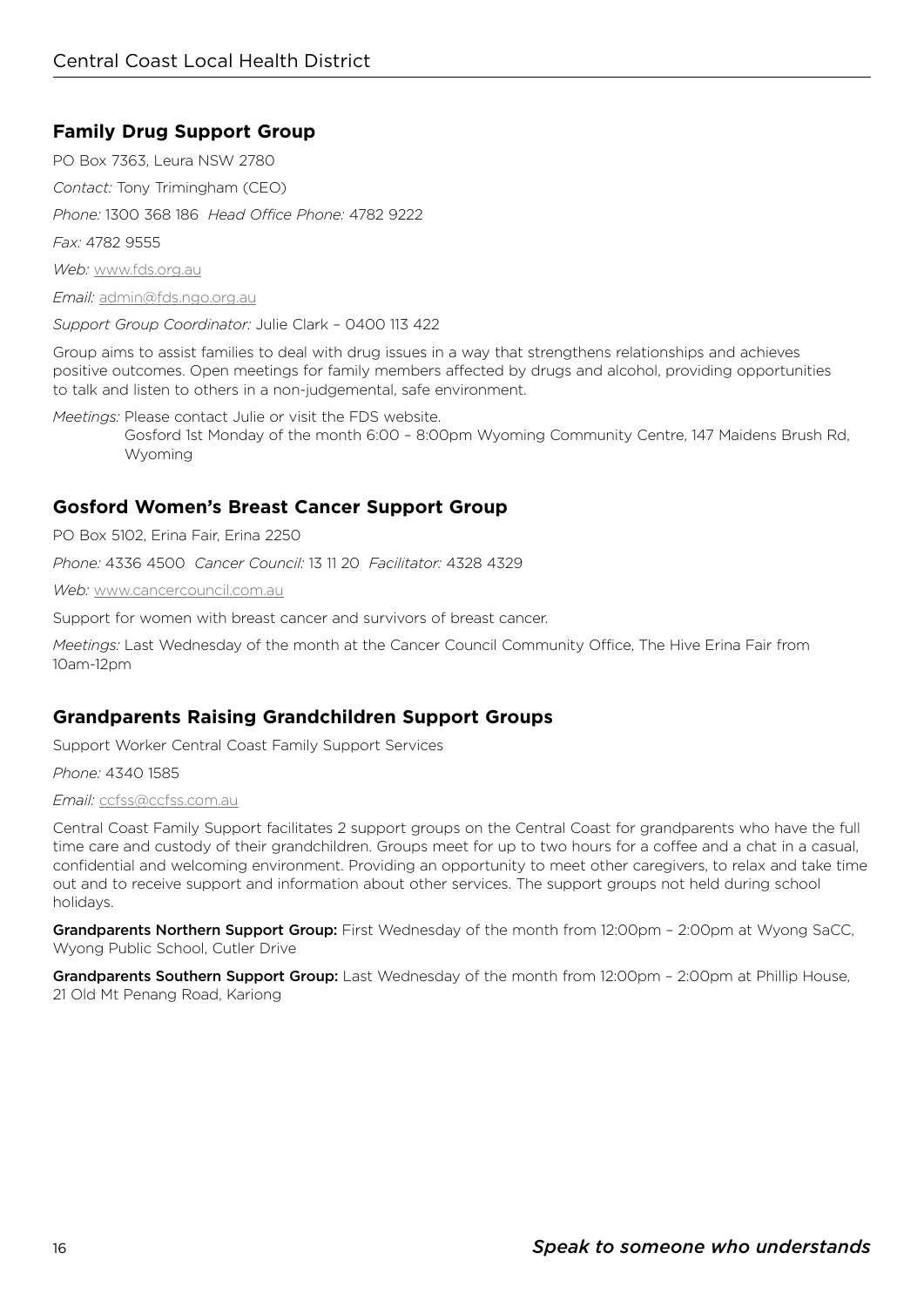# <span id="page-15-0"></span>**Family Drug Support Group**

PO Box 7363, Leura NSW 2780 *Contact:* Tony Trimingham (CEO) *Phone:* 1300 368 186 *Head Office Phone:* 4782 9222 *Fax:* 4782 9555 *Web:* <www.fds.org.au>

*Email:* [admin@fds.ngo.org.au](mailto:admin%40fds.ngo.org.au?subject=)

*Support Group Coordinator:* Julie Clark – 0400 113 422

Group aims to assist families to deal with drug issues in a way that strengthens relationships and achieves positive outcomes. Open meetings for family members affected by drugs and alcohol, providing opportunities to talk and listen to others in a non-judgemental, safe environment.

*Meetings:* Please contact Julie or visit the FDS website.

Gosford 1st Monday of the month 6:00 – 8:00pm Wyoming Community Centre, 147 Maidens Brush Rd, Wyoming

# **Gosford Women's Breast Cancer Support Group**

PO Box 5102, Erina Fair, Erina 2250

*Phone:* 4336 4500 *Cancer Council:* 13 11 20 *Facilitator:* 4328 4329

*Web:* <www.cancercouncil.com.au>

Support for women with breast cancer and survivors of breast cancer.

*Meetings:* Last Wednesday of the month at the Cancer Council Community Office, The Hive Erina Fair from 10am-12pm

# **Grandparents Raising Grandchildren Support Groups**

Support Worker Central Coast Family Support Services

*Phone:* 4340 1585

#### *Email:* [ccfss@ccfss.com.au](mailto:ccfss%40ccfss.com.au?subject=)

Central Coast Family Support facilitates 2 support groups on the Central Coast for grandparents who have the full time care and custody of their grandchildren. Groups meet for up to two hours for a coffee and a chat in a casual, confidential and welcoming environment. Providing an opportunity to meet other caregivers, to relax and take time out and to receive support and information about other services. The support groups not held during school holidays.

Grandparents Northern Support Group: First Wednesday of the month from 12:00pm - 2:00pm at Wyong SaCC, Wyong Public School, Cutler Drive

Grandparents Southern Support Group: Last Wednesday of the month from 12:00pm - 2:00pm at Phillip House, 21 Old Mt Penang Road, Kariong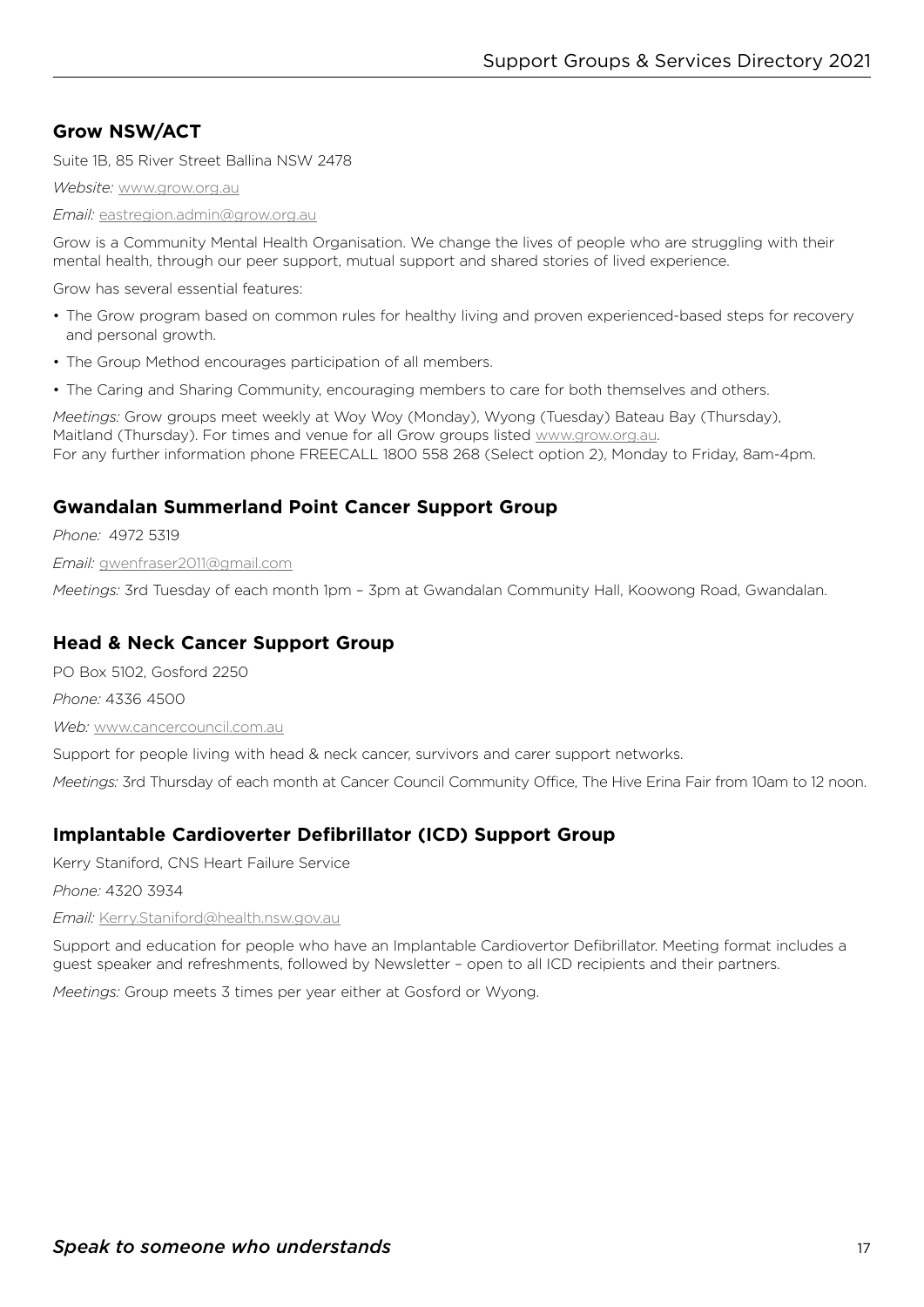# <span id="page-16-0"></span>**Grow NSW/ACT**

Suite 1B, 85 River Street Ballina NSW 2478

*Website:* <www.grow.org.au>

*Email:* [eastregion.admin@grow.org.au](mailto:eastregion.admin@grow.org.au)

Grow is a Community Mental Health Organisation. We change the lives of people who are struggling with their mental health, through our peer support, mutual support and shared stories of lived experience.

Grow has several essential features:

- The Grow program based on common rules for healthy living and proven experienced-based steps for recovery and personal growth.
- The Group Method encourages participation of all members.
- The Caring and Sharing Community, encouraging members to care for both themselves and others.

*Meetings:* Grow groups meet weekly at Woy Woy (Monday), Wyong (Tuesday) Bateau Bay (Thursday), Maitland (Thursday). For times and venue for all Grow groups listed [www.grow.org.au](http://www.grow.org.au). For any further information phone FREECALL 1800 558 268 (Select option 2), Monday to Friday, 8am-4pm.

# **Gwandalan Summerland Point Cancer Support Group**

*Phone:* 4972 5319

*Email:* [gwenfraser2011@gmail.com](mailto:gwenfraser2011%40gmail.com?subject=)

*Meetings:* 3rd Tuesday of each month 1pm – 3pm at Gwandalan Community Hall, Koowong Road, Gwandalan.

### **Head & Neck Cancer Support Group**

PO Box 5102, Gosford 2250

*Phone:* 4336 4500

*Web:* <www.cancercouncil.com.au>

Support for people living with head & neck cancer, survivors and carer support networks.

*Meetings:* 3rd Thursday of each month at Cancer Council Community Office, The Hive Erina Fair from 10am to 12 noon.

# **Implantable Cardioverter Defibrillator (ICD) Support Group**

Kerry Staniford, CNS Heart Failure Service

*Phone:* 4320 3934

*Email:* [Kerry.Staniford@health.nsw.gov.au](mailto:Kerry.Staniford%40health.nsw.gov.au?subject=)

Support and education for people who have an Implantable Cardiovertor Defibrillator. Meeting format includes a guest speaker and refreshments, followed by Newsletter – open to all ICD recipients and their partners.

*Meetings:* Group meets 3 times per year either at Gosford or Wyong.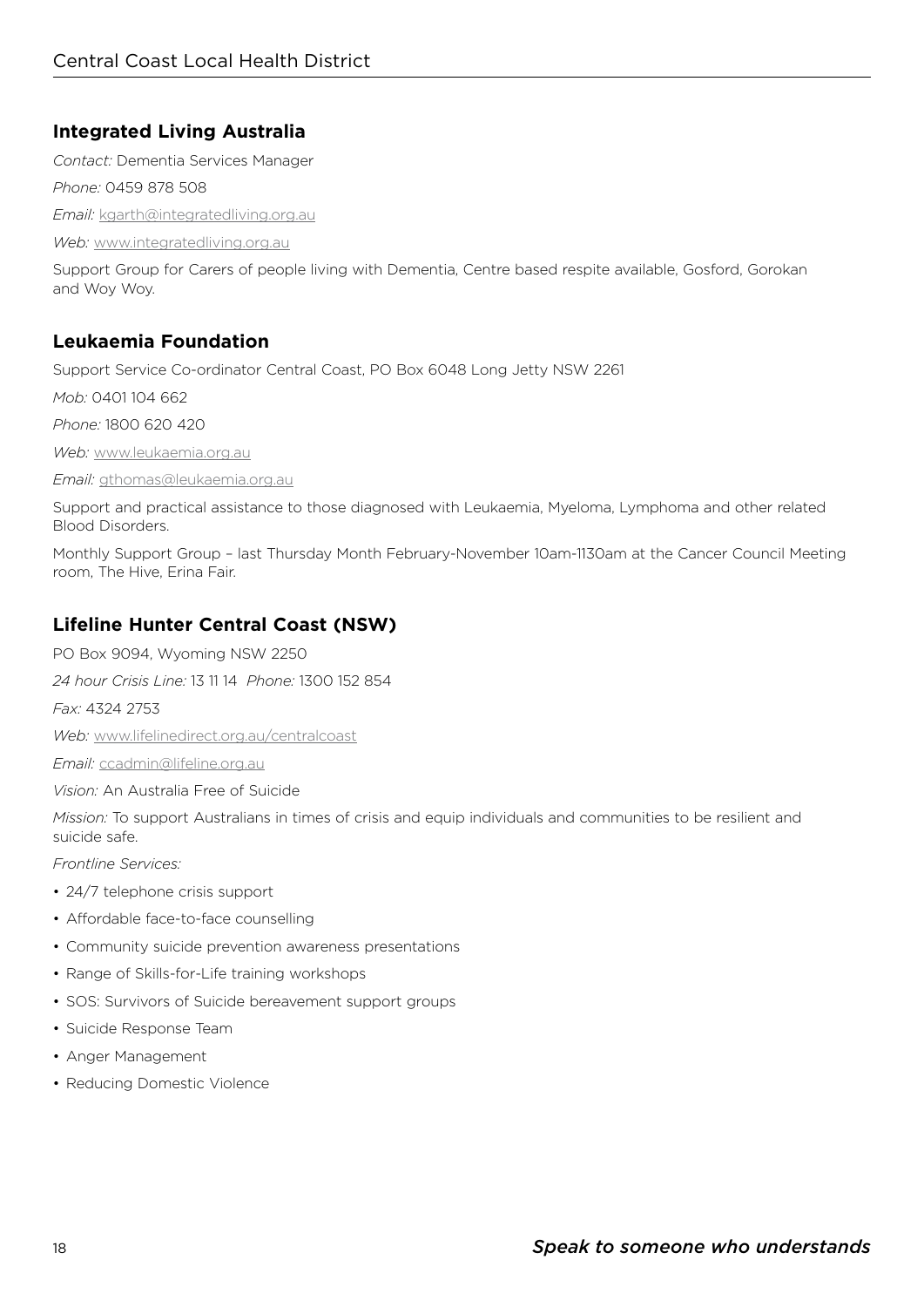# <span id="page-17-0"></span>**Integrated Living Australia**

*Contact:* Dementia Services Manager

*Phone:* 0459 878 508

*Email:* [kgarth@integratedliving.org.au](mailto:kgarth%40integratedliving.org.au?subject=)

*Web:* [www.integratedliving.org.au](https://integratedliving.org.au/)

Support Group for Carers of people living with Dementia, Centre based respite available, Gosford, Gorokan and Woy Woy.

# **Leukaemia Foundation**

Support Service Co-ordinator Central Coast, PO Box 6048 Long Jetty NSW 2261

*Mob:* 0401 104 662

*Phone:* 1800 620 420

*Web:* <www.leukaemia.org.au>

*Email:* [gthomas@leukaemia.org.au](mailto:gthomas%40leukaemia.org.au?subject=)

Support and practical assistance to those diagnosed with Leukaemia, Myeloma, Lymphoma and other related Blood Disorders.

Monthly Support Group – last Thursday Month February-November 10am-1130am at the Cancer Council Meeting room, The Hive, Erina Fair.

# **Lifeline Hunter Central Coast (NSW)**

PO Box 9094, Wyoming NSW 2250

*24 hour Crisis Line:* 13 11 14 *Phone:* 1300 152 854

*Fax:* 4324 2753

*Web:* [www.lifelinedirect.org.au/centralcoast](http://www.lifelinedirect.org.au/centralcoast)

*Email:* ccadmin@lifeline.org.au

#### *Vision:* An Australia Free of Suicide

*Mission:* To support Australians in times of crisis and equip individuals and communities to be resilient and suicide safe.

*Frontline Services:*

- 24/7 telephone crisis support
- Affordable face-to-face counselling
- Community suicide prevention awareness presentations
- Range of Skills-for-Life training workshops
- SOS: Survivors of Suicide bereavement support groups
- Suicide Response Team
- Anger Management
- Reducing Domestic Violence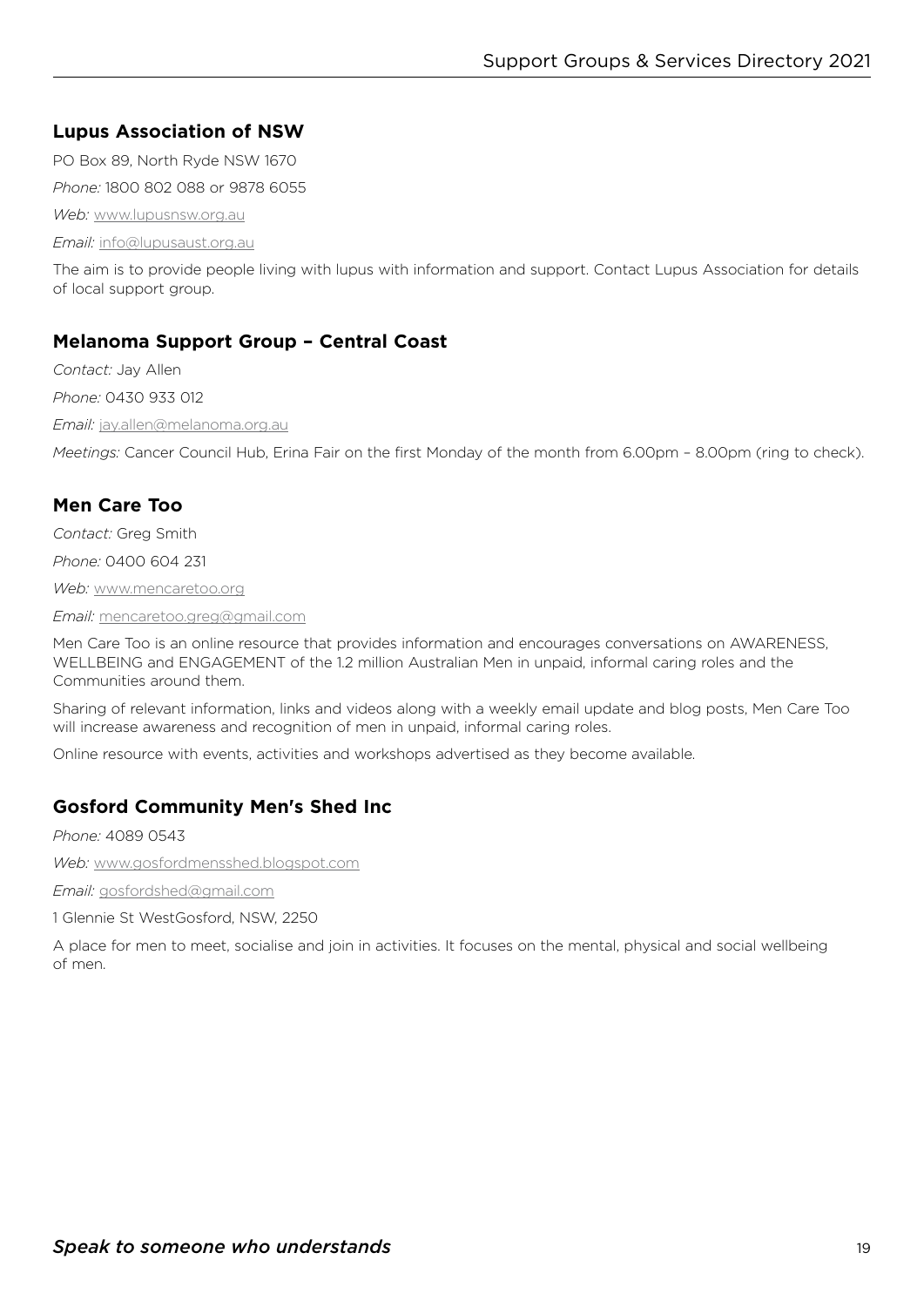# <span id="page-18-0"></span>**Lupus Association of NSW**

PO Box 89, North Ryde NSW 1670

*Phone:* 1800 802 088 or 9878 6055

*Web:* [www.lupusnsw.org.au](https://lupusnsw.org.au/)

*Email:* [info@lupusaust.org.au](mailto:info%40lupusaust.org.au?subject=)

The aim is to provide people living with lupus with information and support. Contact Lupus Association for details of local support group.

# **Melanoma Support Group – Central Coast**

*Contact:* Jay Allen

*Phone:* 0430 933 012

*Email:* [jay.allen@melanoma.org.au](mailto:jay.allen%40melanoma.org.au?subject=)

*Meetings:* Cancer Council Hub, Erina Fair on the first Monday of the month from 6.00pm – 8.00pm (ring to check).

# **Men Care Too**

*Contact:* Greg Smith

*Phone:* 0400 604 231

*Web:* <www.mencaretoo.org>

*Email:* [mencaretoo.greg@gmail.com](mailto:mencaretoo.greg%40gmail.com?subject=)

Men Care Too is an online resource that provides information and encourages conversations on AWARENESS, WELLBEING and ENGAGEMENT of the 1.2 million Australian Men in unpaid, informal caring roles and the Communities around them.

Sharing of relevant information, links and videos along with a weekly email update and blog posts, Men Care Too will increase awareness and recognition of men in unpaid, informal caring roles.

Online resource with events, activities and workshops advertised as they become available.

# **Gosford Community Men's Shed Inc**

*Phone:* 4089 0543

*Web:* [www.gosfordmensshed.blogspot.com](http://www.gosfordmensshed.blogspot.com)

*Email:* [gosfordshed@gmail.com](mailto:gosfordshed%40gmail.com?subject=)

1 Glennie St WestGosford, NSW, 2250

A place for men to meet, socialise and join in activities. It focuses on the mental, physical and social wellbeing of men.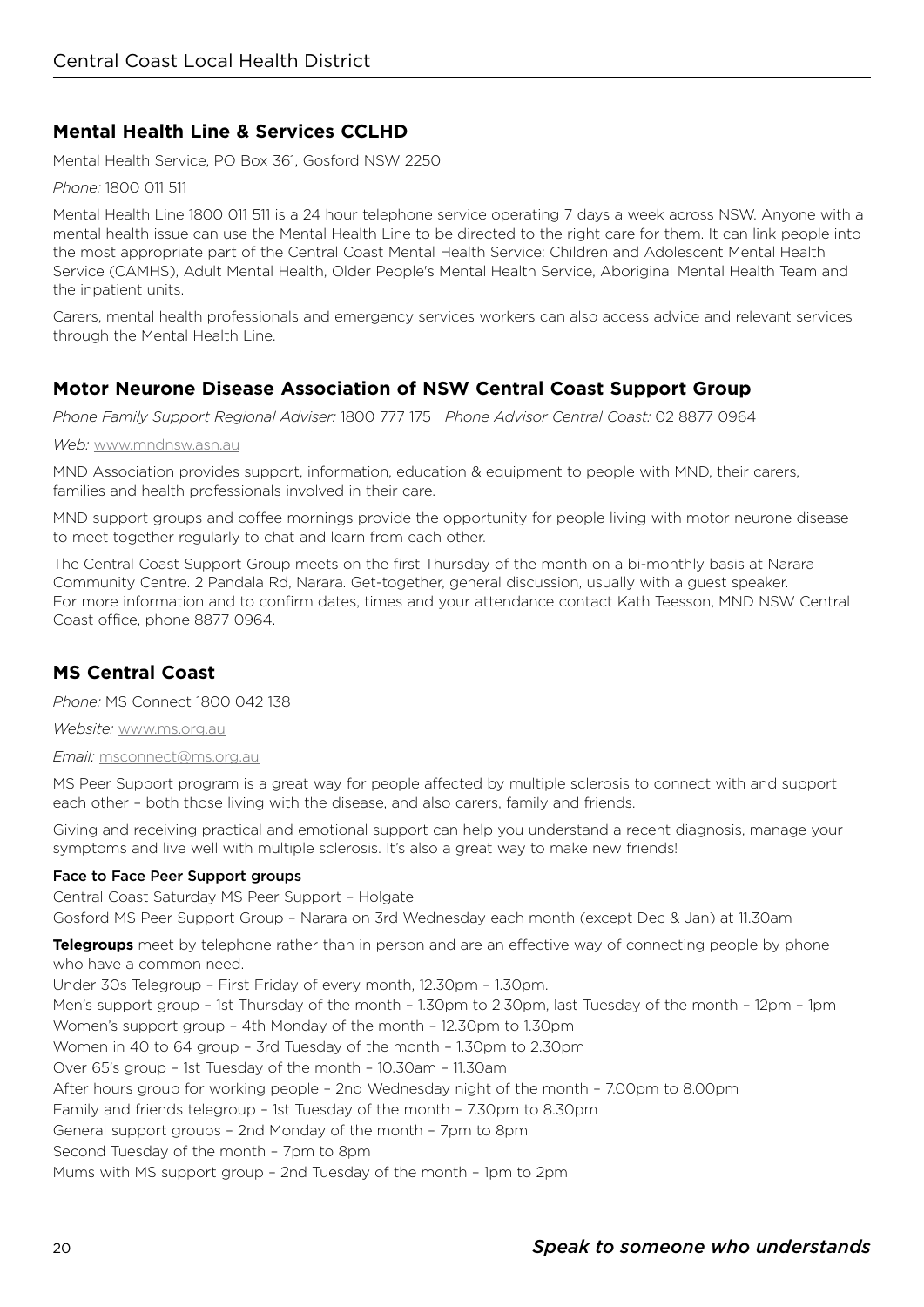# <span id="page-19-0"></span>**Mental Health Line & Services CCLHD**

Mental Health Service, PO Box 361, Gosford NSW 2250

*Phone:* 1800 011 511

Mental Health Line 1800 011 511 is a 24 hour telephone service operating 7 days a week across NSW. Anyone with a mental health issue can use the Mental Health Line to be directed to the right care for them. It can link people into the most appropriate part of the Central Coast Mental Health Service: Children and Adolescent Mental Health Service (CAMHS), Adult Mental Health, Older People's Mental Health Service, Aboriginal Mental Health Team and the inpatient units.

Carers, mental health professionals and emergency services workers can also access advice and relevant services through the Mental Health Line.

# **Motor Neurone Disease Association of NSW Central Coast Support Group**

*Phone Family Support Regional Adviser:* 1800 777 175 *Phone Advisor Central Coast:* 02 8877 0964

#### *Web:* <www.mndnsw.asn.au>

MND Association provides support, information, education & equipment to people with MND, their carers, families and health professionals involved in their care.

MND support groups and coffee mornings provide the opportunity for people living with motor neurone disease to meet together regularly to chat and learn from each other.

The Central Coast Support Group meets on the first Thursday of the month on a bi-monthly basis at Narara Community Centre. 2 Pandala Rd, Narara. Get-together, general discussion, usually with a guest speaker. For more information and to confirm dates, times and your attendance contact Kath Teesson, MND NSW Central Coast office, phone 8877 0964.

# **MS Central Coast**

*Phone:* MS Connect 1800 042 138

*Website:* <www.ms.org.au>

*Email:* [msconnect@ms.org.au](mailto:msconnect%40ms.org.au?subject=)

MS Peer Support program is a great way for people affected by multiple sclerosis to connect with and support each other – both those living with the disease, and also carers, family and friends.

Giving and receiving practical and emotional support can help you understand a recent diagnosis, manage your symptoms and live well with multiple sclerosis. It's also a great way to make new friends!

#### Face to Face Peer Support groups

Central Coast Saturday MS Peer Support – Holgate Gosford MS Peer Support Group – Narara on 3rd Wednesday each month (except Dec & Jan) at 11.30am

**Telegroups** meet by telephone rather than in person and are an effective way of connecting people by phone who have a common need.

Under 30s Telegroup – First Friday of every month, 12.30pm – 1.30pm.

Men's support group – 1st Thursday of the month – 1.30pm to 2.30pm, last Tuesday of the month – 12pm – 1pm Women's support group – 4th Monday of the month – 12.30pm to 1.30pm

Women in 40 to 64 group – 3rd Tuesday of the month – 1.30pm to 2.30pm

Over 65's group – 1st Tuesday of the month – 10.30am – 11.30am

After hours group for working people – 2nd Wednesday night of the month – 7.00pm to 8.00pm

Family and friends telegroup – 1st Tuesday of the month – 7.30pm to 8.30pm

General support groups – 2nd Monday of the month – 7pm to 8pm

Second Tuesday of the month – 7pm to 8pm

Mums with MS support group – 2nd Tuesday of the month – 1pm to 2pm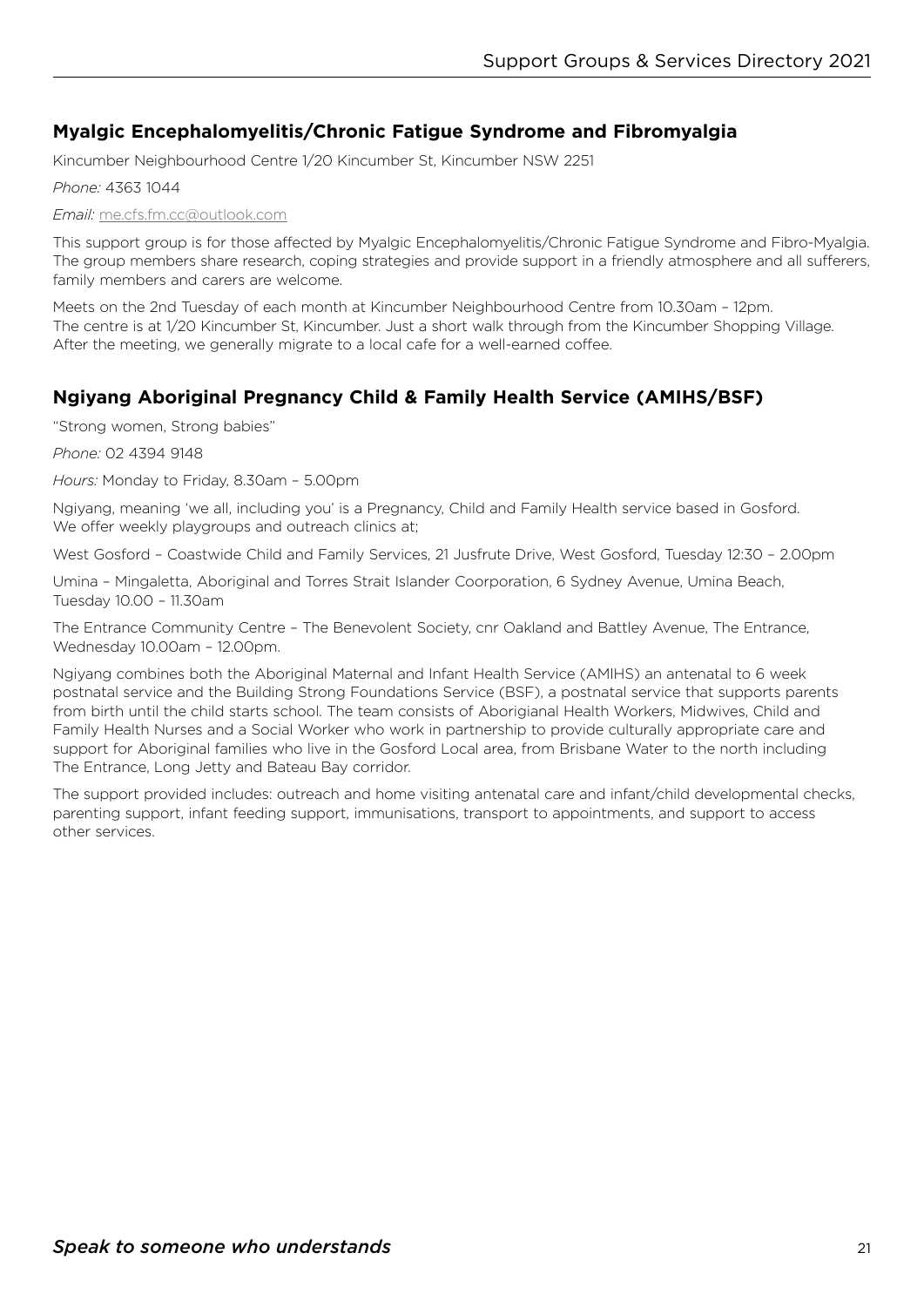# <span id="page-20-0"></span>**Myalgic Encephalomyelitis/Chronic Fatigue Syndrome and Fibromyalgia**

Kincumber Neighbourhood Centre 1/20 Kincumber St, Kincumber NSW 2251

*Phone:* 4363 1044

*Email:* [me.cfs.fm.cc@outlook.com](mailto:me.cfs.fm.cc%40outlook.com?subject=)

This support group is for those affected by Myalgic Encephalomyelitis/Chronic Fatigue Syndrome and Fibro-Myalgia. The group members share research, coping strategies and provide support in a friendly atmosphere and all sufferers, family members and carers are welcome.

Meets on the 2nd Tuesday of each month at Kincumber Neighbourhood Centre from 10.30am – 12pm. The centre is at 1/20 Kincumber St, Kincumber. Just a short walk through from the Kincumber Shopping Village. After the meeting, we generally migrate to a local cafe for a well-earned coffee.

# **Ngiyang Aboriginal Pregnancy Child & Family Health Service (AMIHS/BSF)**

"Strong women, Strong babies"

*Phone:* 02 4394 9148

*Hours:* Monday to Friday, 8.30am – 5.00pm

Ngiyang, meaning 'we all, including you' is a Pregnancy, Child and Family Health service based in Gosford. We offer weekly playgroups and outreach clinics at:

West Gosford – Coastwide Child and Family Services, 21 Jusfrute Drive, West Gosford, Tuesday 12:30 – 2.00pm

Umina – Mingaletta, Aboriginal and Torres Strait Islander Coorporation, 6 Sydney Avenue, Umina Beach, Tuesday 10.00 – 11.30am

The Entrance Community Centre – The Benevolent Society, cnr Oakland and Battley Avenue, The Entrance, Wednesday 10.00am – 12.00pm.

Ngiyang combines both the Aboriginal Maternal and Infant Health Service (AMIHS) an antenatal to 6 week postnatal service and the Building Strong Foundations Service (BSF), a postnatal service that supports parents from birth until the child starts school. The team consists of Aborigianal Health Workers, Midwives, Child and Family Health Nurses and a Social Worker who work in partnership to provide culturally appropriate care and support for Aboriginal families who live in the Gosford Local area, from Brisbane Water to the north including The Entrance, Long Jetty and Bateau Bay corridor.

The support provided includes: outreach and home visiting antenatal care and infant/child developmental checks, parenting support, infant feeding support, immunisations, transport to appointments, and support to access other services.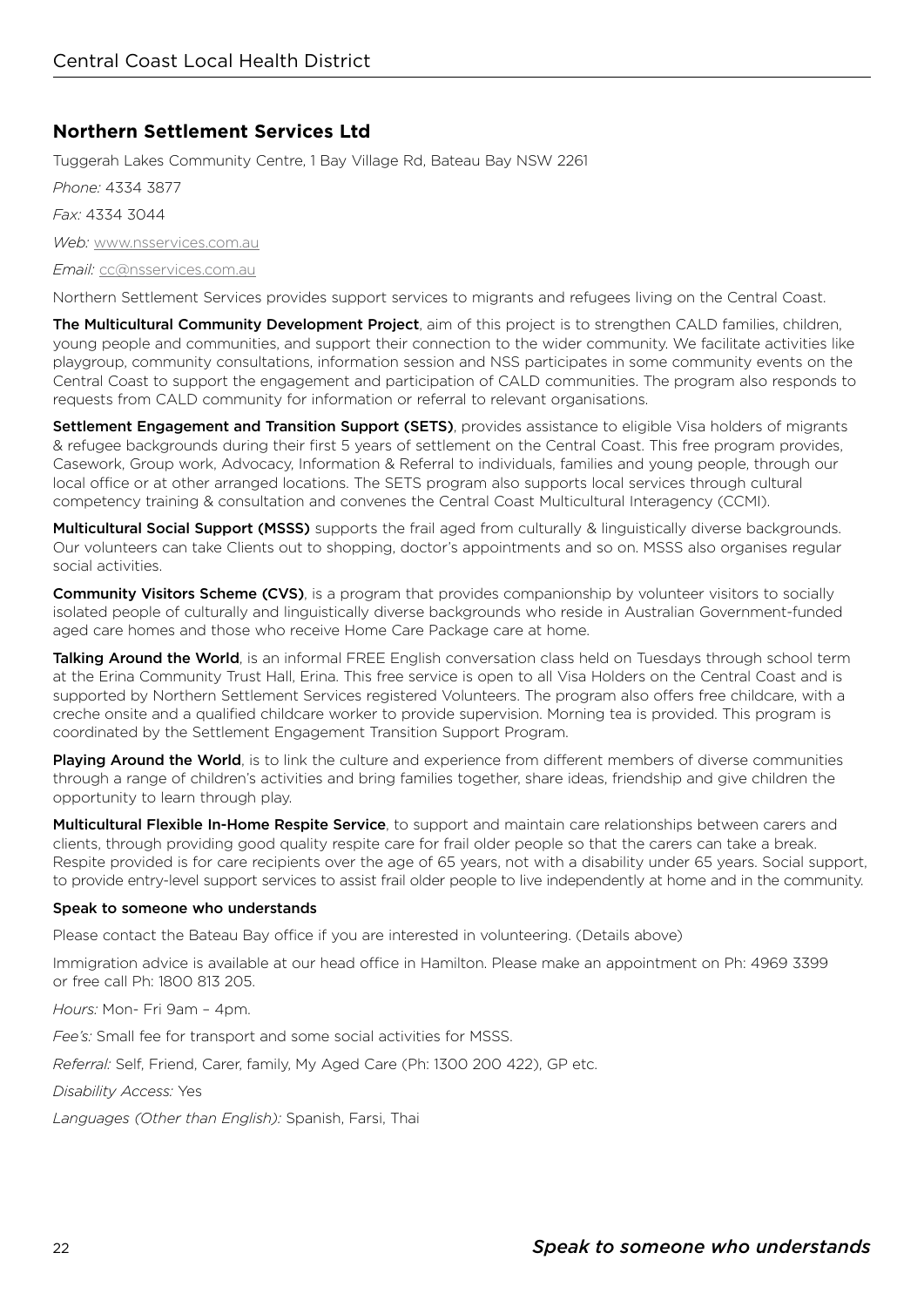# <span id="page-21-0"></span>**Northern Settlement Services Ltd**

Tuggerah Lakes Community Centre, 1 Bay Village Rd, Bateau Bay NSW 2261

*Phone:* 4334 3877

*Fax:* 4334 3044

*Web:* <www.nsservices.com.au>

*Email:* [cc@nsservices.com.au](mailto:cc%40nsservices.com.au?subject=)

Northern Settlement Services provides support services to migrants and refugees living on the Central Coast.

The Multicultural Community Development Project, aim of this project is to strengthen CALD families, children, young people and communities, and support their connection to the wider community. We facilitate activities like playgroup, community consultations, information session and NSS participates in some community events on the Central Coast to support the engagement and participation of CALD communities. The program also responds to requests from CALD community for information or referral to relevant organisations.

Settlement Engagement and Transition Support (SETS), provides assistance to eligible Visa holders of migrants & refugee backgrounds during their first 5 years of settlement on the Central Coast. This free program provides, Casework, Group work, Advocacy, Information & Referral to individuals, families and young people, through our local office or at other arranged locations. The SETS program also supports local services through cultural competency training & consultation and convenes the Central Coast Multicultural Interagency (CCMI).

Multicultural Social Support (MSSS) supports the frail aged from culturally & linguistically diverse backgrounds. Our volunteers can take Clients out to shopping, doctor's appointments and so on. MSSS also organises regular social activities.

**Community Visitors Scheme (CVS)**, is a program that provides companionship by volunteer visitors to socially isolated people of culturally and linguistically diverse backgrounds who reside in Australian Government-funded aged care homes and those who receive Home Care Package care at home.

Talking Around the World, is an informal FREE English conversation class held on Tuesdays through school term at the Erina Community Trust Hall, Erina. This free service is open to all Visa Holders on the Central Coast and is supported by Northern Settlement Services registered Volunteers. The program also offers free childcare, with a creche onsite and a qualified childcare worker to provide supervision. Morning tea is provided. This program is coordinated by the Settlement Engagement Transition Support Program.

Playing Around the World, is to link the culture and experience from different members of diverse communities through a range of children's activities and bring families together, share ideas, friendship and give children the opportunity to learn through play.

Multicultural Flexible In-Home Respite Service, to support and maintain care relationships between carers and clients, through providing good quality respite care for frail older people so that the carers can take a break. Respite provided is for care recipients over the age of 65 years, not with a disability under 65 years. Social support, to provide entry-level support services to assist frail older people to live independently at home and in the community.

#### Speak to someone who understands

Please contact the Bateau Bay office if you are interested in volunteering. (Details above)

Immigration advice is available at our head office in Hamilton. Please make an appointment on Ph: 4969 3399 or free call Ph: 1800 813 205.

*Hours:* Mon- Fri 9am – 4pm.

*Fee's:* Small fee for transport and some social activities for MSSS.

*Referral:* Self, Friend, Carer, family, My Aged Care (Ph: 1300 200 422), GP etc.

*Disability Access:* Yes

*Languages (Other than English):* Spanish, Farsi, Thai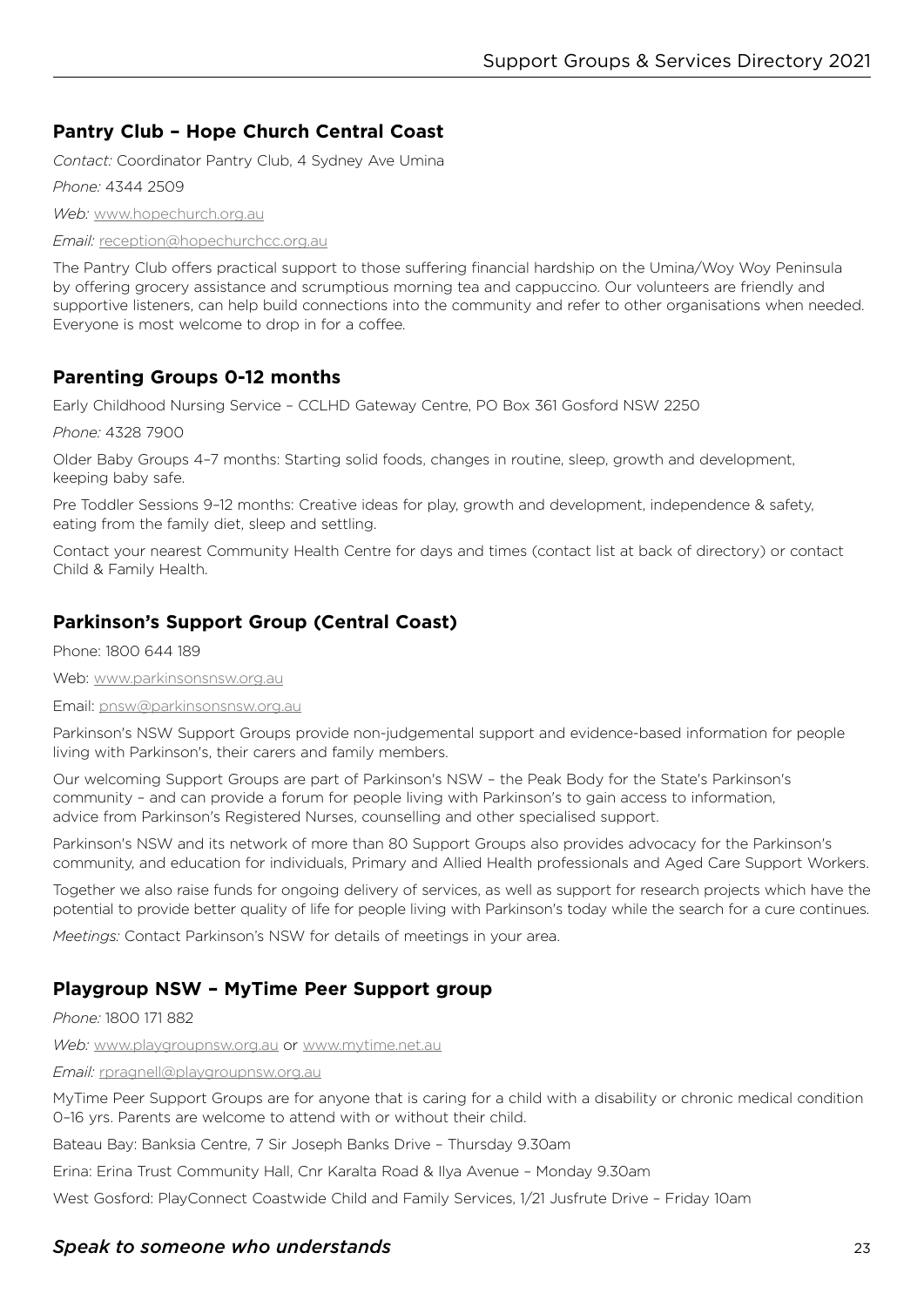# <span id="page-22-0"></span>**Pantry Club – Hope Church Central Coast**

*Contact:* Coordinator Pantry Club, 4 Sydney Ave Umina

*Phone:* 4344 2509

*Web:* <www.hopechurch.org.au>

*Email:* [reception@hopechurchcc.org.au](mailto:reception%40hopechurchcc.org.au?subject=)

The Pantry Club offers practical support to those suffering financial hardship on the Umina/Woy Woy Peninsula by offering grocery assistance and scrumptious morning tea and cappuccino. Our volunteers are friendly and supportive listeners, can help build connections into the community and refer to other organisations when needed. Everyone is most welcome to drop in for a coffee.

# **Parenting Groups 0-12 months**

Early Childhood Nursing Service – CCLHD Gateway Centre, PO Box 361 Gosford NSW 2250

*Phone:* 4328 7900

Older Baby Groups 4–7 months: Starting solid foods, changes in routine, sleep, growth and development, keeping baby safe.

Pre Toddler Sessions 9–12 months: Creative ideas for play, growth and development, independence & safety, eating from the family diet, sleep and settling.

Contact your nearest Community Health Centre for days and times (contact list at back of directory) or contact Child & Family Health.

# **Parkinson's Support Group (Central Coast)**

Phone: 1800 644 189

Web: [www.parkinsonsnsw.org.au](http://www.parkinsonsnsw.org.au)

Email: [pnsw@parkinsonsnsw.org.au](mailto:pnsw%40parkinsonsnsw.org.au?subject=)

Parkinson's NSW Support Groups provide non-judgemental support and evidence-based information for people living with Parkinson's, their carers and family members.

Our welcoming Support Groups are part of Parkinson's NSW – the Peak Body for the State's Parkinson's community – and can provide a forum for people living with Parkinson's to gain access to information, advice from Parkinson's Registered Nurses, counselling and other specialised support.

Parkinson's NSW and its network of more than 80 Support Groups also provides advocacy for the Parkinson's community, and education for individuals, Primary and Allied Health professionals and Aged Care Support Workers.

Together we also raise funds for ongoing delivery of services, as well as support for research projects which have the potential to provide better quality of life for people living with Parkinson's today while the search for a cure continues.

*Meetings:* Contact Parkinson's NSW for details of meetings in your area.

# **Playgroup NSW – MyTime Peer Support group**

*Phone:* 1800 171 882

*Web:* <www.playgroupnsw.org.au> or <www.mytime.net.au>

*Email:* [rpragnell@playgroupnsw.org.au](mailto:rpragnell@playgroupnsw.org.au)

MyTime Peer Support Groups are for anyone that is caring for a child with a disability or chronic medical condition 0–16 yrs. Parents are welcome to attend with or without their child.

Bateau Bay: Banksia Centre, 7 Sir Joseph Banks Drive – Thursday 9.30am

Erina: Erina Trust Community Hall, Cnr Karalta Road & Ilya Avenue – Monday 9.30am

West Gosford: PlayConnect Coastwide Child and Family Services, 1/21 Jusfrute Drive – Friday 10am

# *Speak to someone who understands* 23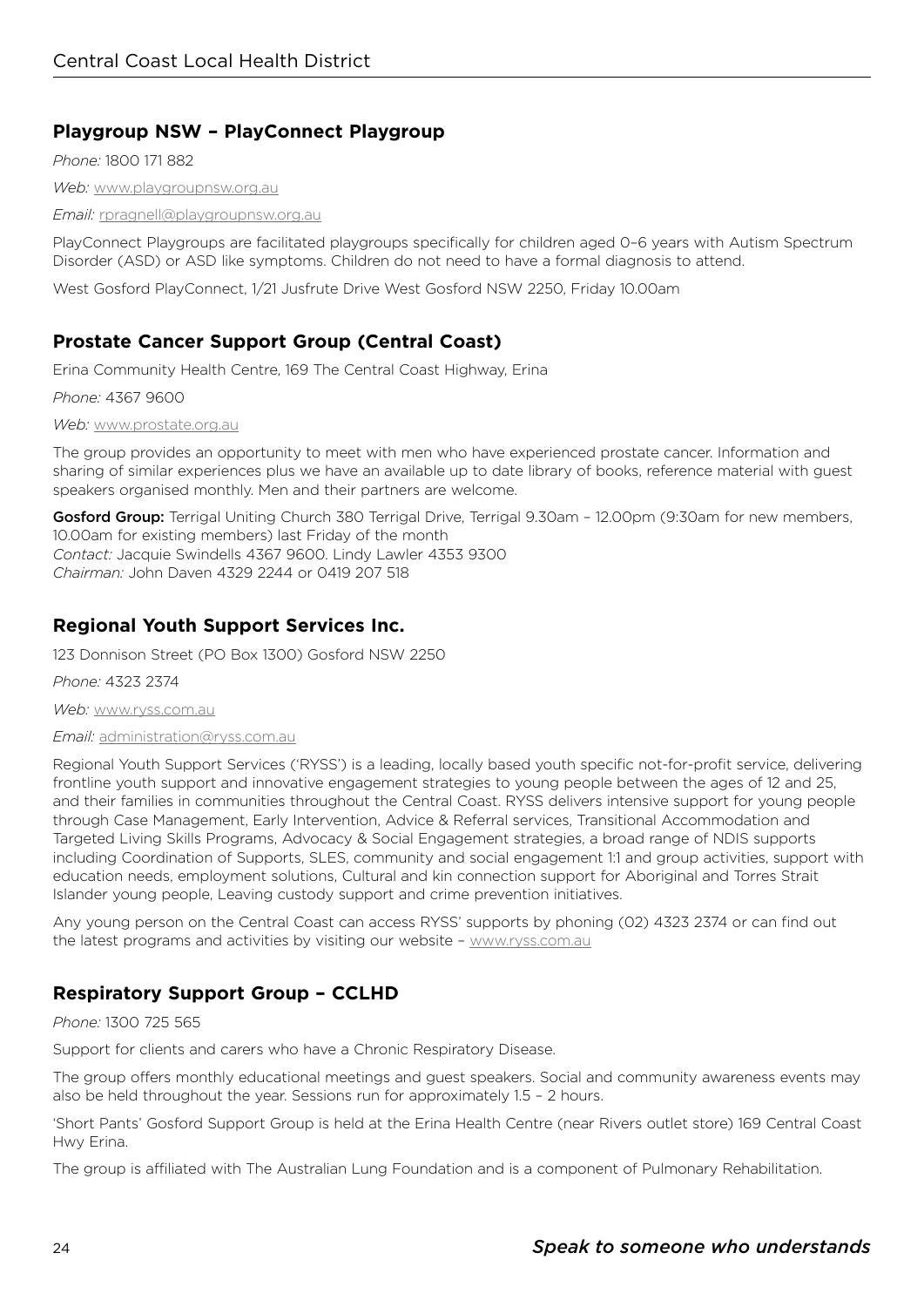# <span id="page-23-0"></span>**Playgroup NSW – PlayConnect Playgroup**

*Phone:* 1800 171 882

*Web:* <www.playgroupnsw.org.au>

*Email:* [rpragnell@playgroupnsw.org.au](mailto:rpragnell@playgroupnsw.org.au)

PlayConnect Playgroups are facilitated playgroups specifically for children aged 0–6 years with Autism Spectrum Disorder (ASD) or ASD like symptoms. Children do not need to have a formal diagnosis to attend.

West Gosford PlayConnect, 1/21 Jusfrute Drive West Gosford NSW 2250, Friday 10.00am

# **Prostate Cancer Support Group (Central Coast)**

Erina Community Health Centre, 169 The Central Coast Highway, Erina

*Phone:* 4367 9600

*Web:* <www.prostate.org.au>

The group provides an opportunity to meet with men who have experienced prostate cancer. Information and sharing of similar experiences plus we have an available up to date library of books, reference material with guest speakers organised monthly. Men and their partners are welcome.

Gosford Group: Terrigal Uniting Church 380 Terrigal Drive, Terrigal 9.30am - 12.00pm (9:30am for new members, 10.00am for existing members) last Friday of the month *Contact:* Jacquie Swindells 4367 9600. Lindy Lawler 4353 9300 *Chairman:* John Daven 4329 2244 or 0419 207 518

# **Regional Youth Support Services Inc.**

123 Donnison Street (PO Box 1300) Gosford NSW 2250

*Phone:* 4323 2374

*Web:* [www.ryss.com.au](https://www.ryss.com.au/)

*Email:* [administration@ryss.com.au](mailto:administration%40ryss.com.au?subject=)

Regional Youth Support Services ('RYSS') is a leading, locally based youth specific not-for-profit service, delivering frontline youth support and innovative engagement strategies to young people between the ages of 12 and 25, and their families in communities throughout the Central Coast. RYSS delivers intensive support for young people through Case Management, Early Intervention, Advice & Referral services, Transitional Accommodation and Targeted Living Skills Programs, Advocacy & Social Engagement strategies, a broad range of NDIS supports including Coordination of Supports, SLES, community and social engagement 1:1 and group activities, support with education needs, employment solutions, Cultural and kin connection support for Aboriginal and Torres Strait Islander young people, Leaving custody support and crime prevention initiatives.

Any young person on the Central Coast can access RYSS' supports by phoning (02) 4323 2374 or can find out the latest programs and activities by visiting our website - [www.ryss.com.au](http://www.ryss.com.au)

# **Respiratory Support Group – CCLHD**

*Phone:* 1300 725 565

Support for clients and carers who have a Chronic Respiratory Disease.

The group offers monthly educational meetings and guest speakers. Social and community awareness events may also be held throughout the year. Sessions run for approximately 1.5 – 2 hours.

'Short Pants' Gosford Support Group is held at the Erina Health Centre (near Rivers outlet store) 169 Central Coast Hwy Erina.

The group is affiliated with The Australian Lung Foundation and is a component of Pulmonary Rehabilitation.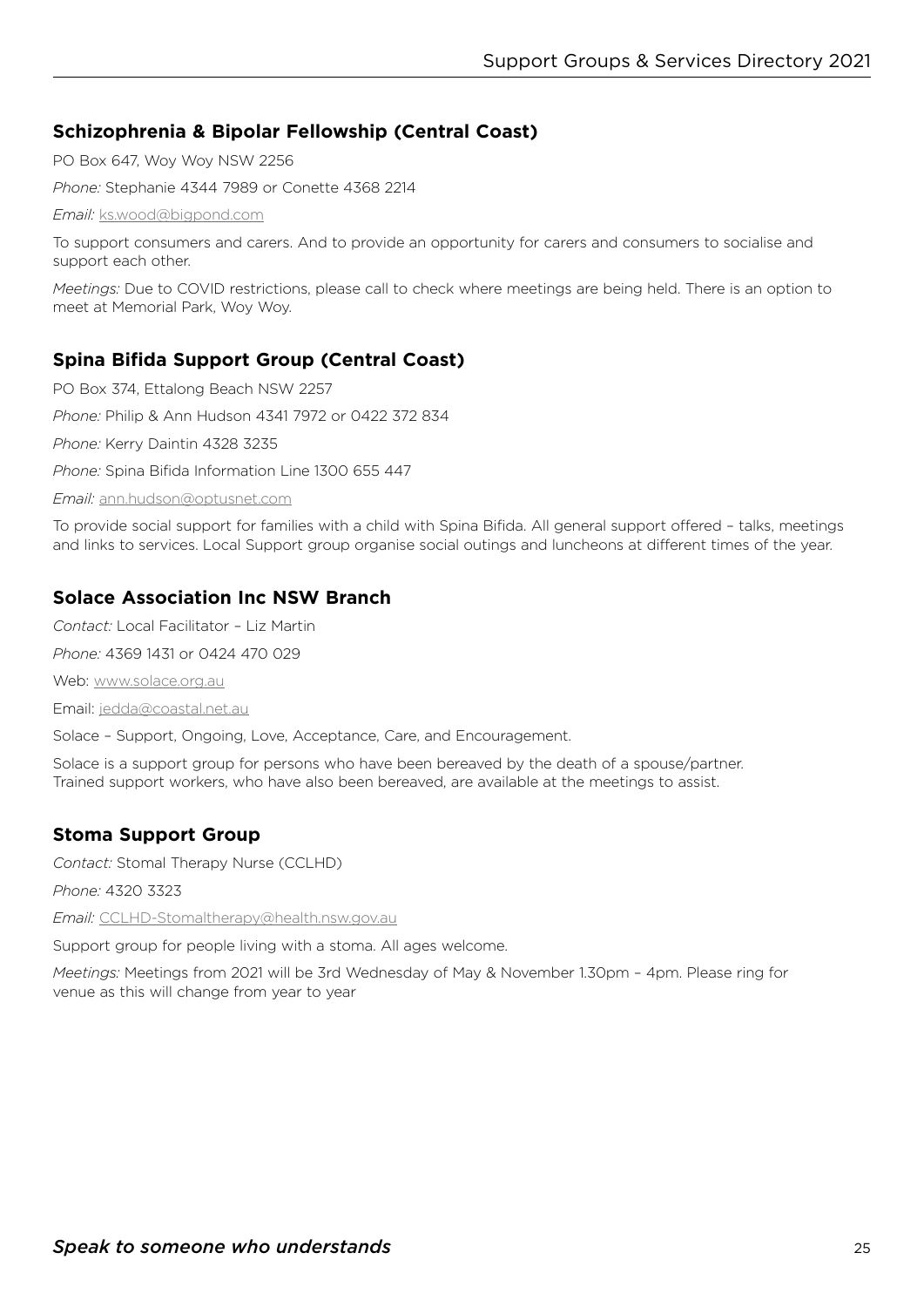# <span id="page-24-0"></span>**Schizophrenia & Bipolar Fellowship (Central Coast)**

PO Box 647, Woy Woy NSW 2256

*Phone:* Stephanie 4344 7989 or Conette 4368 2214

*Email:* [ks.wood@bigpond.com](mailto:ks.wood%40bigpond.com?subject=)

To support consumers and carers. And to provide an opportunity for carers and consumers to socialise and support each other.

*Meetings:* Due to COVID restrictions, please call to check where meetings are being held. There is an option to meet at Memorial Park, Woy Woy.

# **Spina Bifida Support Group (Central Coast)**

PO Box 374, Ettalong Beach NSW 2257 *Phone:* Philip & Ann Hudson 4341 7972 or 0422 372 834 *Phone:* Kerry Daintin 4328 3235 *Phone:* Spina Bifida Information Line 1300 655 447 *Email:* [ann.hudson@optusnet.com](mailto:ann.hudson%40optusnet.com?subject=)

To provide social support for families with a child with Spina Bifida. All general support offered – talks, meetings and links to services. Local Support group organise social outings and luncheons at different times of the year.

# **Solace Association Inc NSW Branch**

*Contact:* Local Facilitator – Liz Martin

*Phone:* 4369 1431 or 0424 470 029

Web:<www.solace.org.au>

Email: [jedda@coastal.net.au](mailto:jedda%40coastal.net.au?subject=)

Solace – Support, Ongoing, Love, Acceptance, Care, and Encouragement.

Solace is a support group for persons who have been bereaved by the death of a spouse/partner. Trained support workers, who have also been bereaved, are available at the meetings to assist.

# **Stoma Support Group**

*Contact:* Stomal Therapy Nurse (CCLHD)

*Phone:* 4320 3323

*Email:* [CCLHD-Stomaltherapy@health.nsw.gov.au](mailto:CCLHD-Stomaltherapy@health.nsw.gov.au)

Support group for people living with a stoma. All ages welcome.

*Meetings:* Meetings from 2021 will be 3rd Wednesday of May & November 1.30pm – 4pm. Please ring for venue as this will change from year to year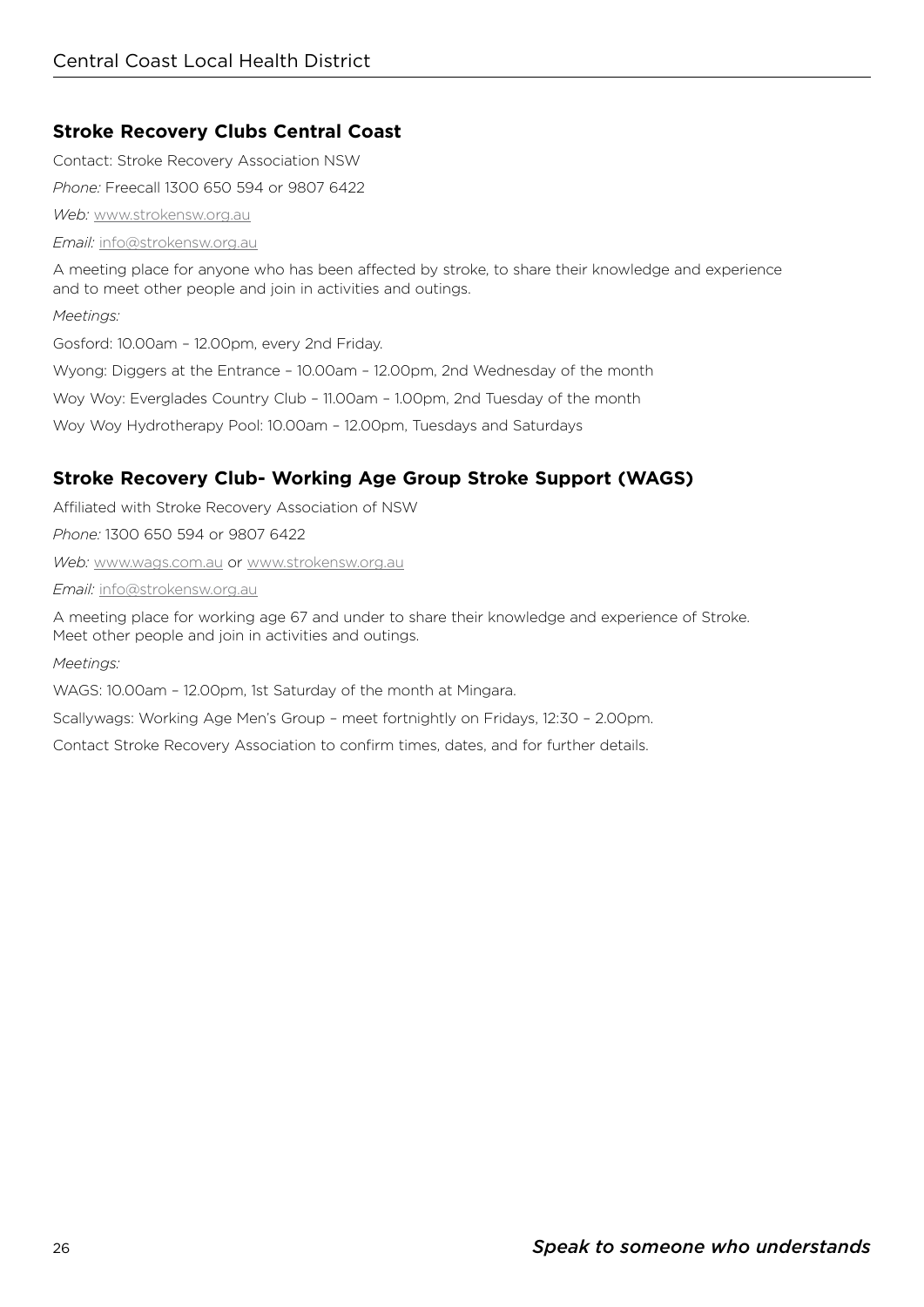# <span id="page-25-0"></span>**Stroke Recovery Clubs Central Coast**

Contact: Stroke Recovery Association NSW *Phone:* Freecall 1300 650 594 or 9807 6422 *Web:* <www.strokensw.org.au> *Email:* [info@strokensw.org.au](mailto:info%40strokensw.org.au?subject=) A meeting place for anyone who has been affected by stroke, to share their knowledge and experience and to meet other people and join in activities and outings. *Meetings:* Gosford: 10.00am – 12.00pm, every 2nd Friday. Wyong: Diggers at the Entrance – 10.00am – 12.00pm, 2nd Wednesday of the month

Woy Woy: Everglades Country Club – 11.00am – 1.00pm, 2nd Tuesday of the month

Woy Woy Hydrotherapy Pool: 10.00am – 12.00pm, Tuesdays and Saturdays

# **Stroke Recovery Club- Working Age Group Stroke Support (WAGS)**

Affiliated with Stroke Recovery Association of NSW

*Phone:* 1300 650 594 or 9807 6422

*Web:* <www.wags.com.au>or<www.strokensw.org.au>

*Email:* [info@strokensw.org.au](mailto:info%40strokensw.org.au?subject=)

A meeting place for working age 67 and under to share their knowledge and experience of Stroke. Meet other people and join in activities and outings.

*Meetings:*

WAGS: 10.00am – 12.00pm, 1st Saturday of the month at Mingara.

Scallywags: Working Age Men's Group – meet fortnightly on Fridays, 12:30 – 2.00pm.

Contact Stroke Recovery Association to confirm times, dates, and for further details.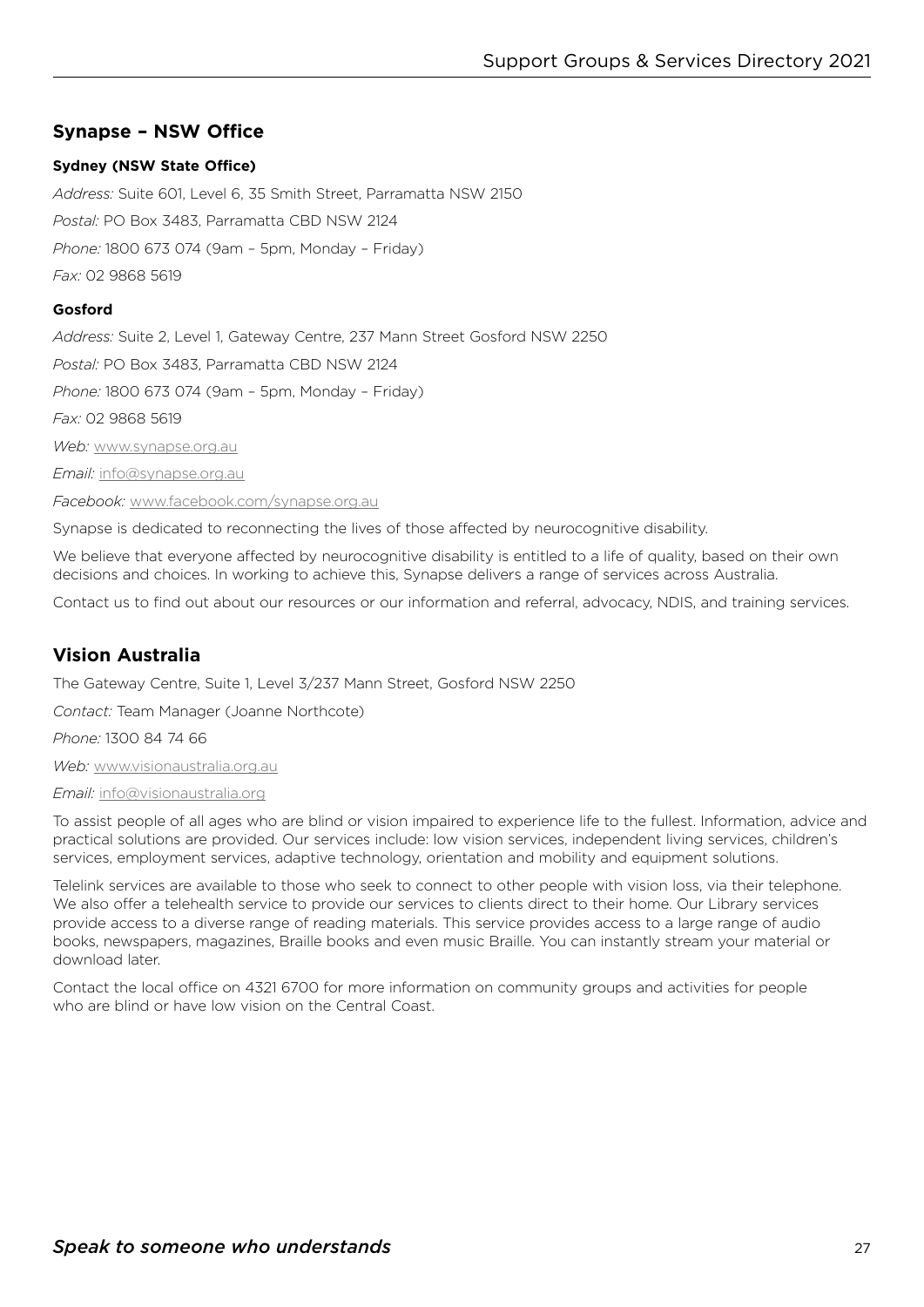# <span id="page-26-0"></span>**Synapse – NSW Office**

#### **Sydney (NSW State Office)**

*Address:* Suite 601, Level 6, 35 Smith Street, Parramatta NSW 2150 *Postal:* PO Box 3483, Parramatta CBD NSW 2124 *Phone:* 1800 673 074 (9am – 5pm, Monday – Friday) *Fax:* 02 9868 5619

#### **Gosford**

*Address:* Suite 2, Level 1, Gateway Centre, 237 Mann Street Gosford NSW 2250 *Postal:* PO Box 3483, Parramatta CBD NSW 2124 *Phone:* 1800 673 074 (9am – 5pm, Monday – Friday) *Fax:* 02 9868 5619

*Web:* <www.synapse.org.au>

*Email:* [info@synapse.org.au](mailto:info%40synapse.org.au?subject=)

*Facebook:* <www.facebook.com/synapse.org.au>

Synapse is dedicated to reconnecting the lives of those affected by neurocognitive disability.

We believe that everyone affected by neurocognitive disability is entitled to a life of quality, based on their own decisions and choices. In working to achieve this, Synapse delivers a range of services across Australia.

Contact us to find out about our resources or our information and referral, advocacy, NDIS, and training services.

# **Vision Australia**

The Gateway Centre, Suite 1, Level 3/237 Mann Street, Gosford NSW 2250

*Contact:* Team Manager (Joanne Northcote)

*Phone:* 1300 84 74 66

*Web:* <www.visionaustralia.org.au>

#### *Email:* [info@visionaustralia.org](mailto:info%40visionaustralia.org?subject=)

To assist people of all ages who are blind or vision impaired to experience life to the fullest. Information, advice and practical solutions are provided. Our services include: low vision services, independent living services, children's services, employment services, adaptive technology, orientation and mobility and equipment solutions.

Telelink services are available to those who seek to connect to other people with vision loss, via their telephone. We also offer a telehealth service to provide our services to clients direct to their home. Our Library services provide access to a diverse range of reading materials. This service provides access to a large range of audio books, newspapers, magazines, Braille books and even music Braille. You can instantly stream your material or download later.

Contact the local office on 4321 6700 for more information on community groups and activities for people who are blind or have low vision on the Central Coast.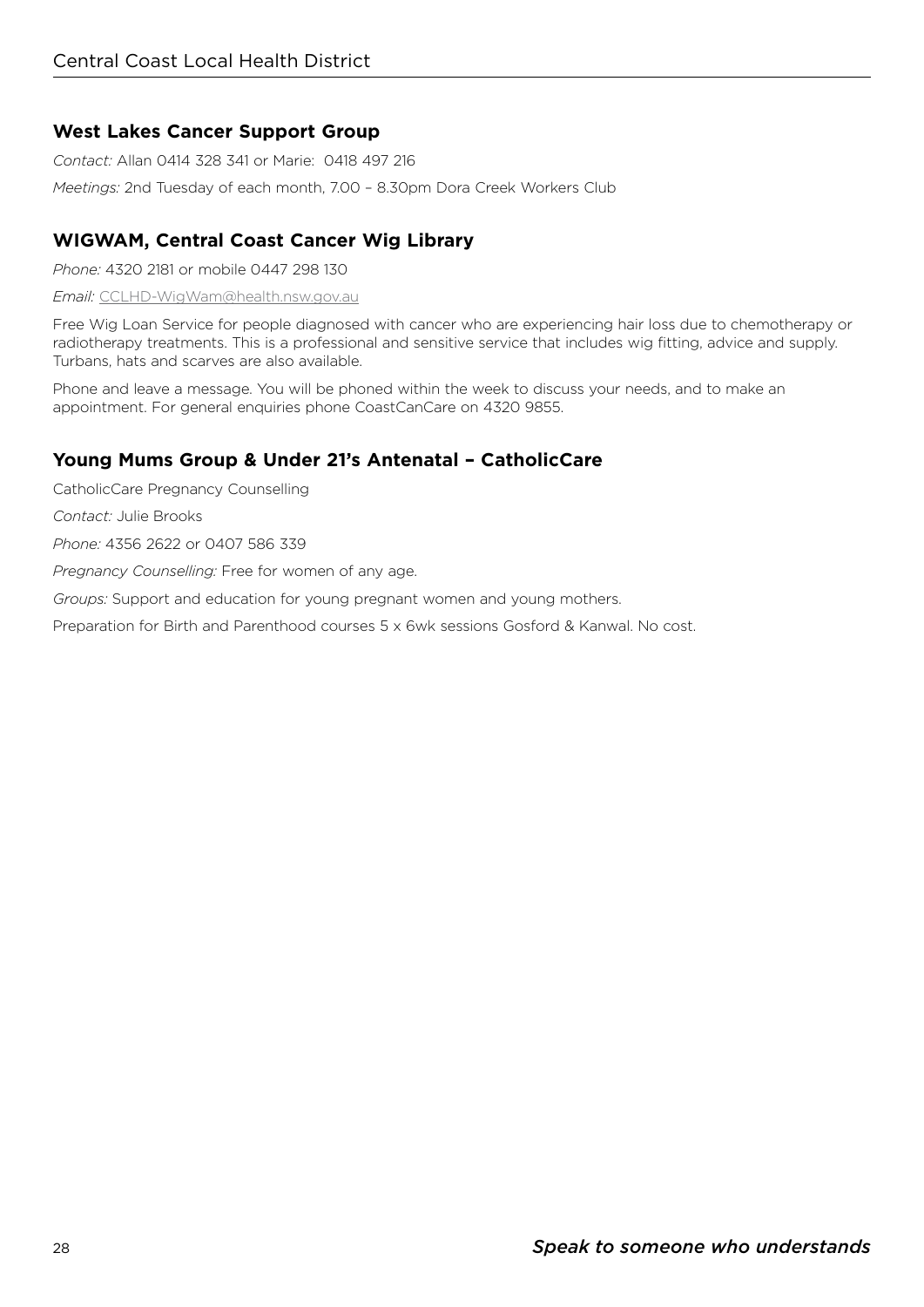# <span id="page-27-0"></span>**West Lakes Cancer Support Group**

*Contact:* Allan 0414 328 341 or Marie: 0418 497 216

*Meetings:* 2nd Tuesday of each month, 7.00 – 8.30pm Dora Creek Workers Club

# **WIGWAM, Central Coast Cancer Wig Library**

*Phone:* 4320 2181 or mobile 0447 298 130

*Email:* [CCLHD-WigWam@health.nsw.gov.au](mailto:CCLHD-WigWam@health.nsw.gov.au)

Free Wig Loan Service for people diagnosed with cancer who are experiencing hair loss due to chemotherapy or radiotherapy treatments. This is a professional and sensitive service that includes wig fitting, advice and supply. Turbans, hats and scarves are also available.

Phone and leave a message. You will be phoned within the week to discuss your needs, and to make an appointment. For general enquiries phone CoastCanCare on 4320 9855.

# **Young Mums Group & Under 21's Antenatal – CatholicCare**

CatholicCare Pregnancy Counselling

*Contact:* Julie Brooks

*Phone:* 4356 2622 or 0407 586 339

*Pregnancy Counselling:* Free for women of any age.

*Groups:* Support and education for young pregnant women and young mothers.

Preparation for Birth and Parenthood courses 5 x 6wk sessions Gosford & Kanwal. No cost.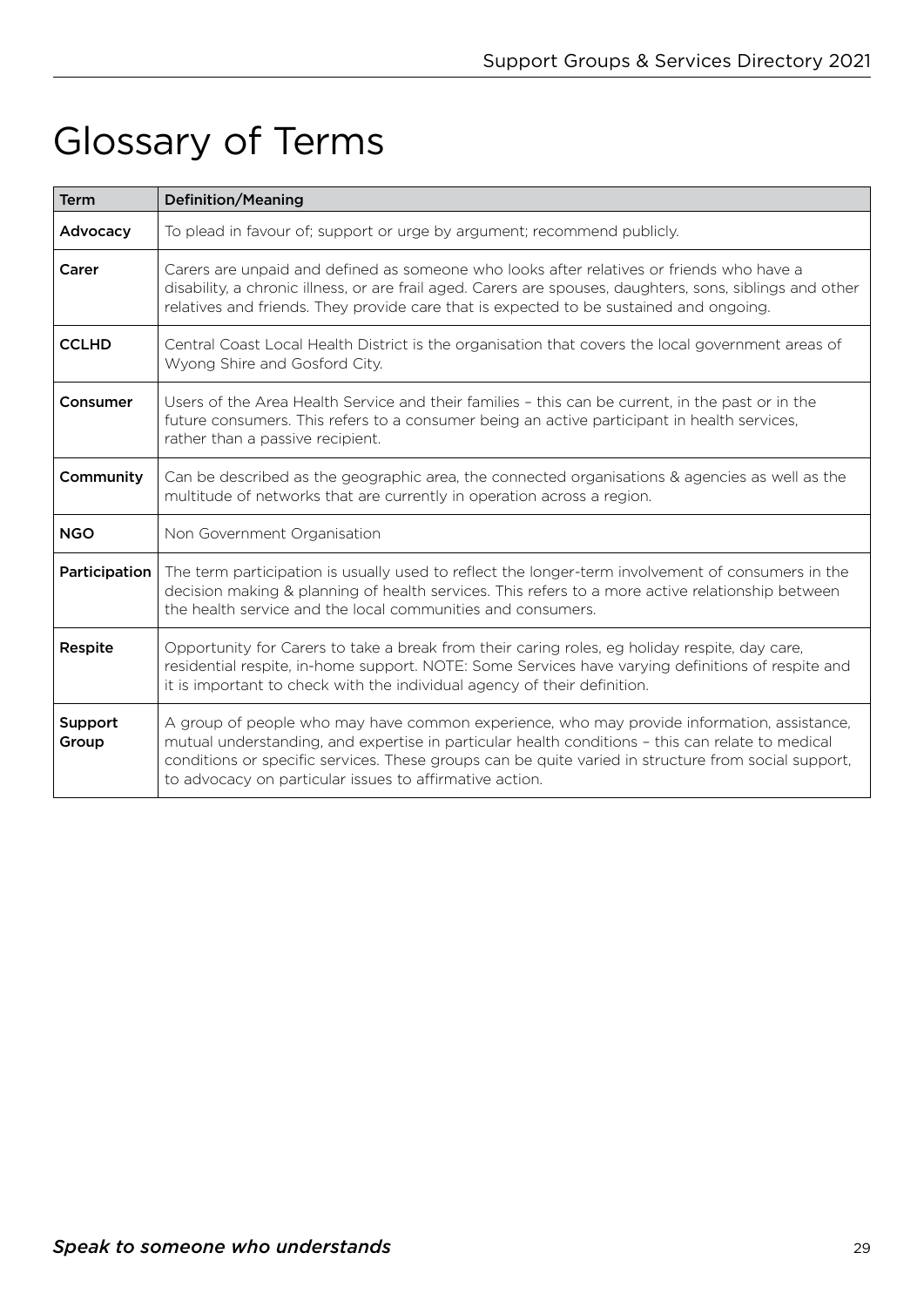# <span id="page-28-0"></span>Glossary of Terms

| <b>Term</b>      | <b>Definition/Meaning</b>                                                                                                                                                                                                                                                                                                                                        |
|------------------|------------------------------------------------------------------------------------------------------------------------------------------------------------------------------------------------------------------------------------------------------------------------------------------------------------------------------------------------------------------|
| Advocacy         | To plead in favour of; support or urge by argument; recommend publicly.                                                                                                                                                                                                                                                                                          |
| Carer            | Carers are unpaid and defined as someone who looks after relatives or friends who have a<br>disability, a chronic illness, or are frail aged. Carers are spouses, daughters, sons, siblings and other<br>relatives and friends. They provide care that is expected to be sustained and ongoing.                                                                  |
| <b>CCLHD</b>     | Central Coast Local Health District is the organisation that covers the local government areas of<br>Wyong Shire and Gosford City.                                                                                                                                                                                                                               |
| Consumer         | Users of the Area Health Service and their families - this can be current, in the past or in the<br>future consumers. This refers to a consumer being an active participant in health services,<br>rather than a passive recipient.                                                                                                                              |
| Community        | Can be described as the geographic area, the connected organisations & agencies as well as the<br>multitude of networks that are currently in operation across a region.                                                                                                                                                                                         |
| <b>NGO</b>       | Non Government Organisation                                                                                                                                                                                                                                                                                                                                      |
| Participation    | The term participation is usually used to reflect the longer-term involvement of consumers in the<br>decision making & planning of health services. This refers to a more active relationship between<br>the health service and the local communities and consumers.                                                                                             |
| Respite          | Opportunity for Carers to take a break from their caring roles, eg holiday respite, day care,<br>residential respite, in-home support. NOTE: Some Services have varying definitions of respite and<br>it is important to check with the individual agency of their definition.                                                                                   |
| Support<br>Group | A group of people who may have common experience, who may provide information, assistance,<br>mutual understanding, and expertise in particular health conditions - this can relate to medical<br>conditions or specific services. These groups can be quite varied in structure from social support,<br>to advocacy on particular issues to affirmative action. |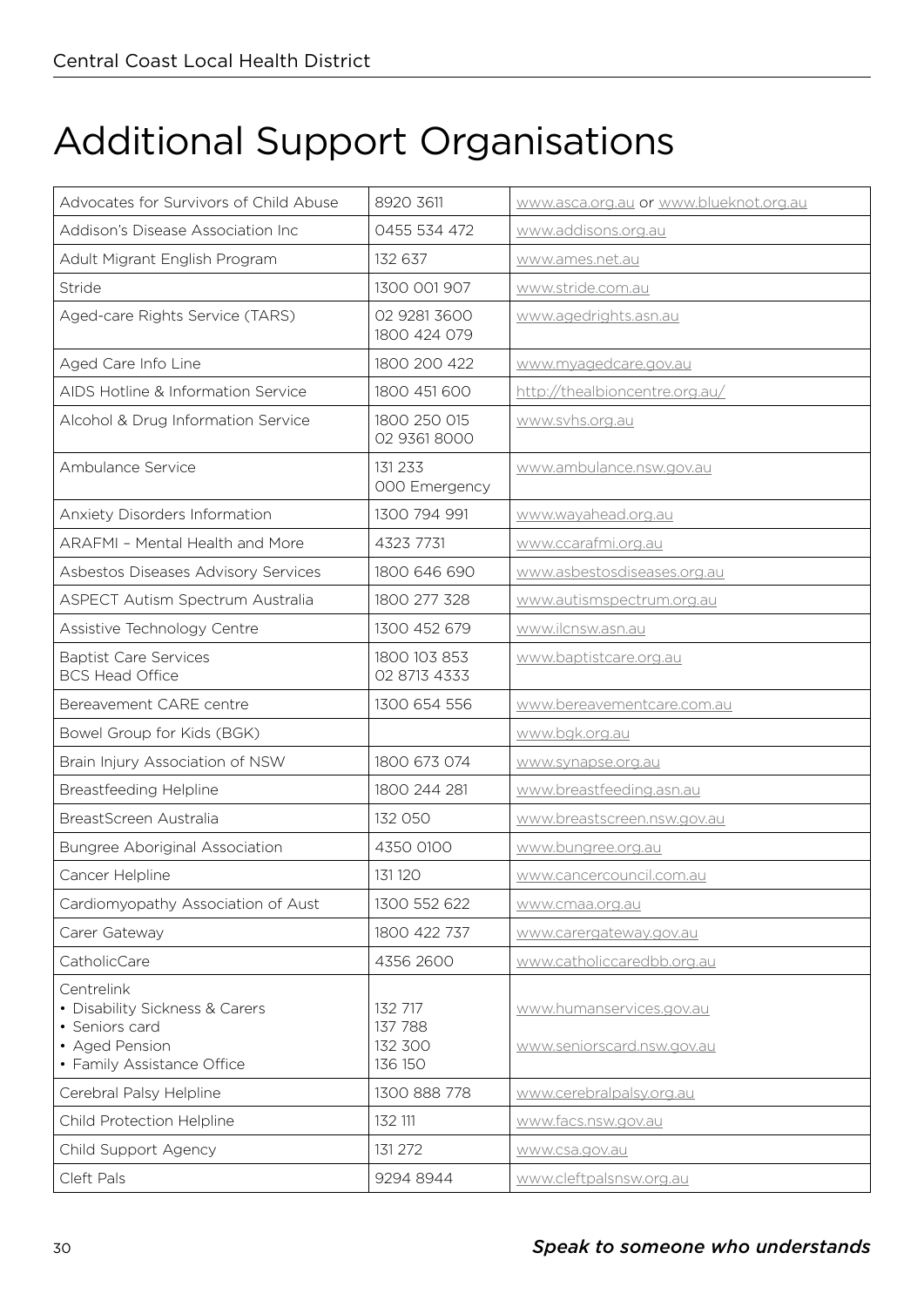# <span id="page-29-0"></span>Additional Support Organisations

| Advocates for Survivors of Child Abuse                                                                         | 8920 3611                                | www.asca.org.au or www.blueknot.org.au                 |
|----------------------------------------------------------------------------------------------------------------|------------------------------------------|--------------------------------------------------------|
| Addison's Disease Association Inc                                                                              | 0455 534 472                             | www.addisons.org.au                                    |
| Adult Migrant English Program                                                                                  | 132 637                                  | www.ames.net.au                                        |
| Stride                                                                                                         | 1300 001 907                             | www.stride.com.au                                      |
| Aged-care Rights Service (TARS)                                                                                | 02 9281 3600<br>1800 424 079             | www.agedrights.asn.au                                  |
| Aged Care Info Line                                                                                            | 1800 200 422                             | www.myagedcare.gov.au                                  |
| AIDS Hotline & Information Service                                                                             | 1800 451 600                             | http://thealbioncentre.org.au/                         |
| Alcohol & Drug Information Service                                                                             | 1800 250 015<br>02 9361 8000             | www.svhs.org.au                                        |
| Ambulance Service                                                                                              | 131 233<br>000 Emergency                 | www.ambulance.nsw.gov.au                               |
| Anxiety Disorders Information                                                                                  | 1300 794 991                             | www.wayahead.org.au                                    |
| ARAFMI - Mental Health and More                                                                                | 4323 7731                                | www.ccarafmi.org.au                                    |
| Asbestos Diseases Advisory Services                                                                            | 1800 646 690                             | www.asbestosdiseases.org.au                            |
| ASPECT Autism Spectrum Australia                                                                               | 1800 277 328                             | www.autismspectrum.org.au                              |
| Assistive Technology Centre                                                                                    | 1300 452 679                             | www.ilcnsw.asn.au                                      |
| <b>Baptist Care Services</b><br><b>BCS Head Office</b>                                                         | 1800 103 853<br>02 8713 4333             | www.baptistcare.org.au                                 |
| Bereavement CARE centre                                                                                        | 1300 654 556                             | www.bereavementcare.com.au                             |
| Bowel Group for Kids (BGK)                                                                                     |                                          | www.bgk.org.au                                         |
| Brain Injury Association of NSW                                                                                | 1800 673 074                             | www.synapse.org.au                                     |
| <b>Breastfeeding Helpline</b>                                                                                  | 1800 244 281                             | www.breastfeeding.asn.au                               |
| BreastScreen Australia                                                                                         | 132 050                                  | www.breastscreen.nsw.gov.au                            |
| <b>Bungree Aboriginal Association</b>                                                                          | 4350 0100                                | www.bungree.org.au                                     |
| Cancer Helpline                                                                                                | 131 120                                  | www.cancercouncil.com.au                               |
| Cardiomyopathy Association of Aust                                                                             | 1300 552 622                             | www.cmaa.org.au                                        |
| Carer Gateway                                                                                                  | 1800 422 737                             | www.carergateway.gov.au                                |
| CatholicCare                                                                                                   | 4356 2600                                | www.catholiccaredbb.org.au                             |
| Centrelink<br>• Disability Sickness & Carers<br>• Seniors card<br>• Aged Pension<br>• Family Assistance Office | 132 717<br>137 788<br>132 300<br>136 150 | www.humanservices.gov.au<br>www.seniorscard.nsw.gov.au |
| Cerebral Palsy Helpline                                                                                        | 1300 888 778                             | www.cerebralpalsy.org.au                               |
| Child Protection Helpline                                                                                      | 132 111                                  | www.facs.nsw.gov.au                                    |
| Child Support Agency                                                                                           | 131 272                                  | www.csa.gov.au                                         |
| Cleft Pals                                                                                                     | 9294 8944                                | www.cleftpalsnsw.org.au                                |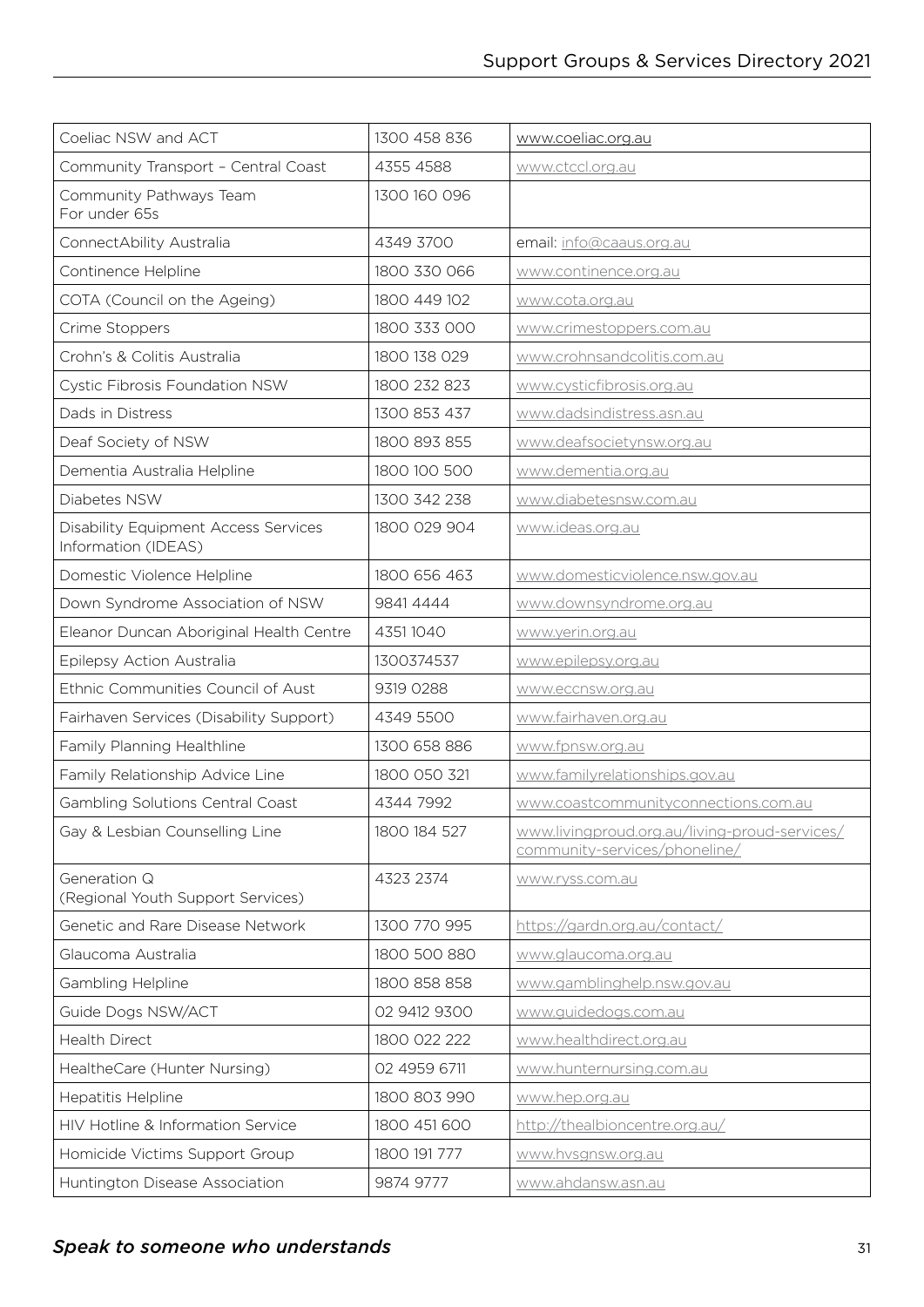| Coeliac NSW and ACT                                                | 1300 458 836 | www.coeliac.org.au                                                             |
|--------------------------------------------------------------------|--------------|--------------------------------------------------------------------------------|
| Community Transport - Central Coast                                | 4355 4588    | www.ctccl.org.au                                                               |
| Community Pathways Team<br>For under 65s                           | 1300 160 096 |                                                                                |
| ConnectAbility Australia                                           | 4349 3700    | email: info@caaus.org.au                                                       |
| Continence Helpline                                                | 1800 330 066 | www.continence.org.au                                                          |
| COTA (Council on the Ageing)                                       | 1800 449 102 | www.cota.org.au                                                                |
| Crime Stoppers                                                     | 1800 333 000 | www.crimestoppers.com.au                                                       |
| Crohn's & Colitis Australia                                        | 1800 138 029 | www.crohnsandcolitis.com.au                                                    |
| <b>Cystic Fibrosis Foundation NSW</b>                              | 1800 232 823 | www.cysticfibrosis.org.au                                                      |
| Dads in Distress                                                   | 1300 853 437 | www.dadsindistress.asn.au                                                      |
| Deaf Society of NSW                                                | 1800 893 855 | www.deafsocietynsw.org.au                                                      |
| Dementia Australia Helpline                                        | 1800 100 500 | www.dementia.org.au                                                            |
| Diabetes NSW                                                       | 1300 342 238 | www.diabetesnsw.com.au                                                         |
| <b>Disability Equipment Access Services</b><br>Information (IDEAS) | 1800 029 904 | www.ideas.org.au                                                               |
| Domestic Violence Helpline                                         | 1800 656 463 | www.domesticviolence.nsw.gov.au                                                |
| Down Syndrome Association of NSW                                   | 98414444     | www.downsyndrome.org.au                                                        |
| Eleanor Duncan Aboriginal Health Centre                            | 43511040     | www.yerin.org.au                                                               |
| Epilepsy Action Australia                                          | 1300374537   | www.epilepsy.org.au                                                            |
| Ethnic Communities Council of Aust                                 | 9319 0288    | www.eccnsw.org.au                                                              |
| Fairhaven Services (Disability Support)                            | 4349 5500    | www.fairhaven.org.au                                                           |
| Family Planning Healthline                                         | 1300 658 886 | www.fpnsw.org.au                                                               |
| Family Relationship Advice Line                                    | 1800 050 321 | www.familyrelationships.gov.au                                                 |
| Gambling Solutions Central Coast                                   | 4344 7992    | www.coastcommunityconnections.com.au                                           |
| Gay & Lesbian Counselling Line                                     | 1800 184 527 | www.livingproud.org.au/living-proud-services/<br>community-services/phoneline/ |
| Generation Q<br>(Regional Youth Support Services)                  | 4323 2374    | www.ryss.com.au                                                                |
| Genetic and Rare Disease Network                                   | 1300 770 995 | https://gardn.org.au/contact/                                                  |
| Glaucoma Australia                                                 | 1800 500 880 | www.glaucoma.org.au                                                            |
| Gambling Helpline                                                  | 1800 858 858 | www.gamblinghelp.nsw.gov.au                                                    |
| Guide Dogs NSW/ACT                                                 | 02 9412 9300 | www.guidedogs.com.au                                                           |
| <b>Health Direct</b>                                               | 1800 022 222 | www.healthdirect.org.au                                                        |
| HealtheCare (Hunter Nursing)                                       | 02 4959 6711 | www.hunternursing.com.au                                                       |
| Hepatitis Helpline                                                 | 1800 803 990 | www.hep.org.au                                                                 |
| HIV Hotline & Information Service                                  | 1800 451 600 | http://thealbioncentre.org.au/                                                 |
| Homicide Victims Support Group                                     | 1800 191 777 | www.hvsgnsw.org.au                                                             |
| Huntington Disease Association                                     | 9874 9777    | www.ahdansw.asn.au                                                             |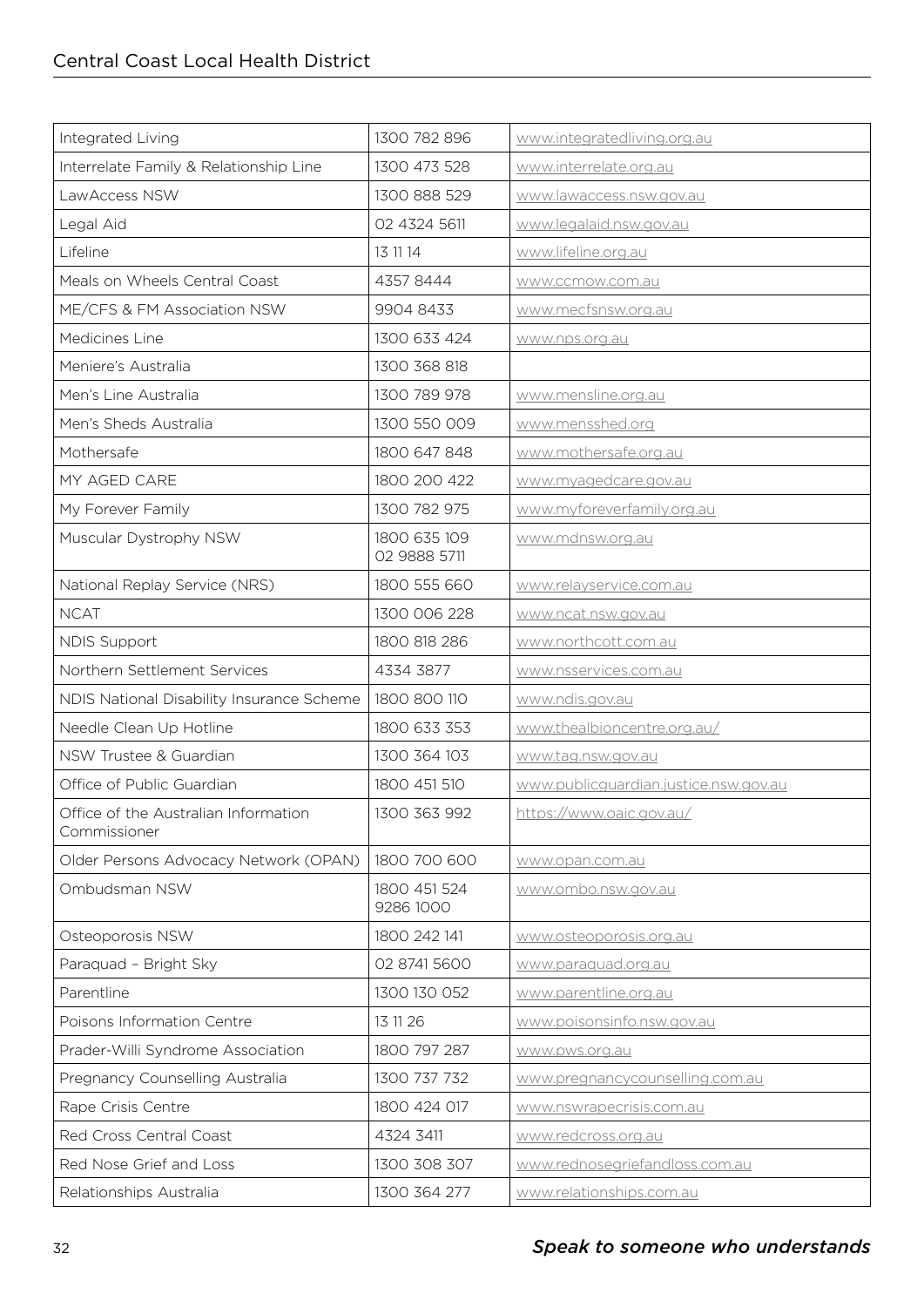| Integrated Living                                    | 1300 782 896                 | www.integratedliving.org.au           |
|------------------------------------------------------|------------------------------|---------------------------------------|
| Interrelate Family & Relationship Line               | 1300 473 528                 | www.interrelate.org.au                |
| LawAccess NSW                                        | 1300 888 529                 | www.lawaccess.nsw.gov.au              |
| Legal Aid                                            | 02 4324 5611                 | www.legalaid.nsw.gov.au               |
| Lifeline                                             | 13 11 14                     | www.lifeline.org.au                   |
| Meals on Wheels Central Coast                        | 4357 8444                    | www.ccmow.com.au                      |
| ME/CFS & FM Association NSW                          | 9904 8433                    | www.mecfsnsw.org.au                   |
| Medicines Line                                       | 1300 633 424                 | www.nps.org.au                        |
| Meniere's Australia                                  | 1300 368 818                 |                                       |
| Men's Line Australia                                 | 1300 789 978                 | www.mensline.org.au                   |
| Men's Sheds Australia                                | 1300 550 009                 | www.mensshed.org                      |
| Mothersafe                                           | 1800 647 848                 | www.mothersafe.org.au                 |
| MY AGED CARE                                         | 1800 200 422                 | www.myagedcare.gov.au                 |
| My Forever Family                                    | 1300 782 975                 | www.myforeverfamily.org.au            |
| Muscular Dystrophy NSW                               | 1800 635 109<br>02 9888 5711 | www.mdnsw.org.au                      |
| National Replay Service (NRS)                        | 1800 555 660                 | www.relayservice.com.au               |
| <b>NCAT</b>                                          | 1300 006 228                 | www.ncat.nsw.gov.au                   |
| <b>NDIS Support</b>                                  | 1800 818 286                 | www.northcott.com.au                  |
| Northern Settlement Services                         | 4334 3877                    | www.nsservices.com.au                 |
| NDIS National Disability Insurance Scheme            | 1800 800 110                 | www.ndis.gov.au                       |
| Needle Clean Up Hotline                              | 1800 633 353                 | www.thealbioncentre.org.au/           |
| NSW Trustee & Guardian                               | 1300 364 103                 | www.tag.nsw.gov.au                    |
| Office of Public Guardian                            | 1800 451 510                 | www.publicguardian.justice.nsw.gov.au |
| Office of the Australian Information<br>Commissioner | 1300 363 992                 | https://www.oaic.gov.au/              |
| Older Persons Advocacy Network (OPAN)                | 1800 700 600                 | www.opan.com.au                       |
| Ombudsman NSW                                        | 1800 451 524<br>9286 1000    | www.ombo.nsw.gov.au                   |
| Osteoporosis NSW                                     | 1800 242 141                 | www.osteoporosis.org.au               |
| Paraquad - Bright Sky                                | 02 8741 5600                 | www.paraquad.org.au                   |
| Parentline                                           | 1300 130 052                 | www.parentline.org.au                 |
| Poisons Information Centre                           | 13 11 26                     | www.poisonsinfo.nsw.gov.au            |
| Prader-Willi Syndrome Association                    | 1800 797 287                 | www.pws.org.au                        |
| Pregnancy Counselling Australia                      | 1300 737 732                 | www.pregnancycounselling.com.au       |
| Rape Crisis Centre                                   | 1800 424 017                 | www.nswrapecrisis.com.au              |
| Red Cross Central Coast                              | 4324 3411                    | www.redcross.org.au                   |
| Red Nose Grief and Loss                              | 1300 308 307                 | www.rednosegriefandloss.com.au        |
| Relationships Australia                              | 1300 364 277                 | www.relationships.com.au              |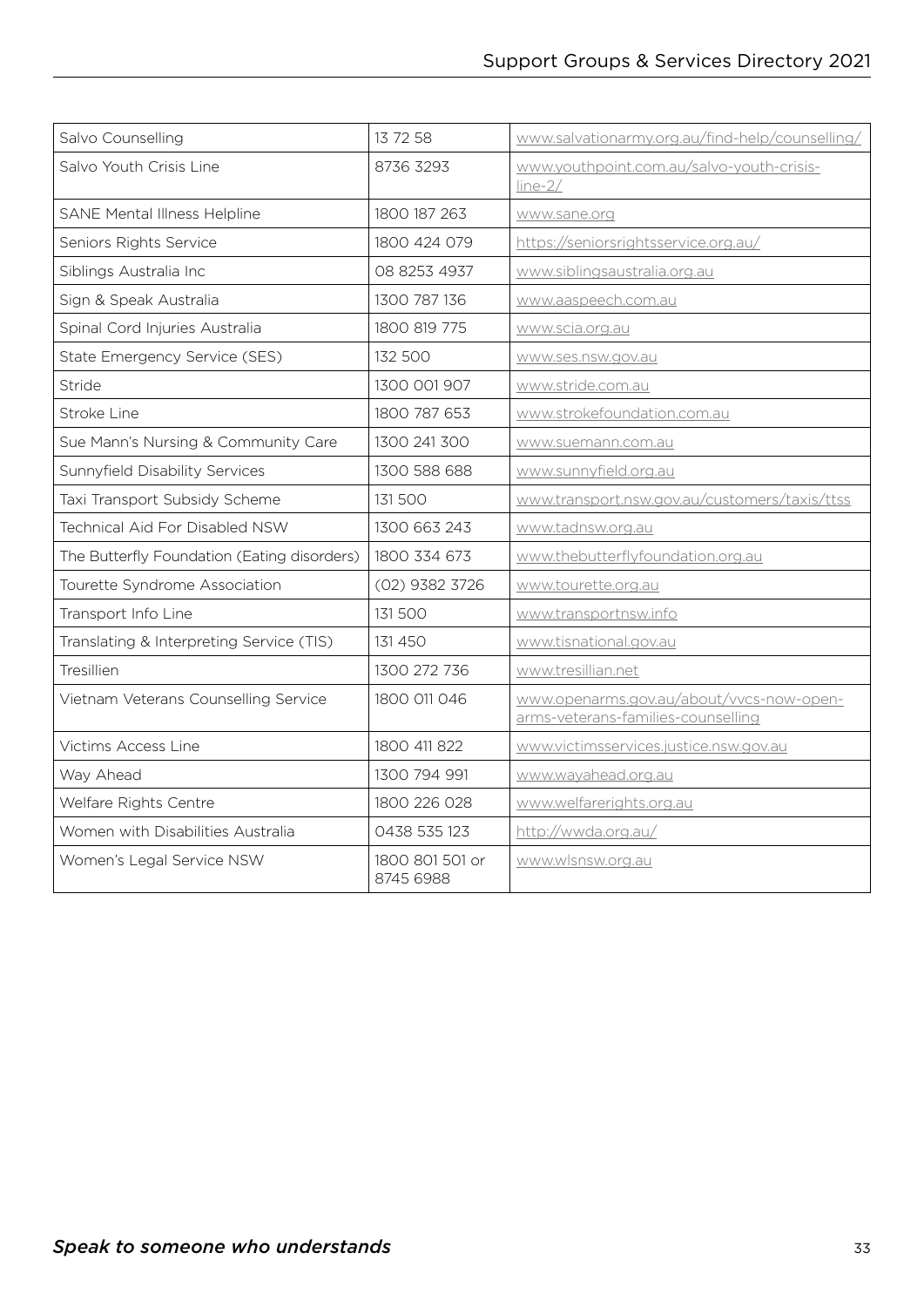| Salvo Counselling                           | 13 72 58                     | www.salvationarmy.org.au/find-help/counselling/                                |
|---------------------------------------------|------------------------------|--------------------------------------------------------------------------------|
| Salvo Youth Crisis Line                     | 8736 3293                    | www.youthpoint.com.au/salvo-youth-crisis-<br>$line-2/$                         |
| <b>SANE Mental Illness Helpline</b>         | 1800 187 263                 | www.sane.org                                                                   |
| Seniors Rights Service                      | 1800 424 079                 | https://seniorsrightsservice.org.au/                                           |
| Siblings Australia Inc                      | 08 8253 4937                 | www.siblingsaustralia.org.au                                                   |
| Sign & Speak Australia                      | 1300 787 136                 | www.aaspeech.com.au                                                            |
| Spinal Cord Injuries Australia              | 1800 819 775                 | www.scia.org.au                                                                |
| State Emergency Service (SES)               | 132 500                      | www.ses.nsw.gov.au                                                             |
| Stride                                      | 1300 001 907                 | www.stride.com.au                                                              |
| Stroke Line                                 | 1800 787 653                 | www.strokefoundation.com.au                                                    |
| Sue Mann's Nursing & Community Care         | 1300 241 300                 | www.suemann.com.au                                                             |
| Sunnyfield Disability Services              | 1300 588 688                 | www.sunnyfield.org.au                                                          |
| Taxi Transport Subsidy Scheme               | 131 500                      | www.transport.nsw.gov.au/customers/taxis/ttss                                  |
| <b>Technical Aid For Disabled NSW</b>       | 1300 663 243                 | www.tadnsw.org.au                                                              |
| The Butterfly Foundation (Eating disorders) | 1800 334 673                 | www.thebutterflyfoundation.org.au                                              |
| Tourette Syndrome Association               | (02) 9382 3726               | www.tourette.org.au                                                            |
| Transport Info Line                         | 131 500                      | www.transportnsw.info                                                          |
| Translating & Interpreting Service (TIS)    | 131 450                      | www.tisnational.gov.au                                                         |
| Tresillien                                  | 1300 272 736                 | www.tresillian.net                                                             |
| Vietnam Veterans Counselling Service        | 1800 011 046                 | www.openarms.gov.au/about/vvcs-now-open-<br>arms-veterans-families-counselling |
| Victims Access Line                         | 1800 411 822                 | www.victimsservices.justice.nsw.gov.au                                         |
| Way Ahead                                   | 1300 794 991                 | www.wayahead.org.au                                                            |
| Welfare Rights Centre                       | 1800 226 028                 | www.welfarerights.org.au                                                       |
| Women with Disabilities Australia           | 0438 535 123                 | http://wwda.org.au/                                                            |
| Women's Legal Service NSW                   | 1800 801 501 or<br>8745 6988 | www.wlsnsw.org.au                                                              |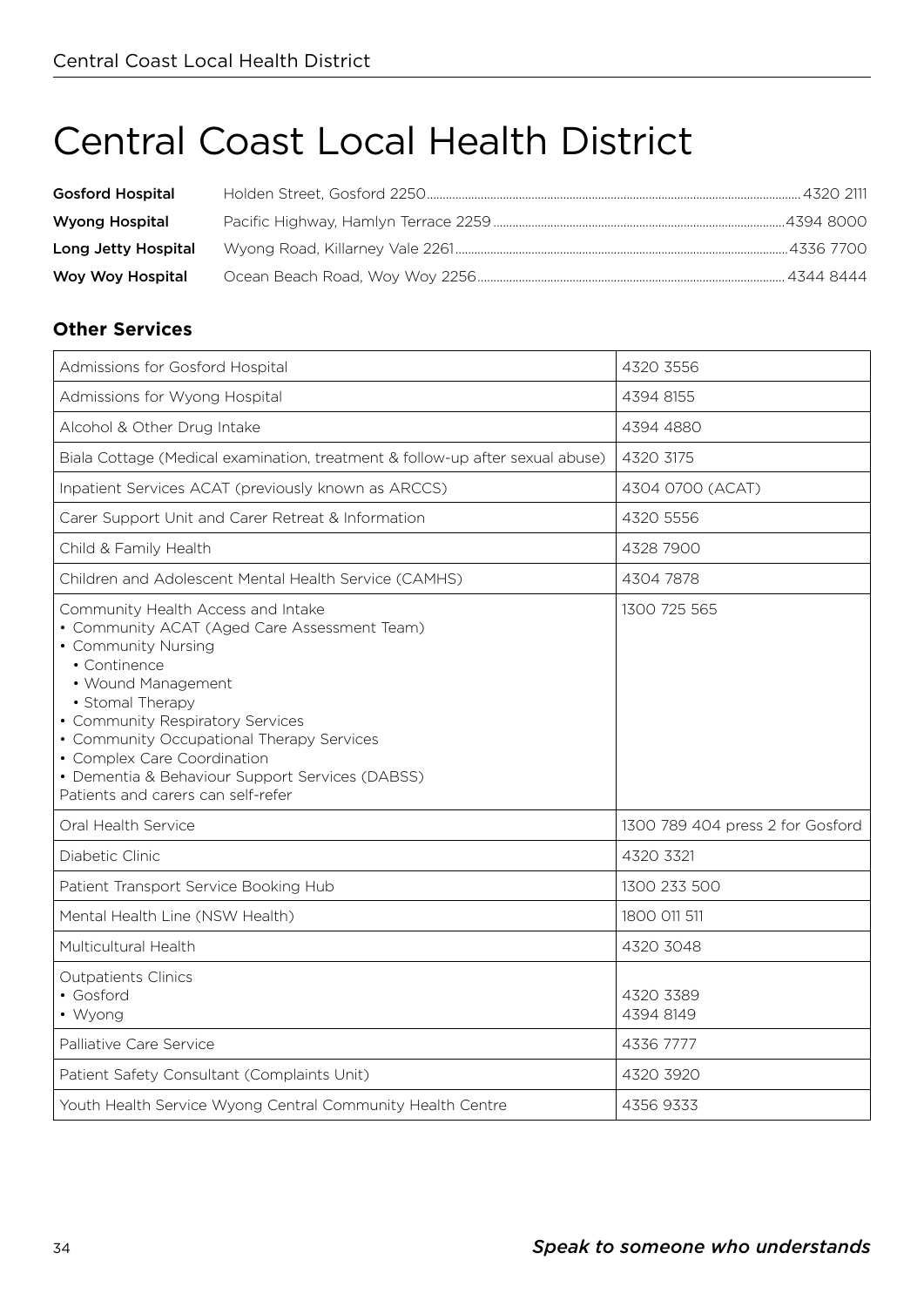# <span id="page-33-0"></span>Central Coast Local Health District

| <b>Gosford Hospital</b> |  |
|-------------------------|--|
| Wyong Hospital          |  |
| Long Jetty Hospital     |  |
| Woy Woy Hospital        |  |

# **Other Services**

| Admissions for Gosford Hospital                                                                                                                                                                                                                                                                                                                                              | 4320 3556                        |
|------------------------------------------------------------------------------------------------------------------------------------------------------------------------------------------------------------------------------------------------------------------------------------------------------------------------------------------------------------------------------|----------------------------------|
| Admissions for Wyong Hospital                                                                                                                                                                                                                                                                                                                                                | 4394 8155                        |
| Alcohol & Other Drug Intake                                                                                                                                                                                                                                                                                                                                                  | 4394 4880                        |
| Biala Cottage (Medical examination, treatment & follow-up after sexual abuse)                                                                                                                                                                                                                                                                                                | 4320 3175                        |
| Inpatient Services ACAT (previously known as ARCCS)                                                                                                                                                                                                                                                                                                                          | 4304 0700 (ACAT)                 |
| Carer Support Unit and Carer Retreat & Information                                                                                                                                                                                                                                                                                                                           | 4320 5556                        |
| Child & Family Health                                                                                                                                                                                                                                                                                                                                                        | 4328 7900                        |
| Children and Adolescent Mental Health Service (CAMHS)                                                                                                                                                                                                                                                                                                                        | 4304 7878                        |
| Community Health Access and Intake<br>• Community ACAT (Aged Care Assessment Team)<br>• Community Nursing<br>• Continence<br>• Wound Management<br>• Stomal Therapy<br>• Community Respiratory Services<br>• Community Occupational Therapy Services<br>• Complex Care Coordination<br>• Dementia & Behaviour Support Services (DABSS)<br>Patients and carers can self-refer | 1300 725 565                     |
| Oral Health Service                                                                                                                                                                                                                                                                                                                                                          | 1300 789 404 press 2 for Gosford |
| Diabetic Clinic                                                                                                                                                                                                                                                                                                                                                              | 4320 3321                        |
| Patient Transport Service Booking Hub                                                                                                                                                                                                                                                                                                                                        | 1300 233 500                     |
| Mental Health Line (NSW Health)                                                                                                                                                                                                                                                                                                                                              | 1800 011 511                     |
| Multicultural Health                                                                                                                                                                                                                                                                                                                                                         | 4320 3048                        |
| <b>Outpatients Clinics</b><br>• Gosford<br>• Wyong                                                                                                                                                                                                                                                                                                                           | 4320 3389<br>4394 8149           |
| Palliative Care Service                                                                                                                                                                                                                                                                                                                                                      | 4336 7777                        |
| Patient Safety Consultant (Complaints Unit)                                                                                                                                                                                                                                                                                                                                  | 4320 3920                        |
| Youth Health Service Wyong Central Community Health Centre                                                                                                                                                                                                                                                                                                                   | 4356 9333                        |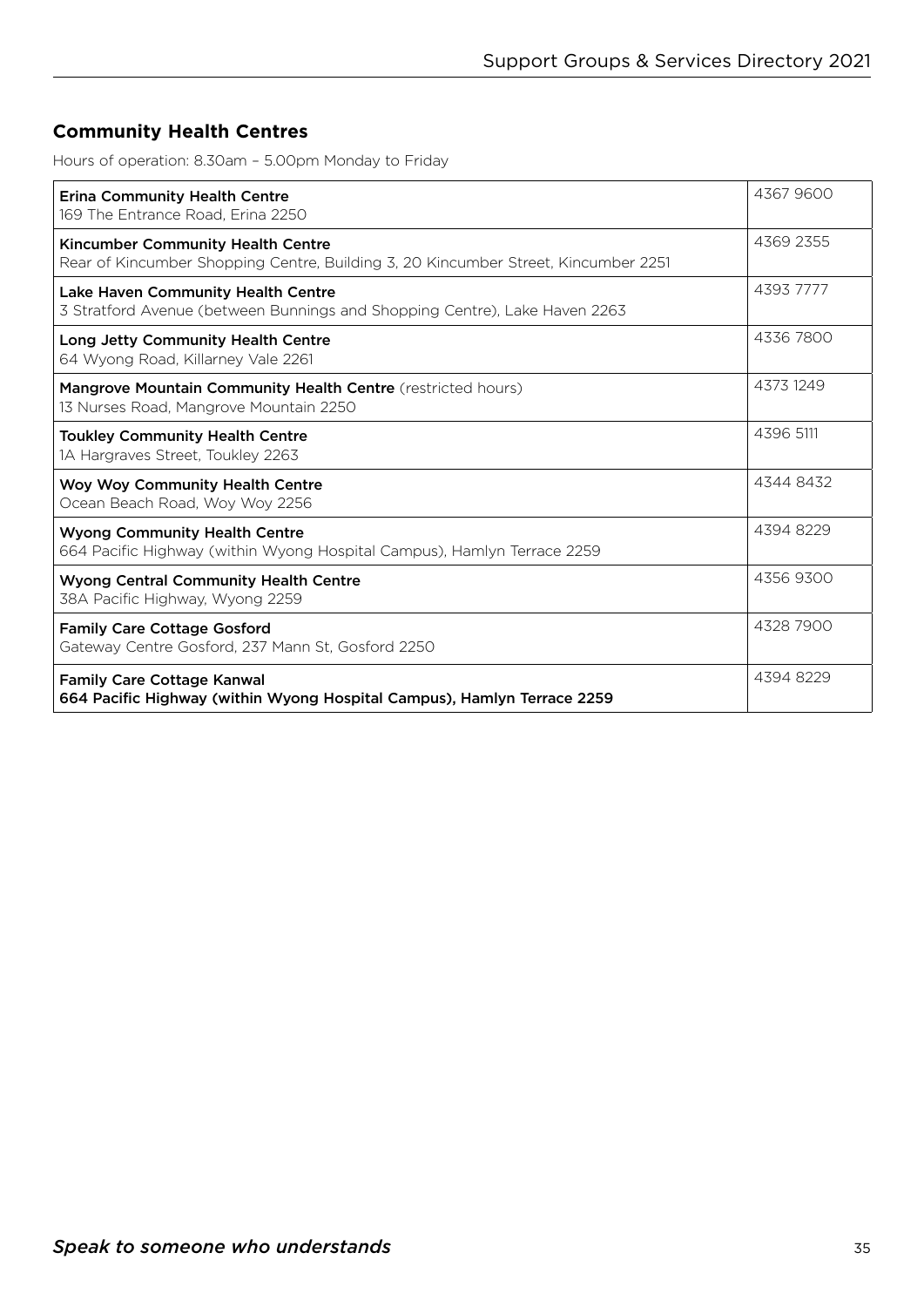# <span id="page-34-0"></span>**Community Health Centres**

Hours of operation: 8.30am – 5.00pm Monday to Friday

| <b>Erina Community Health Centre</b><br>169 The Entrance Road, Erina 2250                                                      | 4367 9600 |
|--------------------------------------------------------------------------------------------------------------------------------|-----------|
| <b>Kincumber Community Health Centre</b><br>Rear of Kincumber Shopping Centre, Building 3, 20 Kincumber Street, Kincumber 2251 | 4369 2355 |
| Lake Haven Community Health Centre<br>3 Stratford Avenue (between Bunnings and Shopping Centre), Lake Haven 2263               | 4393 7777 |
| Long Jetty Community Health Centre<br>64 Wyong Road, Killarney Vale 2261                                                       | 4336 7800 |
| Mangrove Mountain Community Health Centre (restricted hours)<br>13 Nurses Road, Mangrove Mountain 2250                         | 4373 1249 |
| <b>Toukley Community Health Centre</b><br>1A Hargraves Street, Toukley 2263                                                    | 4396 5111 |
| Woy Woy Community Health Centre<br>Ocean Beach Road, Woy Woy 2256                                                              | 4344 8432 |
| <b>Wyong Community Health Centre</b><br>664 Pacific Highway (within Wyong Hospital Campus), Hamlyn Terrace 2259                | 4394 8229 |
| Wyong Central Community Health Centre<br>38A Pacific Highway, Wyong 2259                                                       | 4356 9300 |
| <b>Family Care Cottage Gosford</b><br>Gateway Centre Gosford, 237 Mann St, Gosford 2250                                        | 4328 7900 |
| <b>Family Care Cottage Kanwal</b><br>664 Pacific Highway (within Wyong Hospital Campus), Hamlyn Terrace 2259                   | 4394 8229 |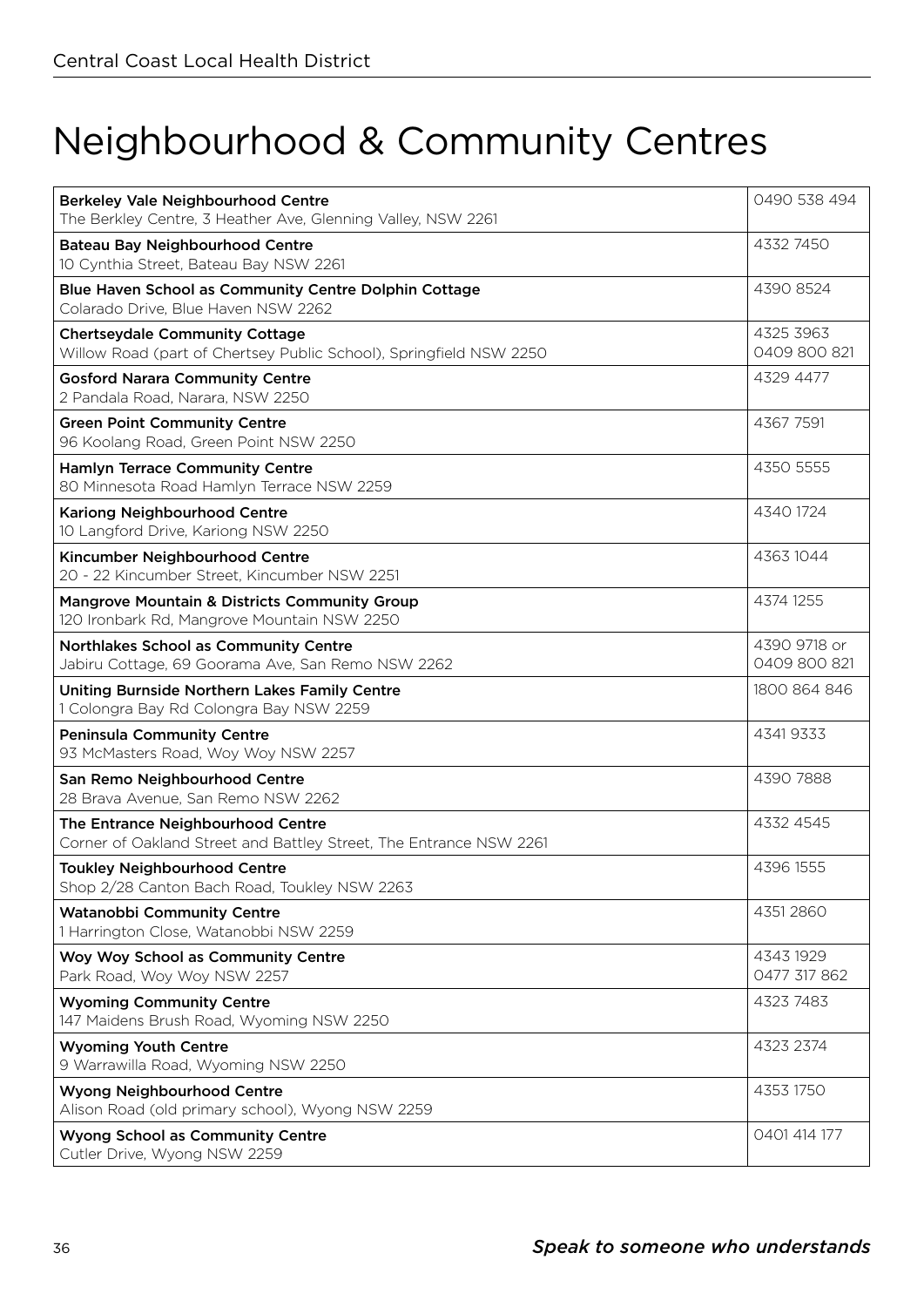# <span id="page-35-0"></span>Neighbourhood & Community Centres

| Berkeley Vale Neighbourhood Centre<br>The Berkley Centre, 3 Heather Ave, Glenning Valley, NSW 2261          | 0490 538 494                 |
|-------------------------------------------------------------------------------------------------------------|------------------------------|
| <b>Bateau Bay Neighbourhood Centre</b><br>10 Cynthia Street, Bateau Bay NSW 2261                            | 4332 7450                    |
| Blue Haven School as Community Centre Dolphin Cottage<br>Colarado Drive, Blue Haven NSW 2262                | 4390 8524                    |
| <b>Chertseydale Community Cottage</b><br>Willow Road (part of Chertsey Public School), Springfield NSW 2250 | 4325 3963<br>0409 800 821    |
| <b>Gosford Narara Community Centre</b><br>2 Pandala Road, Narara, NSW 2250                                  | 4329 4477                    |
| <b>Green Point Community Centre</b><br>96 Koolang Road, Green Point NSW 2250                                | 4367 7591                    |
| <b>Hamlyn Terrace Community Centre</b><br>80 Minnesota Road Hamlyn Terrace NSW 2259                         | 4350 5555                    |
| <b>Kariong Neighbourhood Centre</b><br>10 Langford Drive, Kariong NSW 2250                                  | 4340 1724                    |
| Kincumber Neighbourhood Centre<br>20 - 22 Kincumber Street, Kincumber NSW 2251                              | 4363 1044                    |
| <b>Mangrove Mountain &amp; Districts Community Group</b><br>120 Ironbark Rd, Mangrove Mountain NSW 2250     | 4374 1255                    |
| Northlakes School as Community Centre<br>Jabiru Cottage, 69 Goorama Ave, San Remo NSW 2262                  | 4390 9718 or<br>0409 800 821 |
| Uniting Burnside Northern Lakes Family Centre<br>1 Colongra Bay Rd Colongra Bay NSW 2259                    | 1800 864 846                 |
| <b>Peninsula Community Centre</b><br>93 McMasters Road, Woy Woy NSW 2257                                    | 4341 9333                    |
| San Remo Neighbourhood Centre<br>28 Brava Avenue, San Remo NSW 2262                                         | 4390 7888                    |
| The Entrance Neighbourhood Centre<br>Corner of Oakland Street and Battley Street, The Entrance NSW 2261     | 4332 4545                    |
| <b>Toukley Neighbourhood Centre</b><br>Shop 2/28 Canton Bach Road, Toukley NSW 2263                         | 4396 1555                    |
| <b>Watanobbi Community Centre</b><br>1 Harrington Close, Watanobbi NSW 2259                                 | 4351 2860                    |
| Woy Woy School as Community Centre<br>Park Road, Woy Woy NSW 2257                                           | 4343 1929<br>0477 317 862    |
| <b>Wyoming Community Centre</b><br>147 Maidens Brush Road, Wyoming NSW 2250                                 | 4323 7483                    |
| <b>Wyoming Youth Centre</b><br>9 Warrawilla Road, Wyoming NSW 2250                                          | 4323 2374                    |
| Wyong Neighbourhood Centre<br>Alison Road (old primary school), Wyong NSW 2259                              | 4353 1750                    |
| Wyong School as Community Centre<br>Cutler Drive, Wyong NSW 2259                                            | 0401 414 177                 |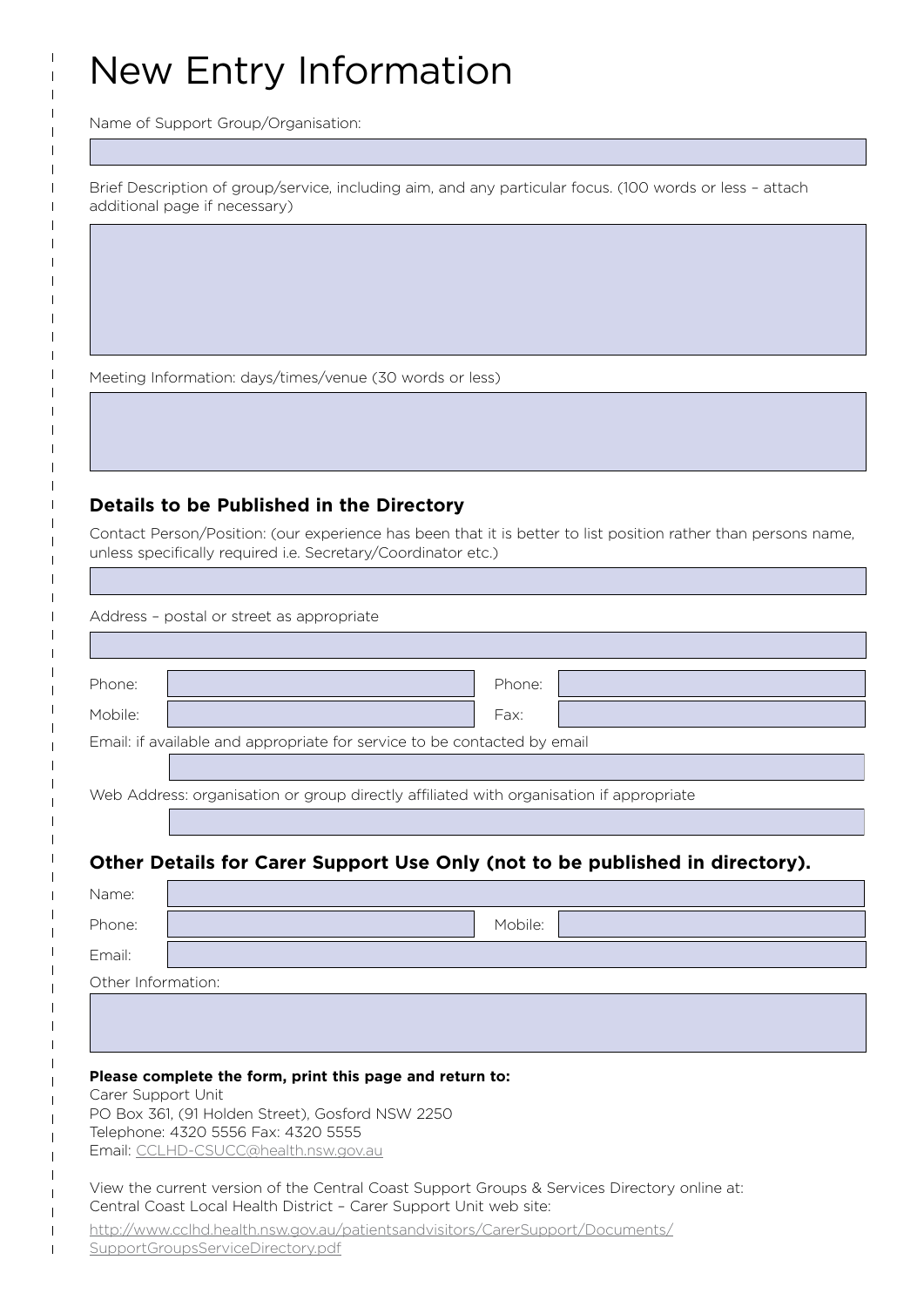# <span id="page-36-0"></span>New Entry Information

Name of Support Group/Organisation:

| Brief Description of group/service, including aim, and any particular focus. (100 words or less - attach |  |  |  |
|----------------------------------------------------------------------------------------------------------|--|--|--|
| additional page if necessary)                                                                            |  |  |  |

Meeting Information: days/times/venue (30 words or less)

# **Details to be Published in the Directory**

Contact Person/Position: (our experience has been that it is better to list position rather than persons name, unless specifically required i.e. Secretary/Coordinator etc.)

| Address - postal or street as appropriate                                                                                                            |  |  |  |  |  |  |
|------------------------------------------------------------------------------------------------------------------------------------------------------|--|--|--|--|--|--|
|                                                                                                                                                      |  |  |  |  |  |  |
| Phone:<br>Phone:                                                                                                                                     |  |  |  |  |  |  |
| Mobile:<br>Fax:                                                                                                                                      |  |  |  |  |  |  |
| Email: if available and appropriate for service to be contacted by email                                                                             |  |  |  |  |  |  |
|                                                                                                                                                      |  |  |  |  |  |  |
| Web Address: organisation or group directly affiliated with organisation if appropriate                                                              |  |  |  |  |  |  |
|                                                                                                                                                      |  |  |  |  |  |  |
| Other Details for Carer Support Use Only (not to be published in directory).                                                                         |  |  |  |  |  |  |
| Name:                                                                                                                                                |  |  |  |  |  |  |
| Phone:<br>Mobile:                                                                                                                                    |  |  |  |  |  |  |
| Email:                                                                                                                                               |  |  |  |  |  |  |
| Other Information:                                                                                                                                   |  |  |  |  |  |  |
|                                                                                                                                                      |  |  |  |  |  |  |
|                                                                                                                                                      |  |  |  |  |  |  |
| Please complete the form, print this page and return to:                                                                                             |  |  |  |  |  |  |
| Carer Support Unit<br>PO Box 361, (91 Holden Street), Gosford NSW 2250                                                                               |  |  |  |  |  |  |
| Telephone: 4320 5556 Fax: 4320 5555                                                                                                                  |  |  |  |  |  |  |
| Email: CCLHD-CSUCC@health.nsw.gov.au                                                                                                                 |  |  |  |  |  |  |
| View the current version of the Central Coast Support Groups & Services Directory online at:                                                         |  |  |  |  |  |  |
| Central Coast Local Health District - Carer Support Unit web site:<br>http://www.cclhd.health.nsw.gov.au/patientsandvisitors/CarerSupport/Documents/ |  |  |  |  |  |  |
| SupportGroupsServiceDirectory.pdf                                                                                                                    |  |  |  |  |  |  |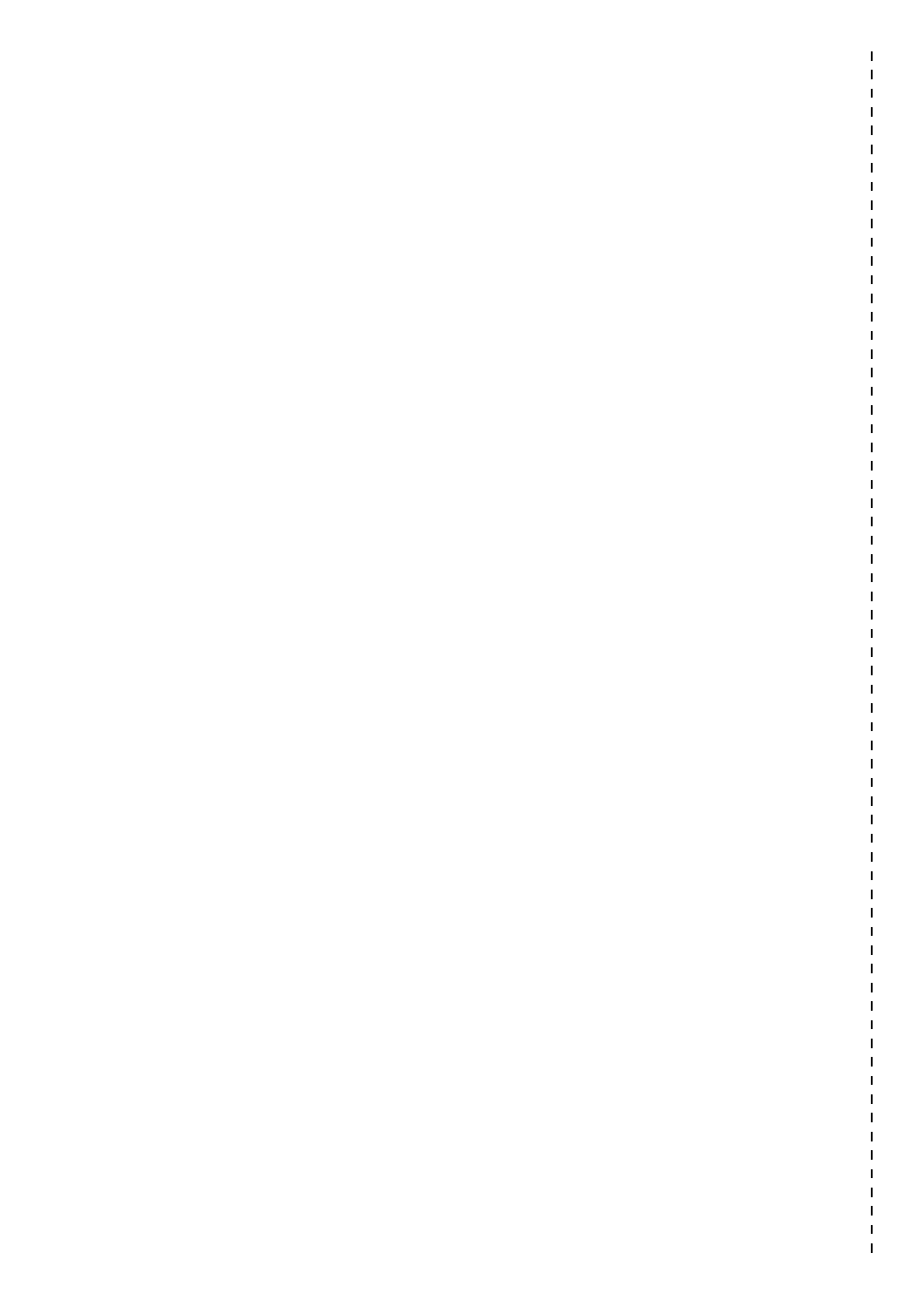$\frac{1}{1}$  $\mathbf{I}$  $\mathbf{I}$  $\mathbf{I}$  $\overline{1}$  $\overline{1}$  $\mathbf{I}$  $\mathbf{I}$  $\mathbf{I}$  $\overline{1}$  $\mathbf{I}$  $\mathbf{I}$  $\mathbf{I}$  $\mathbf{I}$  $\mathbf{I}$  $\mathbf{I}$  $\mathbf{I}$  $\mathbf{I}$  $\mathbf{I}$  $\mathbf{I}$  $\frac{1}{1}$  $\mathbf{I}$  $\mathbf{I}$  $\mathbf{I}$  $\overline{\phantom{a}}$  $\mathbf{I}$  $\mathbf{I}$  $\mathbf{I}$  $\mathbf{I}$  $\mathbf{I}$  $\overline{1}$  $\mathbf{I}$  $\mathbf{I}$  $\mathbf{I}$  $\overline{1}$  $\mathbf{I}$  $\mathbf{I}$  $\overline{\phantom{a}}$  $\overline{\phantom{a}}$  $\mathbf{I}$  $\mathbf{I}$  $\mathbf{I}$  $\mathbf{I}$  $\mathbf{I}$  $\mathbf{I}$  $\overline{1}$  $\mathbf{I}$  $\overline{1}$  $\overline{1}$  $\mathbf{I}$  $\mathbf{I}$  $\mathbf{I}$  $\overline{1}$  $\overline{1}$  $\overline{1}$  $\overline{1}$  $\mathbf{I}$  $\mathbf{I}$  $\mathbf{I}$  $\overline{1}$  $\overline{1}$ 

 $\frac{1}{1}$